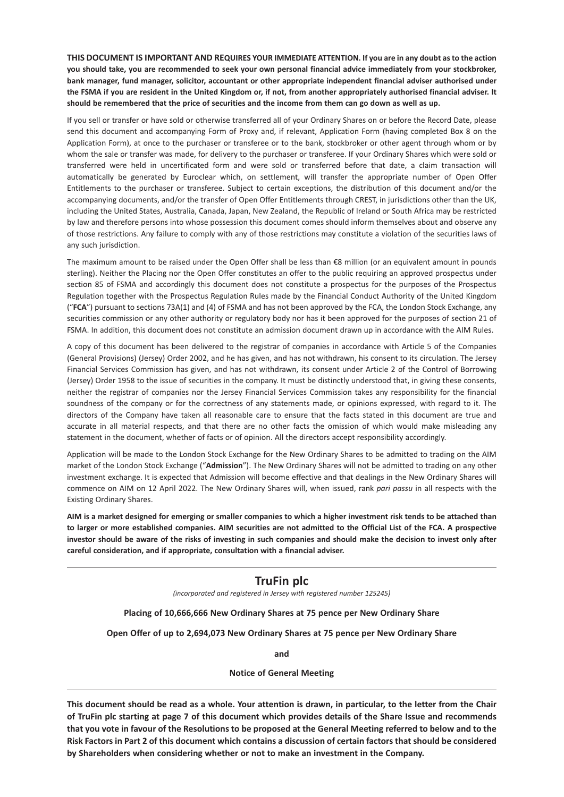**THIS DOCUMENT IS IMPORTANT AND REQUIRES YOUR IMMEDIATE ATTENTION. If you are in any doubt as to the action you should take, you are recommended to seek your own personal financial advice immediately from your stockbroker, bank manager, fund manager, solicitor, accountant or other appropriate independent financial adviser authorised under the FSMA if you are resident in the United Kingdom or, if not, from another appropriately authorised financial adviser. It should be remembered that the price of securities and the income from them can go down as well as up.**

If you sell or transfer or have sold or otherwise transferred all of your Ordinary Shares on or before the Record Date, please send this document and accompanying Form of Proxy and, if relevant, Application Form (having completed Box 8 on the Application Form), at once to the purchaser or transferee or to the bank, stockbroker or other agent through whom or by whom the sale or transfer was made, for delivery to the purchaser or transferee. If your Ordinary Shares which were sold or transferred were held in uncertificated form and were sold or transferred before that date, a claim transaction will automatically be generated by Euroclear which, on settlement, will transfer the appropriate number of Open Offer Entitlements to the purchaser or transferee. Subject to certain exceptions, the distribution of this document and/or the accompanying documents, and/or the transfer of Open Offer Entitlements through CREST, in jurisdictions other than the UK, including the United States, Australia, Canada, Japan, New Zealand, the Republic of Ireland or South Africa may be restricted by law and therefore persons into whose possession this document comes should inform themselves about and observe any of those restrictions. Any failure to comply with any of those restrictions may constitute a violation of the securities laws of any such jurisdiction.

The maximum amount to be raised under the Open Offer shall be less than €8 million (or an equivalent amount in pounds sterling). Neither the Placing nor the Open Offer constitutes an offer to the public requiring an approved prospectus under section 85 of FSMA and accordingly this document does not constitute a prospectus for the purposes of the Prospectus Regulation together with the Prospectus Regulation Rules made by the Financial Conduct Authority of the United Kingdom ("**FCA**") pursuant to sections 73A(1) and (4) of FSMA and has not been approved by the FCA, the London Stock Exchange, any securities commission or any other authority or regulatory body nor has it been approved for the purposes of section 21 of FSMA. In addition, this document does not constitute an admission document drawn up in accordance with the AIM Rules.

A copy of this document has been delivered to the registrar of companies in accordance with Article 5 of the Companies (General Provisions) (Jersey) Order 2002, and he has given, and has not withdrawn, his consent to its circulation. The Jersey Financial Services Commission has given, and has not withdrawn, its consent under Article 2 of the Control of Borrowing (Jersey) Order 1958 to the issue of securities in the company. It must be distinctly understood that, in giving these consents, neither the registrar of companies nor the Jersey Financial Services Commission takes any responsibility for the financial soundness of the company or for the correctness of any statements made, or opinions expressed, with regard to it. The directors of the Company have taken all reasonable care to ensure that the facts stated in this document are true and accurate in all material respects, and that there are no other facts the omission of which would make misleading any statement in the document, whether of facts or of opinion. All the directors accept responsibility accordingly.

Application will be made to the London Stock Exchange for the New Ordinary Shares to be admitted to trading on the AIM market of the London Stock Exchange ("**Admission**"). The New Ordinary Shares will not be admitted to trading on any other investment exchange. It is expected that Admission will become effective and that dealings in the New Ordinary Shares will commence on AIM on 12 April 2022. The New Ordinary Shares will, when issued, rank *pari passu* in all respects with the Existing Ordinary Shares.

**AIM is a market designed for emerging or smaller companies to which a higher investment risk tends to be attached than to larger or more established companies. AIM securities are not admitted to the Official List of the FCA. A prospective investor should be aware of the risks of investing in such companies and should make the decision to invest only after careful consideration, and if appropriate, consultation with a financial adviser.**

## **TruFin plc**

*(incorporated and registered in Jersey with registered number 125245)*

**Placing of 10,666,666 New Ordinary Shares at 75 pence per New Ordinary Share**

**Open Offer of up to 2,694,073 New Ordinary Shares at 75 pence per New Ordinary Share**

**and**

**Notice of General Meeting**

**This document should be read as a whole. Your attention is drawn, in particular, to the letter from the Chair of TruFin plc starting at page 7 of this document which provides details of the Share Issue and recommends that you vote in favour of the Resolutions to be proposed at the General Meeting referred to below and to the Risk Factors in Part 2 of this document which contains a discussion of certain factors that should be considered by Shareholders when considering whether or not to make an investment in the Company.**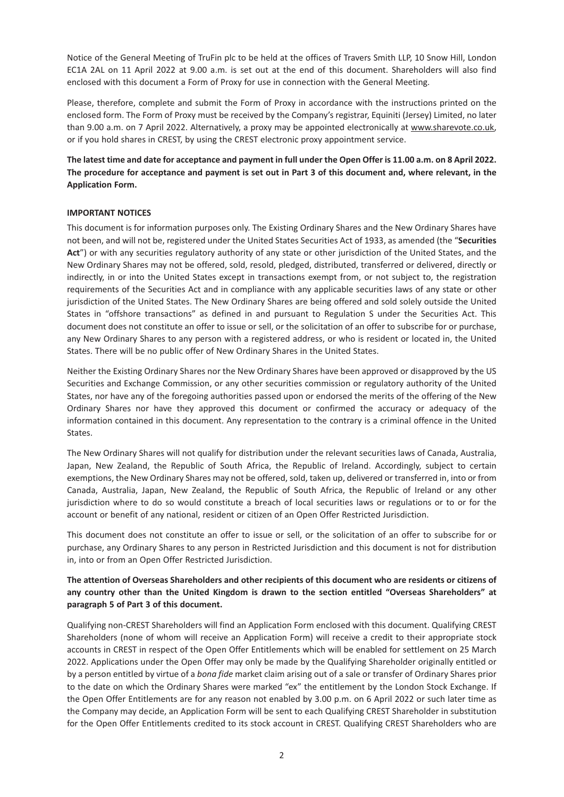Notice of the General Meeting of TruFin plc to be held at the offices of Travers Smith LLP, 10 Snow Hill, London EC1A 2AL on 11 April 2022 at 9.00 a.m. is set out at the end of this document. Shareholders will also find enclosed with this document a Form of Proxy for use in connection with the General Meeting.

Please, therefore, complete and submit the Form of Proxy in accordance with the instructions printed on the enclosed form. The Form of Proxy must be received by the Company's registrar, Equiniti (Jersey) Limited, no later than 9.00 a.m. on 7 April 2022. Alternatively, a proxy may be appointed electronically at www.sharevote.co.uk, or if you hold shares in CREST, by using the CREST electronic proxy appointment service.

**The latest time and date for acceptance and payment in full under the Open Offer is 11.00 a.m. on 8 April 2022. The procedure for acceptance and payment is set out in Part 3 of this document and, where relevant, in the Application Form.**

## **IMPORTANT NOTICES**

This document is for information purposes only. The Existing Ordinary Shares and the New Ordinary Shares have not been, and will not be, registered under the United States Securities Act of 1933, as amended (the "**Securities Act**") or with any securities regulatory authority of any state or other jurisdiction of the United States, and the New Ordinary Shares may not be offered, sold, resold, pledged, distributed, transferred or delivered, directly or indirectly, in or into the United States except in transactions exempt from, or not subject to, the registration requirements of the Securities Act and in compliance with any applicable securities laws of any state or other jurisdiction of the United States. The New Ordinary Shares are being offered and sold solely outside the United States in "offshore transactions" as defined in and pursuant to Regulation S under the Securities Act. This document does not constitute an offer to issue or sell, or the solicitation of an offer to subscribe for or purchase, any New Ordinary Shares to any person with a registered address, or who is resident or located in, the United States. There will be no public offer of New Ordinary Shares in the United States.

Neither the Existing Ordinary Shares nor the New Ordinary Shares have been approved or disapproved by the US Securities and Exchange Commission, or any other securities commission or regulatory authority of the United States, nor have any of the foregoing authorities passed upon or endorsed the merits of the offering of the New Ordinary Shares nor have they approved this document or confirmed the accuracy or adequacy of the information contained in this document. Any representation to the contrary is a criminal offence in the United States.

The New Ordinary Shares will not qualify for distribution under the relevant securities laws of Canada, Australia, Japan, New Zealand, the Republic of South Africa, the Republic of Ireland. Accordingly, subject to certain exemptions, the New Ordinary Shares may not be offered, sold, taken up, delivered or transferred in, into or from Canada, Australia, Japan, New Zealand, the Republic of South Africa, the Republic of Ireland or any other jurisdiction where to do so would constitute a breach of local securities laws or regulations or to or for the account or benefit of any national, resident or citizen of an Open Offer Restricted Jurisdiction.

This document does not constitute an offer to issue or sell, or the solicitation of an offer to subscribe for or purchase, any Ordinary Shares to any person in Restricted Jurisdiction and this document is not for distribution in, into or from an Open Offer Restricted Jurisdiction.

## **The attention of Overseas Shareholders and other recipients of this document who are residents or citizens of any country other than the United Kingdom is drawn to the section entitled "Overseas Shareholders" at paragraph 5 of Part 3 of this document.**

Qualifying non-CREST Shareholders will find an Application Form enclosed with this document. Qualifying CREST Shareholders (none of whom will receive an Application Form) will receive a credit to their appropriate stock accounts in CREST in respect of the Open Offer Entitlements which will be enabled for settlement on 25 March 2022. Applications under the Open Offer may only be made by the Qualifying Shareholder originally entitled or by a person entitled by virtue of a *bona fide* market claim arising out of a sale or transfer of Ordinary Shares prior to the date on which the Ordinary Shares were marked "ex" the entitlement by the London Stock Exchange. If the Open Offer Entitlements are for any reason not enabled by 3.00 p.m. on 6 April 2022 or such later time as the Company may decide, an Application Form will be sent to each Qualifying CREST Shareholder in substitution for the Open Offer Entitlements credited to its stock account in CREST. Qualifying CREST Shareholders who are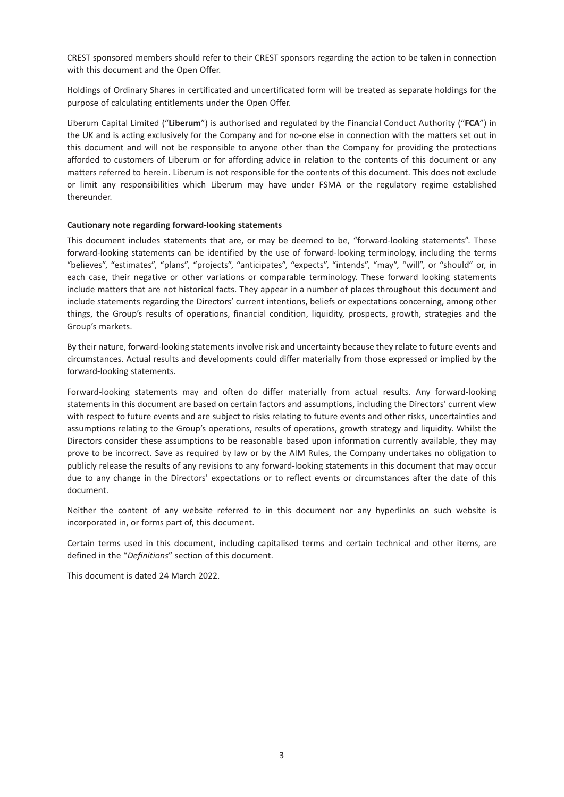CREST sponsored members should refer to their CREST sponsors regarding the action to be taken in connection with this document and the Open Offer.

Holdings of Ordinary Shares in certificated and uncertificated form will be treated as separate holdings for the purpose of calculating entitlements under the Open Offer.

Liberum Capital Limited ("**Liberum**") is authorised and regulated by the Financial Conduct Authority ("**FCA**") in the UK and is acting exclusively for the Company and for no-one else in connection with the matters set out in this document and will not be responsible to anyone other than the Company for providing the protections afforded to customers of Liberum or for affording advice in relation to the contents of this document or any matters referred to herein. Liberum is not responsible for the contents of this document. This does not exclude or limit any responsibilities which Liberum may have under FSMA or the regulatory regime established thereunder.

#### **Cautionary note regarding forward-looking statements**

This document includes statements that are, or may be deemed to be, "forward-looking statements". These forward-looking statements can be identified by the use of forward-looking terminology, including the terms "believes", "estimates", "plans", "projects", "anticipates", "expects", "intends", "may", "will", or "should" or, in each case, their negative or other variations or comparable terminology. These forward looking statements include matters that are not historical facts. They appear in a number of places throughout this document and include statements regarding the Directors' current intentions, beliefs or expectations concerning, among other things, the Group's results of operations, financial condition, liquidity, prospects, growth, strategies and the Group's markets.

By their nature, forward-looking statements involve risk and uncertainty because they relate to future events and circumstances. Actual results and developments could differ materially from those expressed or implied by the forward-looking statements.

Forward-looking statements may and often do differ materially from actual results. Any forward-looking statements in this document are based on certain factors and assumptions, including the Directors' current view with respect to future events and are subject to risks relating to future events and other risks, uncertainties and assumptions relating to the Group's operations, results of operations, growth strategy and liquidity. Whilst the Directors consider these assumptions to be reasonable based upon information currently available, they may prove to be incorrect. Save as required by law or by the AIM Rules, the Company undertakes no obligation to publicly release the results of any revisions to any forward-looking statements in this document that may occur due to any change in the Directors' expectations or to reflect events or circumstances after the date of this document.

Neither the content of any website referred to in this document nor any hyperlinks on such website is incorporated in, or forms part of, this document.

Certain terms used in this document, including capitalised terms and certain technical and other items, are defined in the "*Definitions*" section of this document.

This document is dated 24 March 2022.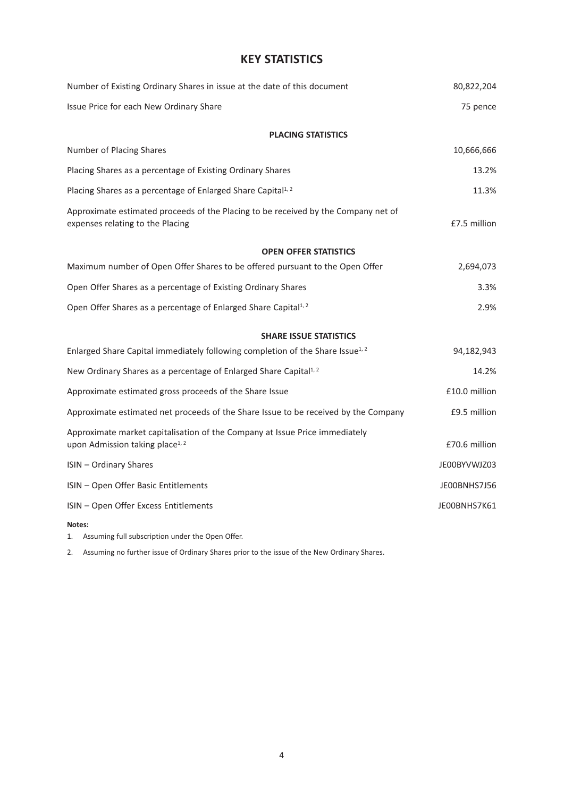## **KEY STATISTICS**

| Number of Existing Ordinary Shares in issue at the date of this document                                                   | 80,822,204    |
|----------------------------------------------------------------------------------------------------------------------------|---------------|
| Issue Price for each New Ordinary Share                                                                                    | 75 pence      |
| <b>PLACING STATISTICS</b>                                                                                                  |               |
| Number of Placing Shares                                                                                                   | 10,666,666    |
| Placing Shares as a percentage of Existing Ordinary Shares                                                                 | 13.2%         |
| Placing Shares as a percentage of Enlarged Share Capital <sup>1, 2</sup>                                                   | 11.3%         |
| Approximate estimated proceeds of the Placing to be received by the Company net of<br>expenses relating to the Placing     | £7.5 million  |
| <b>OPEN OFFER STATISTICS</b>                                                                                               |               |
| Maximum number of Open Offer Shares to be offered pursuant to the Open Offer                                               | 2,694,073     |
| Open Offer Shares as a percentage of Existing Ordinary Shares                                                              | 3.3%          |
| Open Offer Shares as a percentage of Enlarged Share Capital <sup>1, 2</sup>                                                | 2.9%          |
| <b>SHARE ISSUE STATISTICS</b>                                                                                              |               |
| Enlarged Share Capital immediately following completion of the Share Issue <sup>1, 2</sup>                                 | 94,182,943    |
| New Ordinary Shares as a percentage of Enlarged Share Capital <sup>1, 2</sup>                                              | 14.2%         |
| Approximate estimated gross proceeds of the Share Issue                                                                    | £10.0 million |
| Approximate estimated net proceeds of the Share Issue to be received by the Company                                        | £9.5 million  |
| Approximate market capitalisation of the Company at Issue Price immediately<br>upon Admission taking place <sup>1, 2</sup> | £70.6 million |
| <b>ISIN - Ordinary Shares</b>                                                                                              | JE00BYVWJZ03  |
| ISIN - Open Offer Basic Entitlements                                                                                       | JE00BNHS7J56  |
| ISIN - Open Offer Excess Entitlements                                                                                      | JE00BNHS7K61  |
| Notes:                                                                                                                     |               |

1. Assuming full subscription under the Open Offer.

2. Assuming no further issue of Ordinary Shares prior to the issue of the New Ordinary Shares.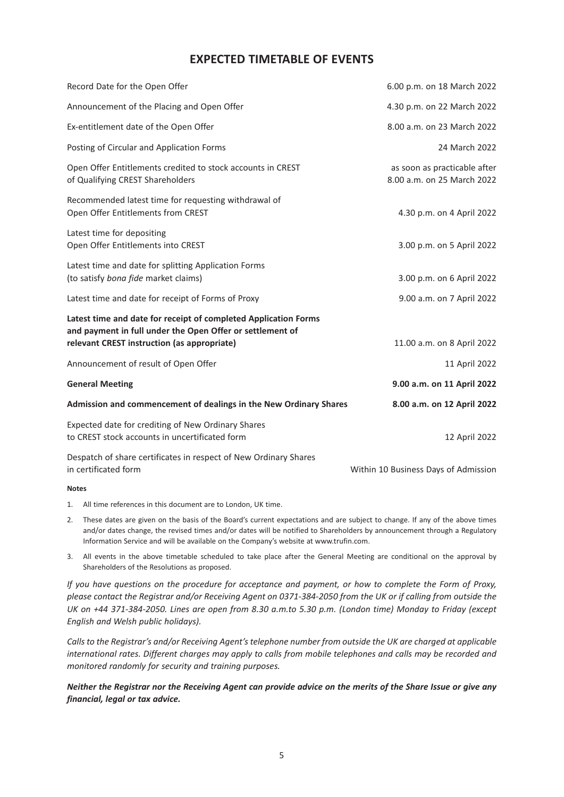## **EXPECTED TIMETABLE OF EVENTS**

| Record Date for the Open Offer                                                                                               | 6.00 p.m. on 18 March 2022                                 |
|------------------------------------------------------------------------------------------------------------------------------|------------------------------------------------------------|
| Announcement of the Placing and Open Offer                                                                                   | 4.30 p.m. on 22 March 2022                                 |
| Ex-entitlement date of the Open Offer                                                                                        | 8.00 a.m. on 23 March 2022                                 |
| Posting of Circular and Application Forms                                                                                    | 24 March 2022                                              |
| Open Offer Entitlements credited to stock accounts in CREST<br>of Qualifying CREST Shareholders                              | as soon as practicable after<br>8.00 a.m. on 25 March 2022 |
| Recommended latest time for requesting withdrawal of<br>Open Offer Entitlements from CREST                                   | 4.30 p.m. on 4 April 2022                                  |
| Latest time for depositing<br>Open Offer Entitlements into CREST                                                             | 3.00 p.m. on 5 April 2022                                  |
| Latest time and date for splitting Application Forms<br>(to satisfy bona fide market claims)                                 | 3.00 p.m. on 6 April 2022                                  |
| Latest time and date for receipt of Forms of Proxy                                                                           | 9.00 a.m. on 7 April 2022                                  |
| Latest time and date for receipt of completed Application Forms<br>and payment in full under the Open Offer or settlement of |                                                            |
| relevant CREST instruction (as appropriate)                                                                                  | 11.00 a.m. on 8 April 2022                                 |
| Announcement of result of Open Offer                                                                                         | 11 April 2022                                              |
| <b>General Meeting</b>                                                                                                       | 9.00 a.m. on 11 April 2022                                 |
| Admission and commencement of dealings in the New Ordinary Shares                                                            | 8.00 a.m. on 12 April 2022                                 |
| Expected date for crediting of New Ordinary Shares<br>to CREST stock accounts in uncertificated form                         | 12 April 2022                                              |
| Despatch of share certificates in respect of New Ordinary Shares<br>in certificated form                                     | Within 10 Business Days of Admission                       |

#### **Notes**

- 1. All time references in this document are to London, UK time.
- 2. These dates are given on the basis of the Board's current expectations and are subject to change. If any of the above times and/or dates change, the revised times and/or dates will be notified to Shareholders by announcement through a Regulatory Information Service and will be available on the Company's website at www.trufin.com.
- 3. All events in the above timetable scheduled to take place after the General Meeting are conditional on the approval by Shareholders of the Resolutions as proposed.

*If you have questions on the procedure for acceptance and payment, or how to complete the Form of Proxy, please contact the Registrar and/or Receiving Agent on 0371-384-2050 from the UK or if calling from outside the UK on +44 371-384-2050. Lines are open from 8.30 a.m.to 5.30 p.m. (London time) Monday to Friday (except English and Welsh public holidays).*

*Calls to the Registrar's and/or Receiving Agent's telephone number from outside the UK are charged at applicable international rates. Different charges may apply to calls from mobile telephones and calls may be recorded and monitored randomly for security and training purposes.*

*Neither the Registrar nor the Receiving Agent can provide advice on the merits of the Share Issue or give any financial, legal or tax advice.*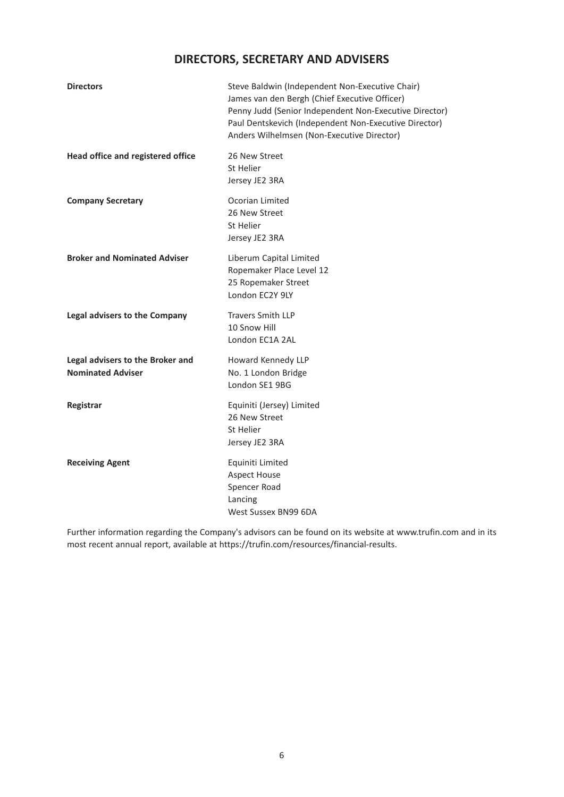# **DIRECTORS, SECRETARY AND ADVISERS**

| <b>Directors</b>                                             | Steve Baldwin (Independent Non-Executive Chair)<br>James van den Bergh (Chief Executive Officer)<br>Penny Judd (Senior Independent Non-Executive Director)<br>Paul Dentskevich (Independent Non-Executive Director)<br>Anders Wilhelmsen (Non-Executive Director) |
|--------------------------------------------------------------|-------------------------------------------------------------------------------------------------------------------------------------------------------------------------------------------------------------------------------------------------------------------|
| Head office and registered office                            | 26 New Street<br>St Helier<br>Jersey JE2 3RA                                                                                                                                                                                                                      |
| <b>Company Secretary</b>                                     | Ocorian Limited<br>26 New Street<br>St Helier<br>Jersey JE2 3RA                                                                                                                                                                                                   |
| <b>Broker and Nominated Adviser</b>                          | Liberum Capital Limited<br>Ropemaker Place Level 12<br>25 Ropemaker Street<br>London EC2Y 9LY                                                                                                                                                                     |
| Legal advisers to the Company                                | <b>Travers Smith LLP</b><br>10 Snow Hill<br>London EC1A 2AL                                                                                                                                                                                                       |
| Legal advisers to the Broker and<br><b>Nominated Adviser</b> | Howard Kennedy LLP<br>No. 1 London Bridge<br>London SE1 9BG                                                                                                                                                                                                       |
| Registrar                                                    | Equiniti (Jersey) Limited<br>26 New Street<br>St Helier<br>Jersey JE2 3RA                                                                                                                                                                                         |
| <b>Receiving Agent</b>                                       | Equiniti Limited<br><b>Aspect House</b><br>Spencer Road<br>Lancing<br>West Sussex BN99 6DA                                                                                                                                                                        |

Further information regarding the Company's advisors can be found on its website at www.trufin.com and in its most recent annual report, available at https://trufin.com/resources/financial-results.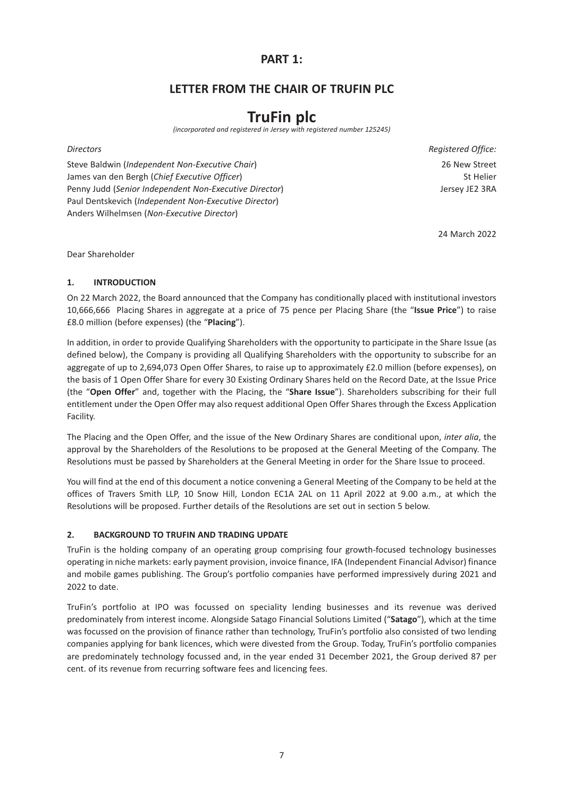## **PART 1:**

## **LETTER FROM THE CHAIR OF TRUFIN PLC**

# **TruFin plc**

*(incorporated and registered in Jersey with registered number 125245)*

Steve Baldwin (*Independent Non-Executive Chair*) 26 New Street James van den Bergh (*Chief Executive Officer*) St Helier Penny Judd (*Senior Independent Non-Executive Director*) Jersey JE2 3RA Paul Dentskevich (*Independent Non-Executive Director*) Anders Wilhelmsen (*Non-Executive Director*)

**Directors** Registered Office:

24 March 2022

Dear Shareholder

## **1. INTRODUCTION**

On 22 March 2022, the Board announced that the Company has conditionally placed with institutional investors 10,666,666 Placing Shares in aggregate at a price of 75 pence per Placing Share (the "**Issue Price**") to raise £8.0 million (before expenses) (the "**Placing**").

In addition, in order to provide Qualifying Shareholders with the opportunity to participate in the Share Issue (as defined below), the Company is providing all Qualifying Shareholders with the opportunity to subscribe for an aggregate of up to 2,694,073 Open Offer Shares, to raise up to approximately £2.0 million (before expenses), on the basis of 1 Open Offer Share for every 30 Existing Ordinary Shares held on the Record Date, at the Issue Price (the "**Open Offer**" and, together with the Placing, the "**Share Issue**"). Shareholders subscribing for their full entitlement under the Open Offer may also request additional Open Offer Shares through the Excess Application Facility.

The Placing and the Open Offer, and the issue of the New Ordinary Shares are conditional upon, *inter alia*, the approval by the Shareholders of the Resolutions to be proposed at the General Meeting of the Company. The Resolutions must be passed by Shareholders at the General Meeting in order for the Share Issue to proceed.

You will find at the end of this document a notice convening a General Meeting of the Company to be held at the offices of Travers Smith LLP, 10 Snow Hill, London EC1A 2AL on 11 April 2022 at 9.00 a.m., at which the Resolutions will be proposed. Further details of the Resolutions are set out in section 5 below.

## **2. BACKGROUND TO TRUFIN AND TRADING UPDATE**

TruFin is the holding company of an operating group comprising four growth-focused technology businesses operating in niche markets: early payment provision, invoice finance, IFA (Independent Financial Advisor) finance and mobile games publishing. The Group's portfolio companies have performed impressively during 2021 and 2022 to date.

TruFin's portfolio at IPO was focussed on speciality lending businesses and its revenue was derived predominately from interest income. Alongside Satago Financial Solutions Limited ("**Satago**"), which at the time was focussed on the provision of finance rather than technology, TruFin's portfolio also consisted of two lending companies applying for bank licences, which were divested from the Group. Today, TruFin's portfolio companies are predominately technology focussed and, in the year ended 31 December 2021, the Group derived 87 per cent. of its revenue from recurring software fees and licencing fees.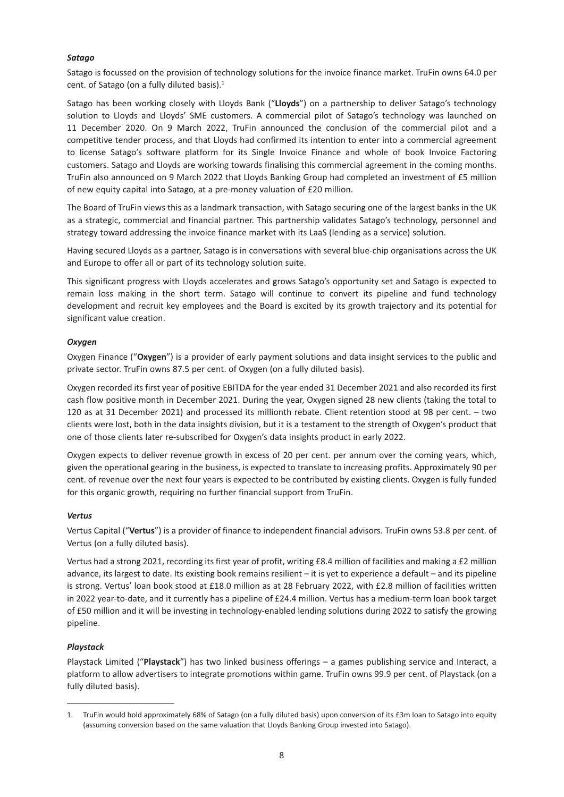#### *Satago*

Satago is focussed on the provision of technology solutions for the invoice finance market. TruFin owns 64.0 per cent. of Satago (on a fully diluted basis). $<sup>1</sup>$ </sup>

Satago has been working closely with Lloyds Bank ("**Lloyds**") on a partnership to deliver Satago's technology solution to Lloyds and Lloyds' SME customers. A commercial pilot of Satago's technology was launched on 11 December 2020. On 9 March 2022, TruFin announced the conclusion of the commercial pilot and a competitive tender process, and that Lloyds had confirmed its intention to enter into a commercial agreement to license Satago's software platform for its Single Invoice Finance and whole of book Invoice Factoring customers. Satago and Lloyds are working towards finalising this commercial agreement in the coming months. TruFin also announced on 9 March 2022 that Lloyds Banking Group had completed an investment of £5 million of new equity capital into Satago, at a pre-money valuation of £20 million.

The Board of TruFin views this as a landmark transaction, with Satago securing one of the largest banks in the UK as a strategic, commercial and financial partner. This partnership validates Satago's technology, personnel and strategy toward addressing the invoice finance market with its LaaS (lending as a service) solution.

Having secured Lloyds as a partner, Satago is in conversations with several blue-chip organisations across the UK and Europe to offer all or part of its technology solution suite.

This significant progress with Lloyds accelerates and grows Satago's opportunity set and Satago is expected to remain loss making in the short term. Satago will continue to convert its pipeline and fund technology development and recruit key employees and the Board is excited by its growth trajectory and its potential for significant value creation.

## *Oxygen*

Oxygen Finance ("**Oxygen**") is a provider of early payment solutions and data insight services to the public and private sector. TruFin owns 87.5 per cent. of Oxygen (on a fully diluted basis).

Oxygen recorded its first year of positive EBITDA for the year ended 31 December 2021 and also recorded its first cash flow positive month in December 2021. During the year, Oxygen signed 28 new clients (taking the total to 120 as at 31 December 2021) and processed its millionth rebate. Client retention stood at 98 per cent. – two clients were lost, both in the data insights division, but it is a testament to the strength of Oxygen's product that one of those clients later re-subscribed for Oxygen's data insights product in early 2022.

Oxygen expects to deliver revenue growth in excess of 20 per cent. per annum over the coming years, which, given the operational gearing in the business, is expected to translate to increasing profits. Approximately 90 per cent. of revenue over the next four years is expected to be contributed by existing clients. Oxygen is fully funded for this organic growth, requiring no further financial support from TruFin.

#### *Vertus*

Vertus Capital ("**Vertus**") is a provider of finance to independent financial advisors. TruFin owns 53.8 per cent. of Vertus (on a fully diluted basis).

Vertus had a strong 2021, recording its first year of profit, writing £8.4 million of facilities and making a £2 million advance, its largest to date. Its existing book remains resilient – it is yet to experience a default – and its pipeline is strong. Vertus' loan book stood at £18.0 million as at 28 February 2022, with £2.8 million of facilities written in 2022 year-to-date, and it currently has a pipeline of £24.4 million. Vertus has a medium-term loan book target of £50 million and it will be investing in technology-enabled lending solutions during 2022 to satisfy the growing pipeline.

## *Playstack*

Playstack Limited ("**Playstack**") has two linked business offerings – a games publishing service and Interact, a platform to allow advertisers to integrate promotions within game. TruFin owns 99.9 per cent. of Playstack (on a fully diluted basis).

<sup>1.</sup> TruFin would hold approximately 68% of Satago (on a fully diluted basis) upon conversion of its £3m loan to Satago into equity (assuming conversion based on the same valuation that Lloyds Banking Group invested into Satago).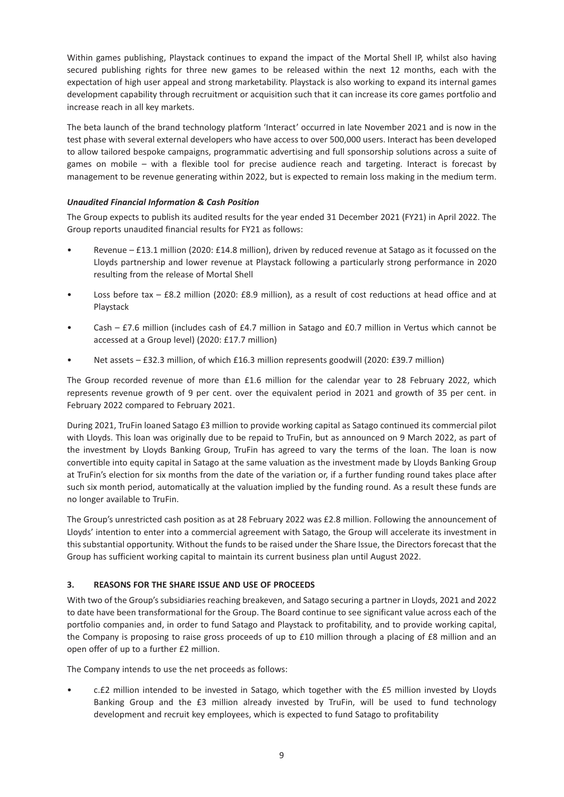Within games publishing, Playstack continues to expand the impact of the Mortal Shell IP, whilst also having secured publishing rights for three new games to be released within the next 12 months, each with the expectation of high user appeal and strong marketability. Playstack is also working to expand its internal games development capability through recruitment or acquisition such that it can increase its core games portfolio and increase reach in all key markets.

The beta launch of the brand technology platform 'Interact' occurred in late November 2021 and is now in the test phase with several external developers who have access to over 500,000 users. Interact has been developed to allow tailored bespoke campaigns, programmatic advertising and full sponsorship solutions across a suite of games on mobile – with a flexible tool for precise audience reach and targeting. Interact is forecast by management to be revenue generating within 2022, but is expected to remain loss making in the medium term.

## *Unaudited Financial Information & Cash Position*

The Group expects to publish its audited results for the year ended 31 December 2021 (FY21) in April 2022. The Group reports unaudited financial results for FY21 as follows:

- Revenue £13.1 million (2020: £14.8 million), driven by reduced revenue at Satago as it focussed on the Lloyds partnership and lower revenue at Playstack following a particularly strong performance in 2020 resulting from the release of Mortal Shell
- Loss before tax £8.2 million (2020: £8.9 million), as a result of cost reductions at head office and at Playstack
- Cash £7.6 million (includes cash of £4.7 million in Satago and £0.7 million in Vertus which cannot be accessed at a Group level) (2020: £17.7 million)
- Net assets £32.3 million, of which £16.3 million represents goodwill (2020: £39.7 million)

The Group recorded revenue of more than £1.6 million for the calendar year to 28 February 2022, which represents revenue growth of 9 per cent. over the equivalent period in 2021 and growth of 35 per cent. in February 2022 compared to February 2021.

During 2021, TruFin loaned Satago £3 million to provide working capital as Satago continued its commercial pilot with Lloyds. This loan was originally due to be repaid to TruFin, but as announced on 9 March 2022, as part of the investment by Lloyds Banking Group, TruFin has agreed to vary the terms of the loan. The loan is now convertible into equity capital in Satago at the same valuation as the investment made by Lloyds Banking Group at TruFin's election for six months from the date of the variation or, if a further funding round takes place after such six month period, automatically at the valuation implied by the funding round. As a result these funds are no longer available to TruFin.

The Group's unrestricted cash position as at 28 February 2022 was £2.8 million. Following the announcement of Lloyds' intention to enter into a commercial agreement with Satago, the Group will accelerate its investment in this substantial opportunity. Without the funds to be raised under the Share Issue, the Directors forecast that the Group has sufficient working capital to maintain its current business plan until August 2022.

## **3. REASONS FOR THE SHARE ISSUE AND USE OF PROCEEDS**

With two of the Group's subsidiaries reaching breakeven, and Satago securing a partner in Lloyds, 2021 and 2022 to date have been transformational for the Group. The Board continue to see significant value across each of the portfolio companies and, in order to fund Satago and Playstack to profitability, and to provide working capital, the Company is proposing to raise gross proceeds of up to £10 million through a placing of £8 million and an open offer of up to a further £2 million.

The Company intends to use the net proceeds as follows:

• c.£2 million intended to be invested in Satago, which together with the £5 million invested by Lloyds Banking Group and the £3 million already invested by TruFin, will be used to fund technology development and recruit key employees, which is expected to fund Satago to profitability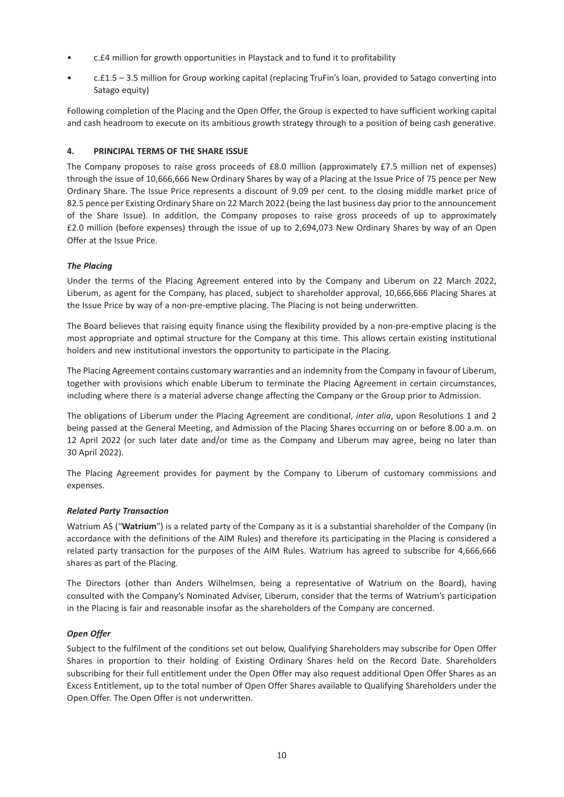- c.£4 million for growth opportunities in Playstack and to fund it to profitability
- c.£1.5 3.5 million for Group working capital (replacing TruFin's loan, provided to Satago converting into Satago equity)

Following completion of the Placing and the Open Offer, the Group is expected to have sufficient working capital and cash headroom to execute on its ambitious growth strategy through to a position of being cash generative.

## **4. PRINCIPAL TERMS OF THE SHARE ISSUE**

The Company proposes to raise gross proceeds of £8.0 million (approximately £7.5 million net of expenses) through the issue of 10,666,666 New Ordinary Shares by way of a Placing at the Issue Price of 75 pence per New Ordinary Share. The Issue Price represents a discount of 9.09 per cent. to the closing middle market price of 82.5 pence per Existing Ordinary Share on 22 March 2022 (being the last business day prior to the announcement of the Share Issue). In addition, the Company proposes to raise gross proceeds of up to approximately £2.0 million (before expenses) through the issue of up to 2,694,073 New Ordinary Shares by way of an Open Offer at the Issue Price.

## *The Placing*

Under the terms of the Placing Agreement entered into by the Company and Liberum on 22 March 2022, Liberum, as agent for the Company, has placed, subject to shareholder approval, 10,666,666 Placing Shares at the Issue Price by way of a non-pre-emptive placing. The Placing is not being underwritten.

The Board believes that raising equity finance using the flexibility provided by a non-pre-emptive placing is the most appropriate and optimal structure for the Company at this time. This allows certain existing institutional holders and new institutional investors the opportunity to participate in the Placing.

The Placing Agreement contains customary warranties and an indemnity from the Company in favour of Liberum, together with provisions which enable Liberum to terminate the Placing Agreement in certain circumstances, including where there is a material adverse change affecting the Company or the Group prior to Admission.

The obligations of Liberum under the Placing Agreement are conditional, *inter alia*, upon Resolutions 1 and 2 being passed at the General Meeting, and Admission of the Placing Shares occurring on or before 8.00 a.m. on 12 April 2022 (or such later date and/or time as the Company and Liberum may agree, being no later than 30 April 2022).

The Placing Agreement provides for payment by the Company to Liberum of customary commissions and expenses.

## *Related Party Transaction*

Watrium AS ("**Watrium**") is a related party of the Company as it is a substantial shareholder of the Company (in accordance with the definitions of the AIM Rules) and therefore its participating in the Placing is considered a related party transaction for the purposes of the AIM Rules. Watrium has agreed to subscribe for 4,666,666 shares as part of the Placing.

The Directors (other than Anders Wilhelmsen, being a representative of Watrium on the Board), having consulted with the Company's Nominated Adviser, Liberum, consider that the terms of Watrium's participation in the Placing is fair and reasonable insofar as the shareholders of the Company are concerned.

## *Open Offer*

Subject to the fulfilment of the conditions set out below, Qualifying Shareholders may subscribe for Open Offer Shares in proportion to their holding of Existing Ordinary Shares held on the Record Date. Shareholders subscribing for their full entitlement under the Open Offer may also request additional Open Offer Shares as an Excess Entitlement, up to the total number of Open Offer Shares available to Qualifying Shareholders under the Open Offer. The Open Offer is not underwritten.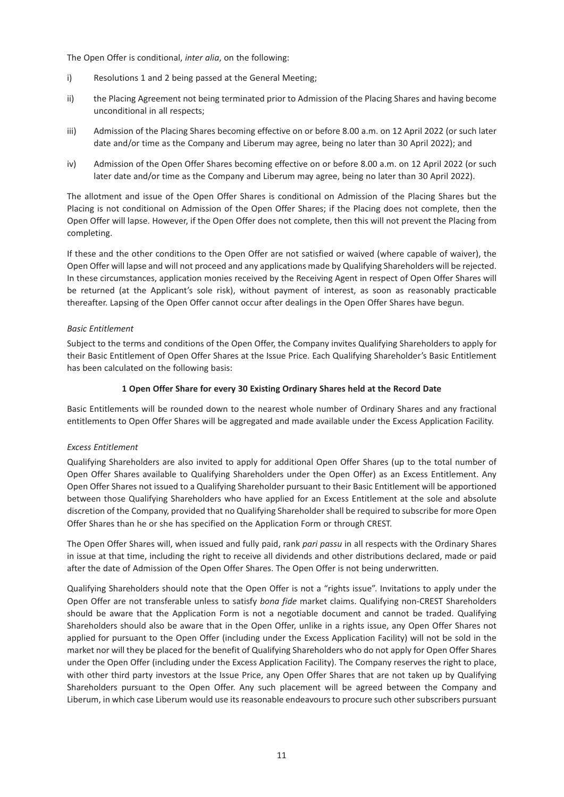The Open Offer is conditional, *inter alia*, on the following:

- i) Resolutions 1 and 2 being passed at the General Meeting;
- ii) the Placing Agreement not being terminated prior to Admission of the Placing Shares and having become unconditional in all respects;
- iii) Admission of the Placing Shares becoming effective on or before 8.00 a.m. on 12 April 2022 (or such later date and/or time as the Company and Liberum may agree, being no later than 30 April 2022); and
- iv) Admission of the Open Offer Shares becoming effective on or before 8.00 a.m. on 12 April 2022 (or such later date and/or time as the Company and Liberum may agree, being no later than 30 April 2022).

The allotment and issue of the Open Offer Shares is conditional on Admission of the Placing Shares but the Placing is not conditional on Admission of the Open Offer Shares; if the Placing does not complete, then the Open Offer will lapse. However, if the Open Offer does not complete, then this will not prevent the Placing from completing.

If these and the other conditions to the Open Offer are not satisfied or waived (where capable of waiver), the Open Offer will lapse and will not proceed and any applications made by Qualifying Shareholders will be rejected. In these circumstances, application monies received by the Receiving Agent in respect of Open Offer Shares will be returned (at the Applicant's sole risk), without payment of interest, as soon as reasonably practicable thereafter. Lapsing of the Open Offer cannot occur after dealings in the Open Offer Shares have begun.

#### *Basic Entitlement*

Subject to the terms and conditions of the Open Offer, the Company invites Qualifying Shareholders to apply for their Basic Entitlement of Open Offer Shares at the Issue Price. Each Qualifying Shareholder's Basic Entitlement has been calculated on the following basis:

#### **1 Open Offer Share for every 30 Existing Ordinary Shares held at the Record Date**

Basic Entitlements will be rounded down to the nearest whole number of Ordinary Shares and any fractional entitlements to Open Offer Shares will be aggregated and made available under the Excess Application Facility.

## *Excess Entitlement*

Qualifying Shareholders are also invited to apply for additional Open Offer Shares (up to the total number of Open Offer Shares available to Qualifying Shareholders under the Open Offer) as an Excess Entitlement. Any Open Offer Shares not issued to a Qualifying Shareholder pursuant to their Basic Entitlement will be apportioned between those Qualifying Shareholders who have applied for an Excess Entitlement at the sole and absolute discretion of the Company, provided that no Qualifying Shareholder shall be required to subscribe for more Open Offer Shares than he or she has specified on the Application Form or through CREST.

The Open Offer Shares will, when issued and fully paid, rank *pari passu* in all respects with the Ordinary Shares in issue at that time, including the right to receive all dividends and other distributions declared, made or paid after the date of Admission of the Open Offer Shares. The Open Offer is not being underwritten.

Qualifying Shareholders should note that the Open Offer is not a "rights issue". Invitations to apply under the Open Offer are not transferable unless to satisfy *bona fide* market claims. Qualifying non-CREST Shareholders should be aware that the Application Form is not a negotiable document and cannot be traded. Qualifying Shareholders should also be aware that in the Open Offer, unlike in a rights issue, any Open Offer Shares not applied for pursuant to the Open Offer (including under the Excess Application Facility) will not be sold in the market nor will they be placed for the benefit of Qualifying Shareholders who do not apply for Open Offer Shares under the Open Offer (including under the Excess Application Facility). The Company reserves the right to place, with other third party investors at the Issue Price, any Open Offer Shares that are not taken up by Qualifying Shareholders pursuant to the Open Offer. Any such placement will be agreed between the Company and Liberum, in which case Liberum would use its reasonable endeavours to procure such other subscribers pursuant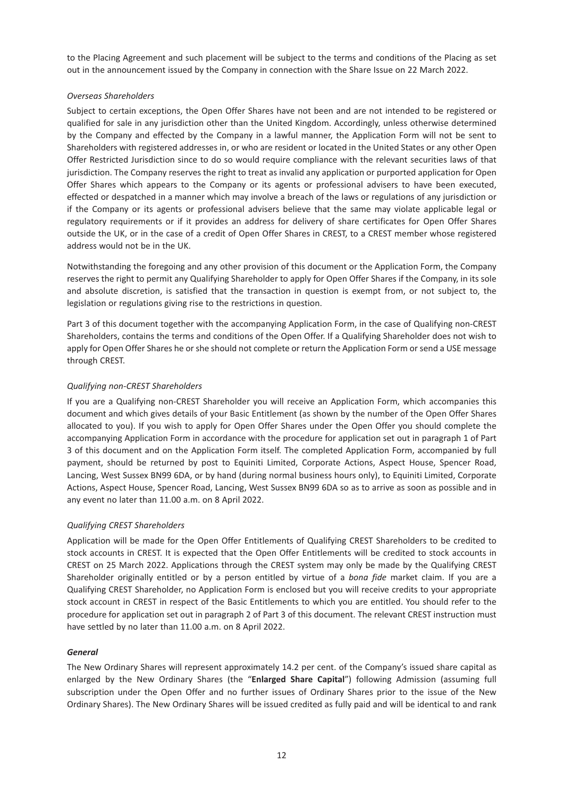to the Placing Agreement and such placement will be subject to the terms and conditions of the Placing as set out in the announcement issued by the Company in connection with the Share Issue on 22 March 2022.

## *Overseas Shareholders*

Subject to certain exceptions, the Open Offer Shares have not been and are not intended to be registered or qualified for sale in any jurisdiction other than the United Kingdom. Accordingly, unless otherwise determined by the Company and effected by the Company in a lawful manner, the Application Form will not be sent to Shareholders with registered addresses in, or who are resident or located in the United States or any other Open Offer Restricted Jurisdiction since to do so would require compliance with the relevant securities laws of that jurisdiction. The Company reserves the right to treat as invalid any application or purported application for Open Offer Shares which appears to the Company or its agents or professional advisers to have been executed, effected or despatched in a manner which may involve a breach of the laws or regulations of any jurisdiction or if the Company or its agents or professional advisers believe that the same may violate applicable legal or regulatory requirements or if it provides an address for delivery of share certificates for Open Offer Shares outside the UK, or in the case of a credit of Open Offer Shares in CREST, to a CREST member whose registered address would not be in the UK.

Notwithstanding the foregoing and any other provision of this document or the Application Form, the Company reserves the right to permit any Qualifying Shareholder to apply for Open Offer Shares if the Company, in its sole and absolute discretion, is satisfied that the transaction in question is exempt from, or not subject to, the legislation or regulations giving rise to the restrictions in question.

Part 3 of this document together with the accompanying Application Form, in the case of Qualifying non-CREST Shareholders, contains the terms and conditions of the Open Offer. If a Qualifying Shareholder does not wish to apply for Open Offer Shares he or she should not complete or return the Application Form or send a USE message through CREST.

## *Qualifying non-CREST Shareholders*

If you are a Qualifying non-CREST Shareholder you will receive an Application Form, which accompanies this document and which gives details of your Basic Entitlement (as shown by the number of the Open Offer Shares allocated to you). If you wish to apply for Open Offer Shares under the Open Offer you should complete the accompanying Application Form in accordance with the procedure for application set out in paragraph 1 of Part 3 of this document and on the Application Form itself. The completed Application Form, accompanied by full payment, should be returned by post to Equiniti Limited, Corporate Actions, Aspect House, Spencer Road, Lancing, West Sussex BN99 6DA, or by hand (during normal business hours only), to Equiniti Limited, Corporate Actions, Aspect House, Spencer Road, Lancing, West Sussex BN99 6DA so as to arrive as soon as possible and in any event no later than 11.00 a.m. on 8 April 2022.

## *Qualifying CREST Shareholders*

Application will be made for the Open Offer Entitlements of Qualifying CREST Shareholders to be credited to stock accounts in CREST. It is expected that the Open Offer Entitlements will be credited to stock accounts in CREST on 25 March 2022. Applications through the CREST system may only be made by the Qualifying CREST Shareholder originally entitled or by a person entitled by virtue of a *bona fide* market claim. If you are a Qualifying CREST Shareholder, no Application Form is enclosed but you will receive credits to your appropriate stock account in CREST in respect of the Basic Entitlements to which you are entitled. You should refer to the procedure for application set out in paragraph 2 of Part 3 of this document. The relevant CREST instruction must have settled by no later than 11.00 a.m. on 8 April 2022.

#### *General*

The New Ordinary Shares will represent approximately 14.2 per cent. of the Company's issued share capital as enlarged by the New Ordinary Shares (the "**Enlarged Share Capital**") following Admission (assuming full subscription under the Open Offer and no further issues of Ordinary Shares prior to the issue of the New Ordinary Shares). The New Ordinary Shares will be issued credited as fully paid and will be identical to and rank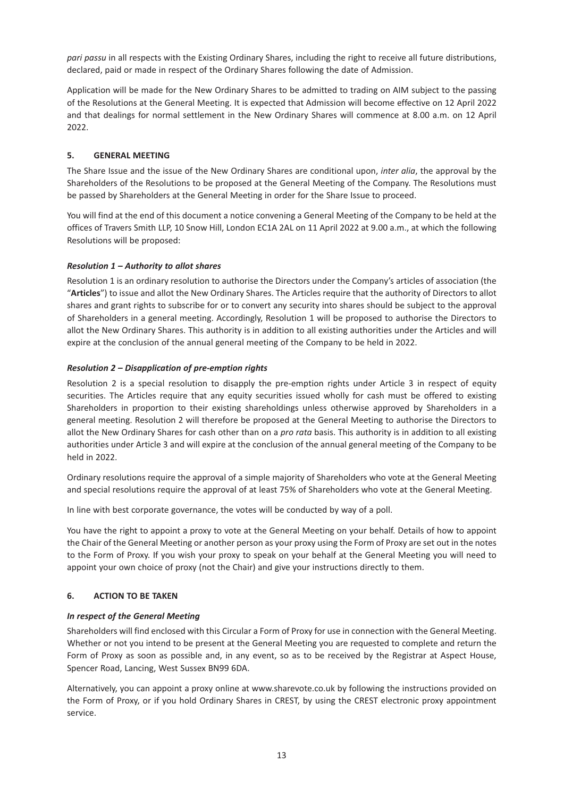*pari passu* in all respects with the Existing Ordinary Shares, including the right to receive all future distributions, declared, paid or made in respect of the Ordinary Shares following the date of Admission.

Application will be made for the New Ordinary Shares to be admitted to trading on AIM subject to the passing of the Resolutions at the General Meeting. It is expected that Admission will become effective on 12 April 2022 and that dealings for normal settlement in the New Ordinary Shares will commence at 8.00 a.m. on 12 April 2022.

## **5. GENERAL MEETING**

The Share Issue and the issue of the New Ordinary Shares are conditional upon, *inter alia*, the approval by the Shareholders of the Resolutions to be proposed at the General Meeting of the Company. The Resolutions must be passed by Shareholders at the General Meeting in order for the Share Issue to proceed.

You will find at the end of this document a notice convening a General Meeting of the Company to be held at the offices of Travers Smith LLP, 10 Snow Hill, London EC1A 2AL on 11 April 2022 at 9.00 a.m., at which the following Resolutions will be proposed:

## *Resolution 1 – Authority to allot shares*

Resolution 1 is an ordinary resolution to authorise the Directors under the Company's articles of association (the "**Articles**") to issue and allot the New Ordinary Shares. The Articles require that the authority of Directors to allot shares and grant rights to subscribe for or to convert any security into shares should be subject to the approval of Shareholders in a general meeting. Accordingly, Resolution 1 will be proposed to authorise the Directors to allot the New Ordinary Shares. This authority is in addition to all existing authorities under the Articles and will expire at the conclusion of the annual general meeting of the Company to be held in 2022.

## *Resolution 2 – Disapplication of pre-emption rights*

Resolution 2 is a special resolution to disapply the pre-emption rights under Article 3 in respect of equity securities. The Articles require that any equity securities issued wholly for cash must be offered to existing Shareholders in proportion to their existing shareholdings unless otherwise approved by Shareholders in a general meeting. Resolution 2 will therefore be proposed at the General Meeting to authorise the Directors to allot the New Ordinary Shares for cash other than on a *pro rata* basis. This authority is in addition to all existing authorities under Article 3 and will expire at the conclusion of the annual general meeting of the Company to be held in 2022.

Ordinary resolutions require the approval of a simple majority of Shareholders who vote at the General Meeting and special resolutions require the approval of at least 75% of Shareholders who vote at the General Meeting.

In line with best corporate governance, the votes will be conducted by way of a poll.

You have the right to appoint a proxy to vote at the General Meeting on your behalf. Details of how to appoint the Chair of the General Meeting or another person as your proxy using the Form of Proxy are set out in the notes to the Form of Proxy. If you wish your proxy to speak on your behalf at the General Meeting you will need to appoint your own choice of proxy (not the Chair) and give your instructions directly to them.

## **6. ACTION TO BE TAKEN**

## *In respect of the General Meeting*

Shareholders will find enclosed with this Circular a Form of Proxy for use in connection with the General Meeting. Whether or not you intend to be present at the General Meeting you are requested to complete and return the Form of Proxy as soon as possible and, in any event, so as to be received by the Registrar at Aspect House, Spencer Road, Lancing, West Sussex BN99 6DA.

Alternatively, you can appoint a proxy online at www.sharevote.co.uk by following the instructions provided on the Form of Proxy, or if you hold Ordinary Shares in CREST, by using the CREST electronic proxy appointment service.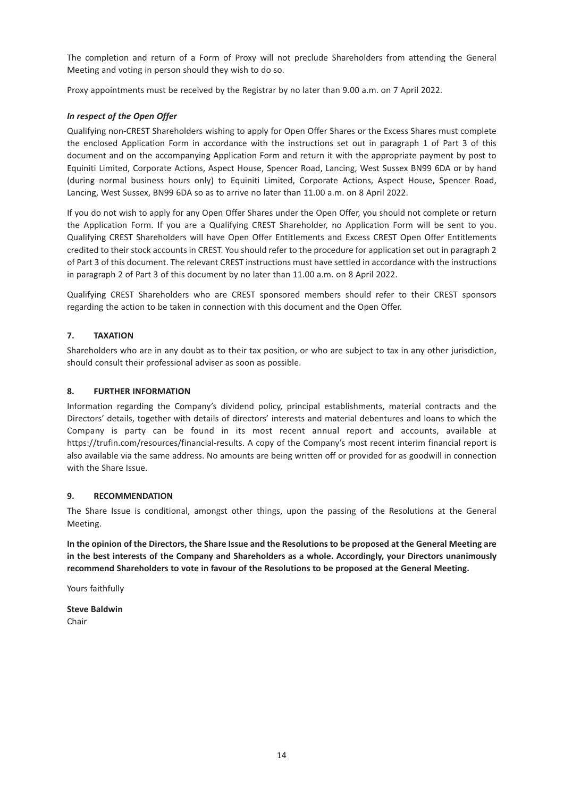The completion and return of a Form of Proxy will not preclude Shareholders from attending the General Meeting and voting in person should they wish to do so.

Proxy appointments must be received by the Registrar by no later than 9.00 a.m. on 7 April 2022.

## *In respect of the Open Offer*

Qualifying non-CREST Shareholders wishing to apply for Open Offer Shares or the Excess Shares must complete the enclosed Application Form in accordance with the instructions set out in paragraph 1 of Part 3 of this document and on the accompanying Application Form and return it with the appropriate payment by post to Equiniti Limited, Corporate Actions, Aspect House, Spencer Road, Lancing, West Sussex BN99 6DA or by hand (during normal business hours only) to Equiniti Limited, Corporate Actions, Aspect House, Spencer Road, Lancing, West Sussex, BN99 6DA so as to arrive no later than 11.00 a.m. on 8 April 2022.

If you do not wish to apply for any Open Offer Shares under the Open Offer, you should not complete or return the Application Form. If you are a Qualifying CREST Shareholder, no Application Form will be sent to you. Qualifying CREST Shareholders will have Open Offer Entitlements and Excess CREST Open Offer Entitlements credited to their stock accounts in CREST. You should refer to the procedure for application set out in paragraph 2 of Part 3 of this document. The relevant CREST instructions must have settled in accordance with the instructions in paragraph 2 of Part 3 of this document by no later than 11.00 a.m. on 8 April 2022.

Qualifying CREST Shareholders who are CREST sponsored members should refer to their CREST sponsors regarding the action to be taken in connection with this document and the Open Offer.

## **7. TAXATION**

Shareholders who are in any doubt as to their tax position, or who are subject to tax in any other jurisdiction, should consult their professional adviser as soon as possible.

#### **8. FURTHER INFORMATION**

Information regarding the Company's dividend policy, principal establishments, material contracts and the Directors' details, together with details of directors' interests and material debentures and loans to which the Company is party can be found in its most recent annual report and accounts, available at https://trufin.com/resources/financial-results. A copy of the Company's most recent interim financial report is also available via the same address. No amounts are being written off or provided for as goodwill in connection with the Share Issue.

#### **9. RECOMMENDATION**

The Share Issue is conditional, amongst other things, upon the passing of the Resolutions at the General Meeting.

**In the opinion of the Directors, the Share Issue and the Resolutions to be proposed at the General Meeting are in the best interests of the Company and Shareholders as a whole. Accordingly, your Directors unanimously recommend Shareholders to vote in favour of the Resolutions to be proposed at the General Meeting.**

Yours faithfully

**Steve Baldwin** Chair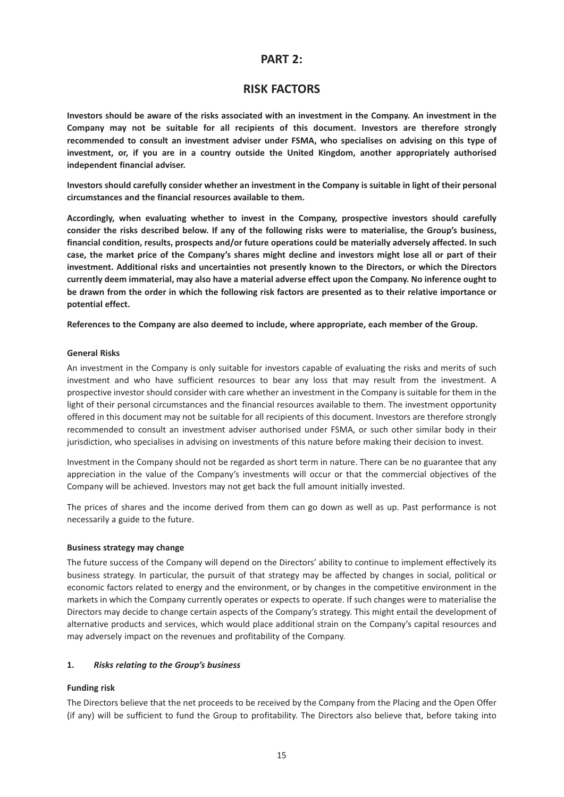## **PART 2:**

## **RISK FACTORS**

**Investors should be aware of the risks associated with an investment in the Company. An investment in the Company may not be suitable for all recipients of this document. Investors are therefore strongly recommended to consult an investment adviser under FSMA, who specialises on advising on this type of investment, or, if you are in a country outside the United Kingdom, another appropriately authorised independent financial adviser.**

**Investors should carefully consider whether an investment in the Company is suitable in light of their personal circumstances and the financial resources available to them.**

**Accordingly, when evaluating whether to invest in the Company, prospective investors should carefully consider the risks described below. If any of the following risks were to materialise, the Group's business, financial condition, results, prospects and/or future operations could be materially adversely affected. In such case, the market price of the Company's shares might decline and investors might lose all or part of their investment. Additional risks and uncertainties not presently known to the Directors, or which the Directors currently deem immaterial, may also have a material adverse effect upon the Company. No inference ought to be drawn from the order in which the following risk factors are presented as to their relative importance or potential effect.**

**References to the Company are also deemed to include, where appropriate, each member of the Group.**

#### **General Risks**

An investment in the Company is only suitable for investors capable of evaluating the risks and merits of such investment and who have sufficient resources to bear any loss that may result from the investment. A prospective investor should consider with care whether an investment in the Company is suitable for them in the light of their personal circumstances and the financial resources available to them. The investment opportunity offered in this document may not be suitable for all recipients of this document. Investors are therefore strongly recommended to consult an investment adviser authorised under FSMA, or such other similar body in their jurisdiction, who specialises in advising on investments of this nature before making their decision to invest.

Investment in the Company should not be regarded as short term in nature. There can be no guarantee that any appreciation in the value of the Company's investments will occur or that the commercial objectives of the Company will be achieved. Investors may not get back the full amount initially invested.

The prices of shares and the income derived from them can go down as well as up. Past performance is not necessarily a guide to the future.

#### **Business strategy may change**

The future success of the Company will depend on the Directors' ability to continue to implement effectively its business strategy. In particular, the pursuit of that strategy may be affected by changes in social, political or economic factors related to energy and the environment, or by changes in the competitive environment in the markets in which the Company currently operates or expects to operate. If such changes were to materialise the Directors may decide to change certain aspects of the Company's strategy. This might entail the development of alternative products and services, which would place additional strain on the Company's capital resources and may adversely impact on the revenues and profitability of the Company.

#### **1.** *Risks relating to the Group's business*

#### **Funding risk**

The Directors believe that the net proceeds to be received by the Company from the Placing and the Open Offer (if any) will be sufficient to fund the Group to profitability. The Directors also believe that, before taking into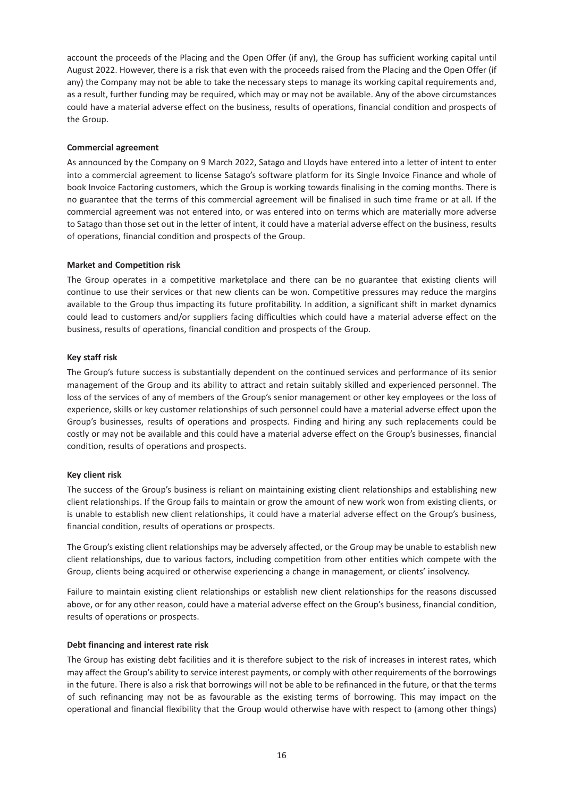account the proceeds of the Placing and the Open Offer (if any), the Group has sufficient working capital until August 2022. However, there is a risk that even with the proceeds raised from the Placing and the Open Offer (if any) the Company may not be able to take the necessary steps to manage its working capital requirements and, as a result, further funding may be required, which may or may not be available. Any of the above circumstances could have a material adverse effect on the business, results of operations, financial condition and prospects of the Group.

#### **Commercial agreement**

As announced by the Company on 9 March 2022, Satago and Lloyds have entered into a letter of intent to enter into a commercial agreement to license Satago's software platform for its Single Invoice Finance and whole of book Invoice Factoring customers, which the Group is working towards finalising in the coming months. There is no guarantee that the terms of this commercial agreement will be finalised in such time frame or at all. If the commercial agreement was not entered into, or was entered into on terms which are materially more adverse to Satago than those set out in the letter of intent, it could have a material adverse effect on the business, results of operations, financial condition and prospects of the Group.

## **Market and Competition risk**

The Group operates in a competitive marketplace and there can be no guarantee that existing clients will continue to use their services or that new clients can be won. Competitive pressures may reduce the margins available to the Group thus impacting its future profitability. In addition, a significant shift in market dynamics could lead to customers and/or suppliers facing difficulties which could have a material adverse effect on the business, results of operations, financial condition and prospects of the Group.

## **Key staff risk**

The Group's future success is substantially dependent on the continued services and performance of its senior management of the Group and its ability to attract and retain suitably skilled and experienced personnel. The loss of the services of any of members of the Group's senior management or other key employees or the loss of experience, skills or key customer relationships of such personnel could have a material adverse effect upon the Group's businesses, results of operations and prospects. Finding and hiring any such replacements could be costly or may not be available and this could have a material adverse effect on the Group's businesses, financial condition, results of operations and prospects.

## **Key client risk**

The success of the Group's business is reliant on maintaining existing client relationships and establishing new client relationships. If the Group fails to maintain or grow the amount of new work won from existing clients, or is unable to establish new client relationships, it could have a material adverse effect on the Group's business, financial condition, results of operations or prospects.

The Group's existing client relationships may be adversely affected, or the Group may be unable to establish new client relationships, due to various factors, including competition from other entities which compete with the Group, clients being acquired or otherwise experiencing a change in management, or clients' insolvency.

Failure to maintain existing client relationships or establish new client relationships for the reasons discussed above, or for any other reason, could have a material adverse effect on the Group's business, financial condition, results of operations or prospects.

#### **Debt financing and interest rate risk**

The Group has existing debt facilities and it is therefore subject to the risk of increases in interest rates, which may affect the Group's ability to service interest payments, or comply with other requirements of the borrowings in the future. There is also a risk that borrowings will not be able to be refinanced in the future, or that the terms of such refinancing may not be as favourable as the existing terms of borrowing. This may impact on the operational and financial flexibility that the Group would otherwise have with respect to (among other things)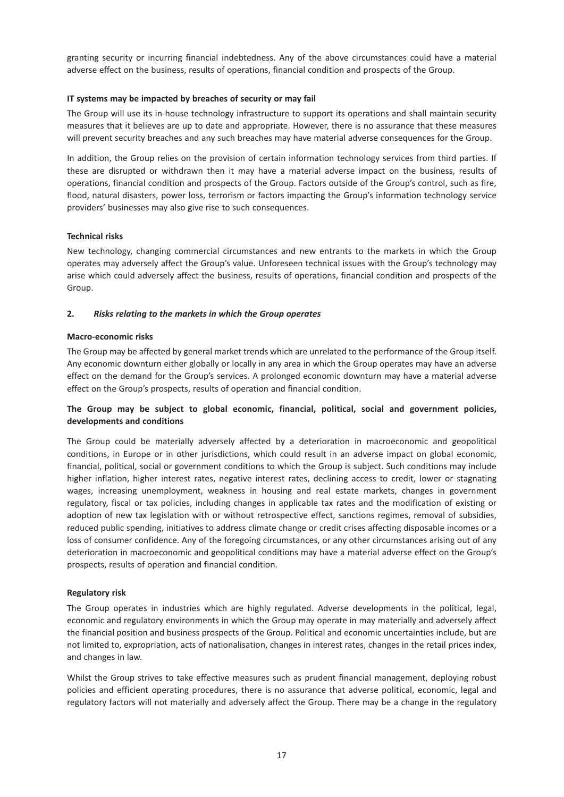granting security or incurring financial indebtedness. Any of the above circumstances could have a material adverse effect on the business, results of operations, financial condition and prospects of the Group.

## **IT systems may be impacted by breaches of security or may fail**

The Group will use its in-house technology infrastructure to support its operations and shall maintain security measures that it believes are up to date and appropriate. However, there is no assurance that these measures will prevent security breaches and any such breaches may have material adverse consequences for the Group.

In addition, the Group relies on the provision of certain information technology services from third parties. If these are disrupted or withdrawn then it may have a material adverse impact on the business, results of operations, financial condition and prospects of the Group. Factors outside of the Group's control, such as fire, flood, natural disasters, power loss, terrorism or factors impacting the Group's information technology service providers' businesses may also give rise to such consequences.

#### **Technical risks**

New technology, changing commercial circumstances and new entrants to the markets in which the Group operates may adversely affect the Group's value. Unforeseen technical issues with the Group's technology may arise which could adversely affect the business, results of operations, financial condition and prospects of the Group.

## **2.** *Risks relating to the markets in which the Group operates*

#### **Macro-economic risks**

The Group may be affected by general market trends which are unrelated to the performance of the Group itself. Any economic downturn either globally or locally in any area in which the Group operates may have an adverse effect on the demand for the Group's services. A prolonged economic downturn may have a material adverse effect on the Group's prospects, results of operation and financial condition.

## **The Group may be subject to global economic, financial, political, social and government policies, developments and conditions**

The Group could be materially adversely affected by a deterioration in macroeconomic and geopolitical conditions, in Europe or in other jurisdictions, which could result in an adverse impact on global economic, financial, political, social or government conditions to which the Group is subject. Such conditions may include higher inflation, higher interest rates, negative interest rates, declining access to credit, lower or stagnating wages, increasing unemployment, weakness in housing and real estate markets, changes in government regulatory, fiscal or tax policies, including changes in applicable tax rates and the modification of existing or adoption of new tax legislation with or without retrospective effect, sanctions regimes, removal of subsidies, reduced public spending, initiatives to address climate change or credit crises affecting disposable incomes or a loss of consumer confidence. Any of the foregoing circumstances, or any other circumstances arising out of any deterioration in macroeconomic and geopolitical conditions may have a material adverse effect on the Group's prospects, results of operation and financial condition.

#### **Regulatory risk**

The Group operates in industries which are highly regulated. Adverse developments in the political, legal, economic and regulatory environments in which the Group may operate in may materially and adversely affect the financial position and business prospects of the Group. Political and economic uncertainties include, but are not limited to, expropriation, acts of nationalisation, changes in interest rates, changes in the retail prices index, and changes in law.

Whilst the Group strives to take effective measures such as prudent financial management, deploying robust policies and efficient operating procedures, there is no assurance that adverse political, economic, legal and regulatory factors will not materially and adversely affect the Group. There may be a change in the regulatory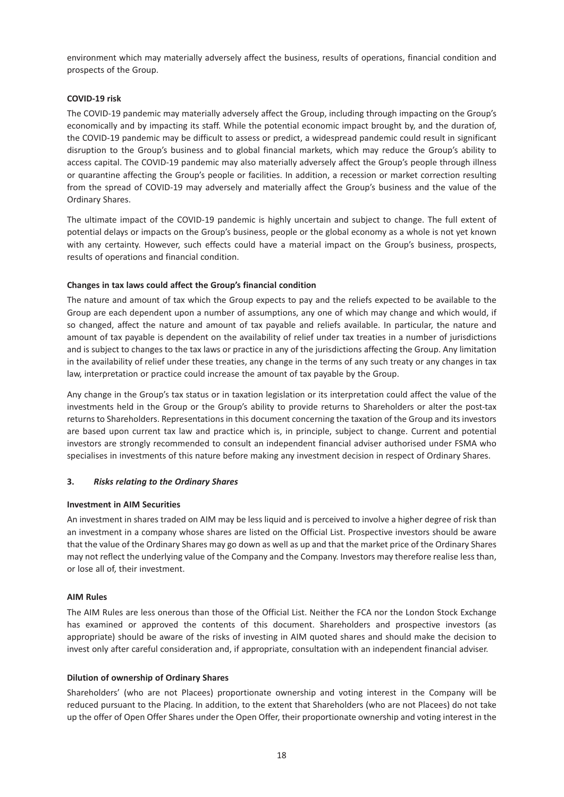environment which may materially adversely affect the business, results of operations, financial condition and prospects of the Group.

## **COVID-19 risk**

The COVID-19 pandemic may materially adversely affect the Group, including through impacting on the Group's economically and by impacting its staff. While the potential economic impact brought by, and the duration of, the COVID-19 pandemic may be difficult to assess or predict, a widespread pandemic could result in significant disruption to the Group's business and to global financial markets, which may reduce the Group's ability to access capital. The COVID-19 pandemic may also materially adversely affect the Group's people through illness or quarantine affecting the Group's people or facilities. In addition, a recession or market correction resulting from the spread of COVID-19 may adversely and materially affect the Group's business and the value of the Ordinary Shares.

The ultimate impact of the COVID-19 pandemic is highly uncertain and subject to change. The full extent of potential delays or impacts on the Group's business, people or the global economy as a whole is not yet known with any certainty. However, such effects could have a material impact on the Group's business, prospects, results of operations and financial condition.

## **Changes in tax laws could affect the Group's financial condition**

The nature and amount of tax which the Group expects to pay and the reliefs expected to be available to the Group are each dependent upon a number of assumptions, any one of which may change and which would, if so changed, affect the nature and amount of tax payable and reliefs available. In particular, the nature and amount of tax payable is dependent on the availability of relief under tax treaties in a number of jurisdictions and is subject to changes to the tax laws or practice in any of the jurisdictions affecting the Group. Any limitation in the availability of relief under these treaties, any change in the terms of any such treaty or any changes in tax law, interpretation or practice could increase the amount of tax payable by the Group.

Any change in the Group's tax status or in taxation legislation or its interpretation could affect the value of the investments held in the Group or the Group's ability to provide returns to Shareholders or alter the post-tax returns to Shareholders. Representations in this document concerning the taxation of the Group and its investors are based upon current tax law and practice which is, in principle, subject to change. Current and potential investors are strongly recommended to consult an independent financial adviser authorised under FSMA who specialises in investments of this nature before making any investment decision in respect of Ordinary Shares.

#### **3.** *Risks relating to the Ordinary Shares*

#### **Investment in AIM Securities**

An investment in shares traded on AIM may be less liquid and is perceived to involve a higher degree of risk than an investment in a company whose shares are listed on the Official List. Prospective investors should be aware that the value of the Ordinary Shares may go down as well as up and that the market price of the Ordinary Shares may not reflect the underlying value of the Company and the Company. Investors may therefore realise less than, or lose all of, their investment.

#### **AIM Rules**

The AIM Rules are less onerous than those of the Official List. Neither the FCA nor the London Stock Exchange has examined or approved the contents of this document. Shareholders and prospective investors (as appropriate) should be aware of the risks of investing in AIM quoted shares and should make the decision to invest only after careful consideration and, if appropriate, consultation with an independent financial adviser.

#### **Dilution of ownership of Ordinary Shares**

Shareholders' (who are not Placees) proportionate ownership and voting interest in the Company will be reduced pursuant to the Placing. In addition, to the extent that Shareholders (who are not Placees) do not take up the offer of Open Offer Shares under the Open Offer, their proportionate ownership and voting interest in the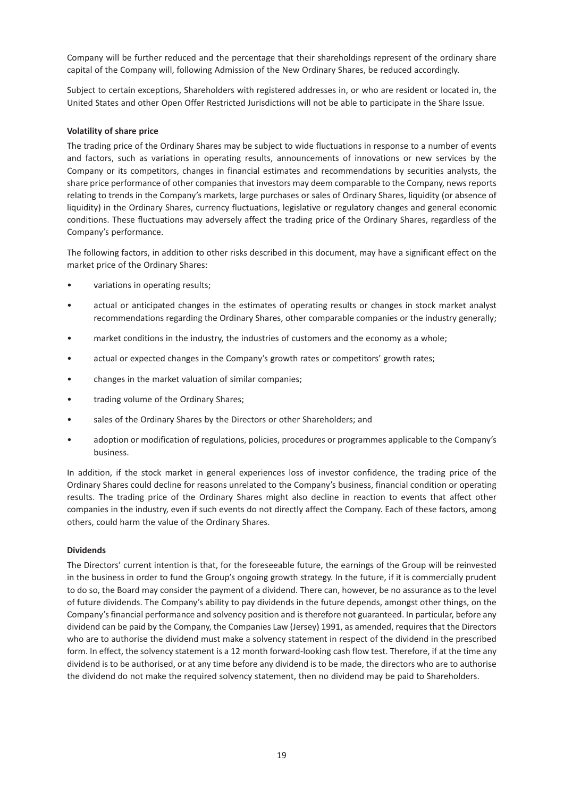Company will be further reduced and the percentage that their shareholdings represent of the ordinary share capital of the Company will, following Admission of the New Ordinary Shares, be reduced accordingly.

Subject to certain exceptions, Shareholders with registered addresses in, or who are resident or located in, the United States and other Open Offer Restricted Jurisdictions will not be able to participate in the Share Issue.

#### **Volatility of share price**

The trading price of the Ordinary Shares may be subject to wide fluctuations in response to a number of events and factors, such as variations in operating results, announcements of innovations or new services by the Company or its competitors, changes in financial estimates and recommendations by securities analysts, the share price performance of other companies that investors may deem comparable to the Company, news reports relating to trends in the Company's markets, large purchases or sales of Ordinary Shares, liquidity (or absence of liquidity) in the Ordinary Shares, currency fluctuations, legislative or regulatory changes and general economic conditions. These fluctuations may adversely affect the trading price of the Ordinary Shares, regardless of the Company's performance.

The following factors, in addition to other risks described in this document, may have a significant effect on the market price of the Ordinary Shares:

- variations in operating results;
- actual or anticipated changes in the estimates of operating results or changes in stock market analyst recommendations regarding the Ordinary Shares, other comparable companies or the industry generally;
- market conditions in the industry, the industries of customers and the economy as a whole;
- actual or expected changes in the Company's growth rates or competitors' growth rates;
- changes in the market valuation of similar companies;
- trading volume of the Ordinary Shares;
- sales of the Ordinary Shares by the Directors or other Shareholders; and
- adoption or modification of regulations, policies, procedures or programmes applicable to the Company's business.

In addition, if the stock market in general experiences loss of investor confidence, the trading price of the Ordinary Shares could decline for reasons unrelated to the Company's business, financial condition or operating results. The trading price of the Ordinary Shares might also decline in reaction to events that affect other companies in the industry, even if such events do not directly affect the Company. Each of these factors, among others, could harm the value of the Ordinary Shares.

#### **Dividends**

The Directors' current intention is that, for the foreseeable future, the earnings of the Group will be reinvested in the business in order to fund the Group's ongoing growth strategy. In the future, if it is commercially prudent to do so, the Board may consider the payment of a dividend. There can, however, be no assurance as to the level of future dividends. The Company's ability to pay dividends in the future depends, amongst other things, on the Company's financial performance and solvency position and is therefore not guaranteed. In particular, before any dividend can be paid by the Company, the Companies Law (Jersey) 1991, as amended, requires that the Directors who are to authorise the dividend must make a solvency statement in respect of the dividend in the prescribed form. In effect, the solvency statement is a 12 month forward-looking cash flow test. Therefore, if at the time any dividend is to be authorised, or at any time before any dividend is to be made, the directors who are to authorise the dividend do not make the required solvency statement, then no dividend may be paid to Shareholders.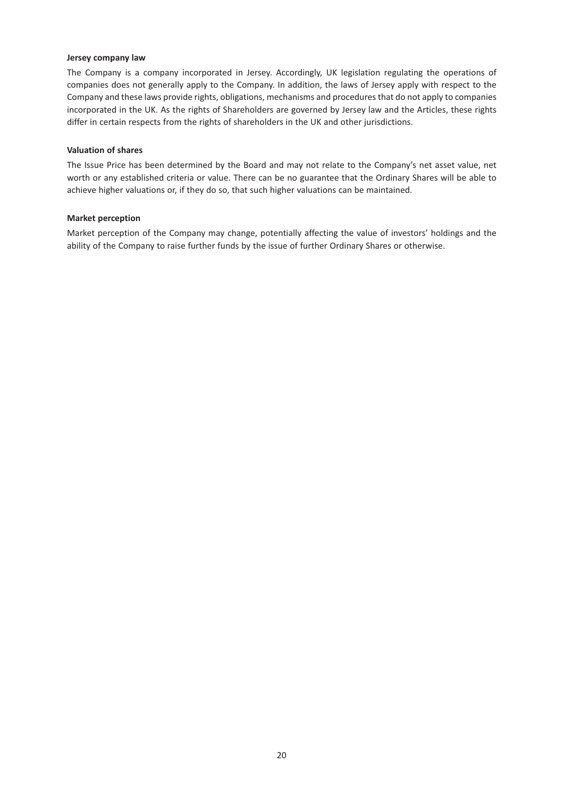#### **Jersey company law**

The Company is a company incorporated in Jersey. Accordingly, UK legislation regulating the operations of companies does not generally apply to the Company. In addition, the laws of Jersey apply with respect to the Company and these laws provide rights, obligations, mechanisms and procedures that do not apply to companies incorporated in the UK. As the rights of Shareholders are governed by Jersey law and the Articles, these rights differ in certain respects from the rights of shareholders in the UK and other jurisdictions.

#### **Valuation of shares**

The Issue Price has been determined by the Board and may not relate to the Company's net asset value, net worth or any established criteria or value. There can be no guarantee that the Ordinary Shares will be able to achieve higher valuations or, if they do so, that such higher valuations can be maintained.

#### **Market perception**

Market perception of the Company may change, potentially affecting the value of investors' holdings and the ability of the Company to raise further funds by the issue of further Ordinary Shares or otherwise.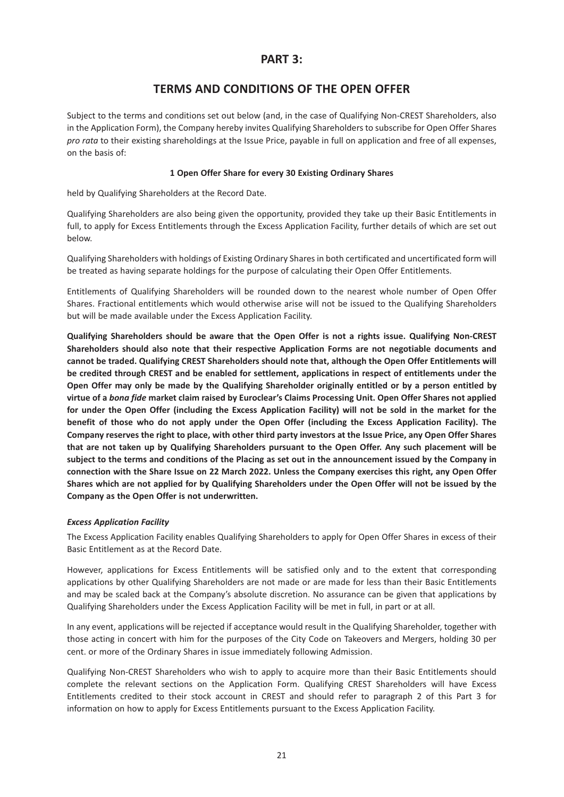## **PART 3:**

## **TERMS AND CONDITIONS OF THE OPEN OFFER**

Subject to the terms and conditions set out below (and, in the case of Qualifying Non-CREST Shareholders, also in the Application Form), the Company hereby invites Qualifying Shareholders to subscribe for Open Offer Shares *pro rata* to their existing shareholdings at the Issue Price, payable in full on application and free of all expenses, on the basis of:

#### **1 Open Offer Share for every 30 Existing Ordinary Shares**

held by Qualifying Shareholders at the Record Date.

Qualifying Shareholders are also being given the opportunity, provided they take up their Basic Entitlements in full, to apply for Excess Entitlements through the Excess Application Facility, further details of which are set out below.

Qualifying Shareholders with holdings of Existing Ordinary Shares in both certificated and uncertificated form will be treated as having separate holdings for the purpose of calculating their Open Offer Entitlements.

Entitlements of Qualifying Shareholders will be rounded down to the nearest whole number of Open Offer Shares. Fractional entitlements which would otherwise arise will not be issued to the Qualifying Shareholders but will be made available under the Excess Application Facility.

**Qualifying Shareholders should be aware that the Open Offer is not a rights issue. Qualifying Non-CREST Shareholders should also note that their respective Application Forms are not negotiable documents and cannot be traded. Qualifying CREST Shareholders should note that, although the Open Offer Entitlements will be credited through CREST and be enabled for settlement, applications in respect of entitlements under the Open Offer may only be made by the Qualifying Shareholder originally entitled or by a person entitled by virtue of a** *bona fide* **market claim raised by Euroclear's Claims Processing Unit. Open Offer Shares not applied for under the Open Offer (including the Excess Application Facility) will not be sold in the market for the benefit of those who do not apply under the Open Offer (including the Excess Application Facility). The Company reserves the right to place, with other third party investors at the Issue Price, any Open Offer Shares that are not taken up by Qualifying Shareholders pursuant to the Open Offer. Any such placement will be subject to the terms and conditions of the Placing as set out in the announcement issued by the Company in connection with the Share Issue on 22 March 2022. Unless the Company exercises this right, any Open Offer Shares which are not applied for by Qualifying Shareholders under the Open Offer will not be issued by the Company as the Open Offer is not underwritten.**

#### *Excess Application Facility*

The Excess Application Facility enables Qualifying Shareholders to apply for Open Offer Shares in excess of their Basic Entitlement as at the Record Date.

However, applications for Excess Entitlements will be satisfied only and to the extent that corresponding applications by other Qualifying Shareholders are not made or are made for less than their Basic Entitlements and may be scaled back at the Company's absolute discretion. No assurance can be given that applications by Qualifying Shareholders under the Excess Application Facility will be met in full, in part or at all.

In any event, applications will be rejected if acceptance would result in the Qualifying Shareholder, together with those acting in concert with him for the purposes of the City Code on Takeovers and Mergers, holding 30 per cent. or more of the Ordinary Shares in issue immediately following Admission.

Qualifying Non-CREST Shareholders who wish to apply to acquire more than their Basic Entitlements should complete the relevant sections on the Application Form. Qualifying CREST Shareholders will have Excess Entitlements credited to their stock account in CREST and should refer to paragraph 2 of this Part 3 for information on how to apply for Excess Entitlements pursuant to the Excess Application Facility.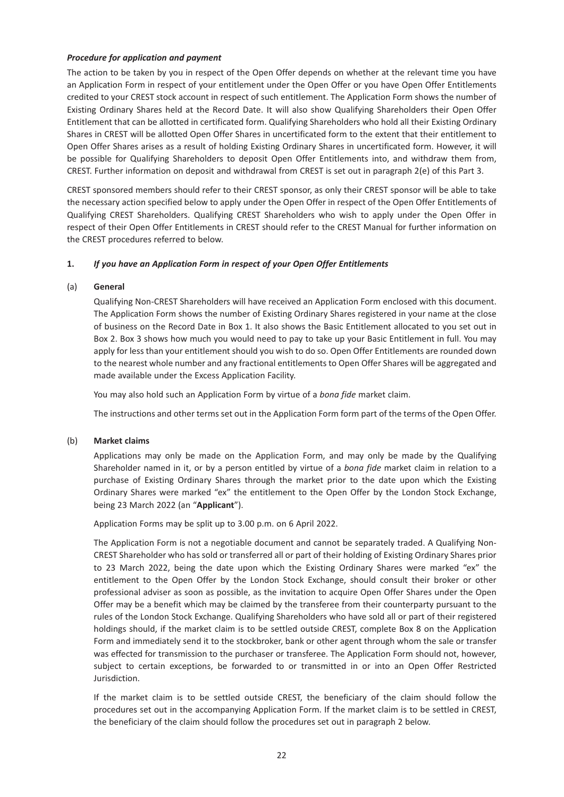#### *Procedure for application and payment*

The action to be taken by you in respect of the Open Offer depends on whether at the relevant time you have an Application Form in respect of your entitlement under the Open Offer or you have Open Offer Entitlements credited to your CREST stock account in respect of such entitlement. The Application Form shows the number of Existing Ordinary Shares held at the Record Date. It will also show Qualifying Shareholders their Open Offer Entitlement that can be allotted in certificated form. Qualifying Shareholders who hold all their Existing Ordinary Shares in CREST will be allotted Open Offer Shares in uncertificated form to the extent that their entitlement to Open Offer Shares arises as a result of holding Existing Ordinary Shares in uncertificated form. However, it will be possible for Qualifying Shareholders to deposit Open Offer Entitlements into, and withdraw them from, CREST. Further information on deposit and withdrawal from CREST is set out in paragraph 2(e) of this Part 3.

CREST sponsored members should refer to their CREST sponsor, as only their CREST sponsor will be able to take the necessary action specified below to apply under the Open Offer in respect of the Open Offer Entitlements of Qualifying CREST Shareholders. Qualifying CREST Shareholders who wish to apply under the Open Offer in respect of their Open Offer Entitlements in CREST should refer to the CREST Manual for further information on the CREST procedures referred to below.

## **1.** *If you have an Application Form in respect of your Open Offer Entitlements*

#### (a) **General**

Qualifying Non-CREST Shareholders will have received an Application Form enclosed with this document. The Application Form shows the number of Existing Ordinary Shares registered in your name at the close of business on the Record Date in Box 1. It also shows the Basic Entitlement allocated to you set out in Box 2. Box 3 shows how much you would need to pay to take up your Basic Entitlement in full. You may apply for less than your entitlement should you wish to do so. Open Offer Entitlements are rounded down to the nearest whole number and any fractional entitlements to Open Offer Shares will be aggregated and made available under the Excess Application Facility.

You may also hold such an Application Form by virtue of a *bona fide* market claim.

The instructions and other terms set out in the Application Form form part of the terms of the Open Offer.

#### (b) **Market claims**

Applications may only be made on the Application Form, and may only be made by the Qualifying Shareholder named in it, or by a person entitled by virtue of a *bona fide* market claim in relation to a purchase of Existing Ordinary Shares through the market prior to the date upon which the Existing Ordinary Shares were marked "ex" the entitlement to the Open Offer by the London Stock Exchange, being 23 March 2022 (an "**Applicant**").

Application Forms may be split up to 3.00 p.m. on 6 April 2022.

The Application Form is not a negotiable document and cannot be separately traded. A Qualifying Non-CREST Shareholder who has sold or transferred all or part of their holding of Existing Ordinary Shares prior to 23 March 2022, being the date upon which the Existing Ordinary Shares were marked "ex" the entitlement to the Open Offer by the London Stock Exchange, should consult their broker or other professional adviser as soon as possible, as the invitation to acquire Open Offer Shares under the Open Offer may be a benefit which may be claimed by the transferee from their counterparty pursuant to the rules of the London Stock Exchange. Qualifying Shareholders who have sold all or part of their registered holdings should, if the market claim is to be settled outside CREST, complete Box 8 on the Application Form and immediately send it to the stockbroker, bank or other agent through whom the sale or transfer was effected for transmission to the purchaser or transferee. The Application Form should not, however, subject to certain exceptions, be forwarded to or transmitted in or into an Open Offer Restricted Jurisdiction.

If the market claim is to be settled outside CREST, the beneficiary of the claim should follow the procedures set out in the accompanying Application Form. If the market claim is to be settled in CREST, the beneficiary of the claim should follow the procedures set out in paragraph 2 below.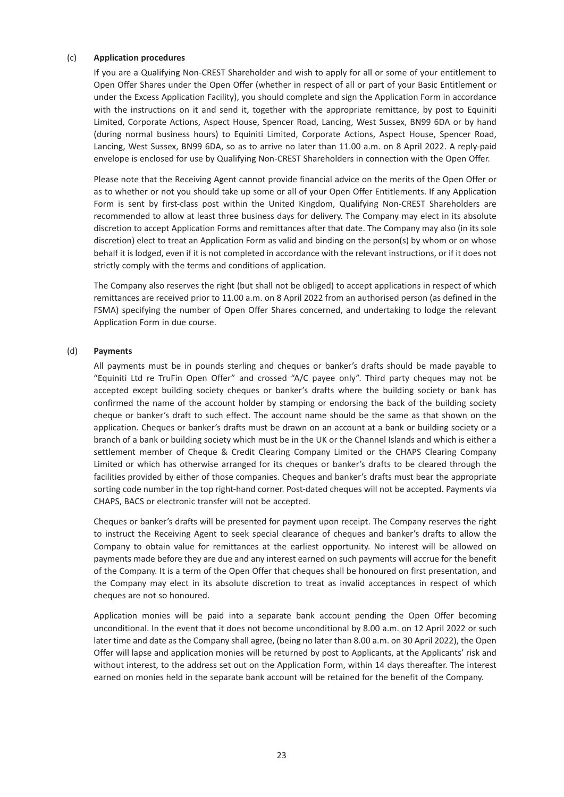#### (c) **Application procedures**

If you are a Qualifying Non-CREST Shareholder and wish to apply for all or some of your entitlement to Open Offer Shares under the Open Offer (whether in respect of all or part of your Basic Entitlement or under the Excess Application Facility), you should complete and sign the Application Form in accordance with the instructions on it and send it, together with the appropriate remittance, by post to Equiniti Limited, Corporate Actions, Aspect House, Spencer Road, Lancing, West Sussex, BN99 6DA or by hand (during normal business hours) to Equiniti Limited, Corporate Actions, Aspect House, Spencer Road, Lancing, West Sussex, BN99 6DA, so as to arrive no later than 11.00 a.m. on 8 April 2022. A reply-paid envelope is enclosed for use by Qualifying Non-CREST Shareholders in connection with the Open Offer.

Please note that the Receiving Agent cannot provide financial advice on the merits of the Open Offer or as to whether or not you should take up some or all of your Open Offer Entitlements. If any Application Form is sent by first-class post within the United Kingdom, Qualifying Non-CREST Shareholders are recommended to allow at least three business days for delivery. The Company may elect in its absolute discretion to accept Application Forms and remittances after that date. The Company may also (in its sole discretion) elect to treat an Application Form as valid and binding on the person(s) by whom or on whose behalf it is lodged, even if it is not completed in accordance with the relevant instructions, or if it does not strictly comply with the terms and conditions of application.

The Company also reserves the right (but shall not be obliged) to accept applications in respect of which remittances are received prior to 11.00 a.m. on 8 April 2022 from an authorised person (as defined in the FSMA) specifying the number of Open Offer Shares concerned, and undertaking to lodge the relevant Application Form in due course.

#### (d) **Payments**

All payments must be in pounds sterling and cheques or banker's drafts should be made payable to "Equiniti Ltd re TruFin Open Offer" and crossed "A/C payee only". Third party cheques may not be accepted except building society cheques or banker's drafts where the building society or bank has confirmed the name of the account holder by stamping or endorsing the back of the building society cheque or banker's draft to such effect. The account name should be the same as that shown on the application. Cheques or banker's drafts must be drawn on an account at a bank or building society or a branch of a bank or building society which must be in the UK or the Channel Islands and which is either a settlement member of Cheque & Credit Clearing Company Limited or the CHAPS Clearing Company Limited or which has otherwise arranged for its cheques or banker's drafts to be cleared through the facilities provided by either of those companies. Cheques and banker's drafts must bear the appropriate sorting code number in the top right-hand corner. Post-dated cheques will not be accepted. Payments via CHAPS, BACS or electronic transfer will not be accepted.

Cheques or banker's drafts will be presented for payment upon receipt. The Company reserves the right to instruct the Receiving Agent to seek special clearance of cheques and banker's drafts to allow the Company to obtain value for remittances at the earliest opportunity. No interest will be allowed on payments made before they are due and any interest earned on such payments will accrue for the benefit of the Company. It is a term of the Open Offer that cheques shall be honoured on first presentation, and the Company may elect in its absolute discretion to treat as invalid acceptances in respect of which cheques are not so honoured.

Application monies will be paid into a separate bank account pending the Open Offer becoming unconditional. In the event that it does not become unconditional by 8.00 a.m. on 12 April 2022 or such later time and date as the Company shall agree, (being no later than 8.00 a.m. on 30 April 2022), the Open Offer will lapse and application monies will be returned by post to Applicants, at the Applicants' risk and without interest, to the address set out on the Application Form, within 14 days thereafter. The interest earned on monies held in the separate bank account will be retained for the benefit of the Company.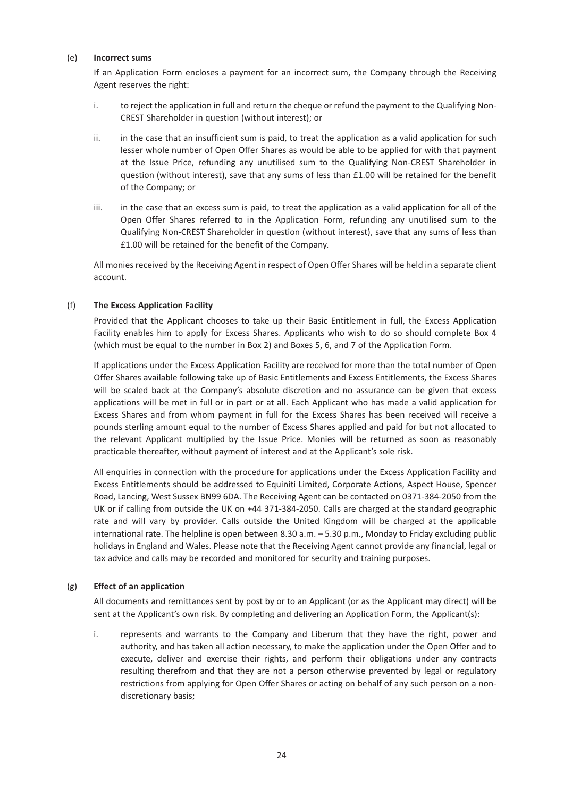#### (e) **Incorrect sums**

If an Application Form encloses a payment for an incorrect sum, the Company through the Receiving Agent reserves the right:

- i. to reject the application in full and return the cheque or refund the payment to the Qualifying Non-CREST Shareholder in question (without interest); or
- ii. in the case that an insufficient sum is paid, to treat the application as a valid application for such lesser whole number of Open Offer Shares as would be able to be applied for with that payment at the Issue Price, refunding any unutilised sum to the Qualifying Non-CREST Shareholder in question (without interest), save that any sums of less than £1.00 will be retained for the benefit of the Company; or
- iii. in the case that an excess sum is paid, to treat the application as a valid application for all of the Open Offer Shares referred to in the Application Form, refunding any unutilised sum to the Qualifying Non-CREST Shareholder in question (without interest), save that any sums of less than £1.00 will be retained for the benefit of the Company.

All monies received by the Receiving Agent in respect of Open Offer Shares will be held in a separate client account.

#### (f) **The Excess Application Facility**

Provided that the Applicant chooses to take up their Basic Entitlement in full, the Excess Application Facility enables him to apply for Excess Shares. Applicants who wish to do so should complete Box 4 (which must be equal to the number in Box 2) and Boxes 5, 6, and 7 of the Application Form.

If applications under the Excess Application Facility are received for more than the total number of Open Offer Shares available following take up of Basic Entitlements and Excess Entitlements, the Excess Shares will be scaled back at the Company's absolute discretion and no assurance can be given that excess applications will be met in full or in part or at all. Each Applicant who has made a valid application for Excess Shares and from whom payment in full for the Excess Shares has been received will receive a pounds sterling amount equal to the number of Excess Shares applied and paid for but not allocated to the relevant Applicant multiplied by the Issue Price. Monies will be returned as soon as reasonably practicable thereafter, without payment of interest and at the Applicant's sole risk.

All enquiries in connection with the procedure for applications under the Excess Application Facility and Excess Entitlements should be addressed to Equiniti Limited, Corporate Actions, Aspect House, Spencer Road, Lancing, West Sussex BN99 6DA. The Receiving Agent can be contacted on 0371-384-2050 from the UK or if calling from outside the UK on +44 371-384-2050. Calls are charged at the standard geographic rate and will vary by provider. Calls outside the United Kingdom will be charged at the applicable international rate. The helpline is open between 8.30 a.m. – 5.30 p.m., Monday to Friday excluding public holidays in England and Wales. Please note that the Receiving Agent cannot provide any financial, legal or tax advice and calls may be recorded and monitored for security and training purposes.

#### (g) **Effect of an application**

All documents and remittances sent by post by or to an Applicant (or as the Applicant may direct) will be sent at the Applicant's own risk. By completing and delivering an Application Form, the Applicant(s):

i. represents and warrants to the Company and Liberum that they have the right, power and authority, and has taken all action necessary, to make the application under the Open Offer and to execute, deliver and exercise their rights, and perform their obligations under any contracts resulting therefrom and that they are not a person otherwise prevented by legal or regulatory restrictions from applying for Open Offer Shares or acting on behalf of any such person on a nondiscretionary basis;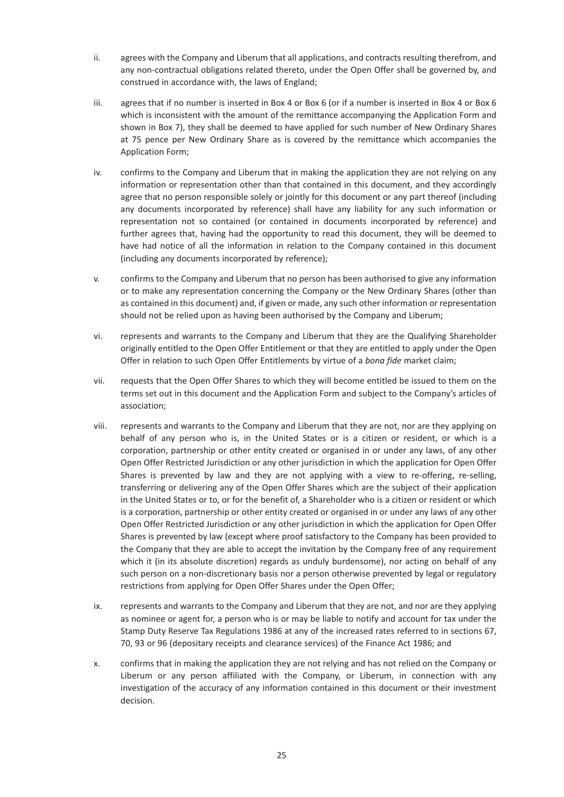- ii. agrees with the Company and Liberum that all applications, and contracts resulting therefrom, and any non-contractual obligations related thereto, under the Open Offer shall be governed by, and construed in accordance with, the laws of England;
- iii. agrees that if no number is inserted in Box 4 or Box 6 (or if a number is inserted in Box 4 or Box 6 which is inconsistent with the amount of the remittance accompanying the Application Form and shown in Box 7), they shall be deemed to have applied for such number of New Ordinary Shares at 75 pence per New Ordinary Share as is covered by the remittance which accompanies the Application Form;
- iv. confirms to the Company and Liberum that in making the application they are not relying on any information or representation other than that contained in this document, and they accordingly agree that no person responsible solely or jointly for this document or any part thereof (including any documents incorporated by reference) shall have any liability for any such information or representation not so contained (or contained in documents incorporated by reference) and further agrees that, having had the opportunity to read this document, they will be deemed to have had notice of all the information in relation to the Company contained in this document (including any documents incorporated by reference);
- v. confirms to the Company and Liberum that no person has been authorised to give any information or to make any representation concerning the Company or the New Ordinary Shares (other than as contained in this document) and, if given or made, any such other information or representation should not be relied upon as having been authorised by the Company and Liberum;
- vi. represents and warrants to the Company and Liberum that they are the Qualifying Shareholder originally entitled to the Open Offer Entitlement or that they are entitled to apply under the Open Offer in relation to such Open Offer Entitlements by virtue of a *bona fide* market claim;
- vii. requests that the Open Offer Shares to which they will become entitled be issued to them on the terms set out in this document and the Application Form and subject to the Company's articles of association;
- viii. represents and warrants to the Company and Liberum that they are not, nor are they applying on behalf of any person who is, in the United States or is a citizen or resident, or which is a corporation, partnership or other entity created or organised in or under any laws, of any other Open Offer Restricted Jurisdiction or any other jurisdiction in which the application for Open Offer Shares is prevented by law and they are not applying with a view to re-offering, re-selling, transferring or delivering any of the Open Offer Shares which are the subject of their application in the United States or to, or for the benefit of, a Shareholder who is a citizen or resident or which is a corporation, partnership or other entity created or organised in or under any laws of any other Open Offer Restricted Jurisdiction or any other jurisdiction in which the application for Open Offer Shares is prevented by law (except where proof satisfactory to the Company has been provided to the Company that they are able to accept the invitation by the Company free of any requirement which it (in its absolute discretion) regards as unduly burdensome), nor acting on behalf of any such person on a non-discretionary basis nor a person otherwise prevented by legal or regulatory restrictions from applying for Open Offer Shares under the Open Offer;
- ix. represents and warrants to the Company and Liberum that they are not, and nor are they applying as nominee or agent for, a person who is or may be liable to notify and account for tax under the Stamp Duty Reserve Tax Regulations 1986 at any of the increased rates referred to in sections 67, 70, 93 or 96 (depositary receipts and clearance services) of the Finance Act 1986; and
- x. confirms that in making the application they are not relying and has not relied on the Company or Liberum or any person affiliated with the Company, or Liberum, in connection with any investigation of the accuracy of any information contained in this document or their investment decision.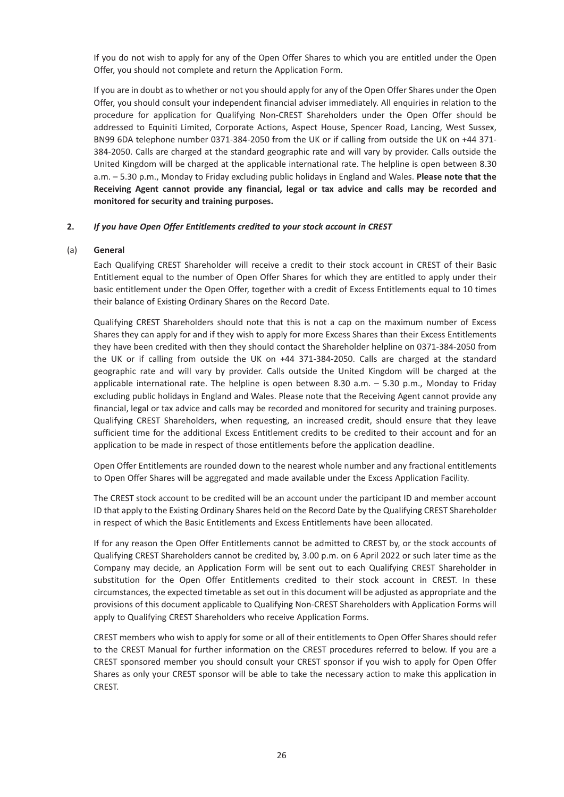If you do not wish to apply for any of the Open Offer Shares to which you are entitled under the Open Offer, you should not complete and return the Application Form.

If you are in doubt as to whether or not you should apply for any of the Open Offer Shares under the Open Offer, you should consult your independent financial adviser immediately. All enquiries in relation to the procedure for application for Qualifying Non-CREST Shareholders under the Open Offer should be addressed to Equiniti Limited, Corporate Actions, Aspect House, Spencer Road, Lancing, West Sussex, BN99 6DA telephone number 0371-384-2050 from the UK or if calling from outside the UK on +44 371- 384-2050. Calls are charged at the standard geographic rate and will vary by provider. Calls outside the United Kingdom will be charged at the applicable international rate. The helpline is open between 8.30 a.m. – 5.30 p.m., Monday to Friday excluding public holidays in England and Wales. **Please note that the Receiving Agent cannot provide any financial, legal or tax advice and calls may be recorded and monitored for security and training purposes.**

## **2.** *If you have Open Offer Entitlements credited to your stock account in CREST*

#### (a) **General**

Each Qualifying CREST Shareholder will receive a credit to their stock account in CREST of their Basic Entitlement equal to the number of Open Offer Shares for which they are entitled to apply under their basic entitlement under the Open Offer, together with a credit of Excess Entitlements equal to 10 times their balance of Existing Ordinary Shares on the Record Date.

Qualifying CREST Shareholders should note that this is not a cap on the maximum number of Excess Shares they can apply for and if they wish to apply for more Excess Shares than their Excess Entitlements they have been credited with then they should contact the Shareholder helpline on 0371-384-2050 from the UK or if calling from outside the UK on +44 371-384-2050. Calls are charged at the standard geographic rate and will vary by provider. Calls outside the United Kingdom will be charged at the applicable international rate. The helpline is open between 8.30 a.m. – 5.30 p.m., Monday to Friday excluding public holidays in England and Wales. Please note that the Receiving Agent cannot provide any financial, legal or tax advice and calls may be recorded and monitored for security and training purposes. Qualifying CREST Shareholders, when requesting, an increased credit, should ensure that they leave sufficient time for the additional Excess Entitlement credits to be credited to their account and for an application to be made in respect of those entitlements before the application deadline.

Open Offer Entitlements are rounded down to the nearest whole number and any fractional entitlements to Open Offer Shares will be aggregated and made available under the Excess Application Facility.

The CREST stock account to be credited will be an account under the participant ID and member account ID that apply to the Existing Ordinary Shares held on the Record Date by the Qualifying CREST Shareholder in respect of which the Basic Entitlements and Excess Entitlements have been allocated.

If for any reason the Open Offer Entitlements cannot be admitted to CREST by, or the stock accounts of Qualifying CREST Shareholders cannot be credited by, 3.00 p.m. on 6 April 2022 or such later time as the Company may decide, an Application Form will be sent out to each Qualifying CREST Shareholder in substitution for the Open Offer Entitlements credited to their stock account in CREST. In these circumstances, the expected timetable as set out in this document will be adjusted as appropriate and the provisions of this document applicable to Qualifying Non-CREST Shareholders with Application Forms will apply to Qualifying CREST Shareholders who receive Application Forms.

CREST members who wish to apply for some or all of their entitlements to Open Offer Shares should refer to the CREST Manual for further information on the CREST procedures referred to below. If you are a CREST sponsored member you should consult your CREST sponsor if you wish to apply for Open Offer Shares as only your CREST sponsor will be able to take the necessary action to make this application in CREST.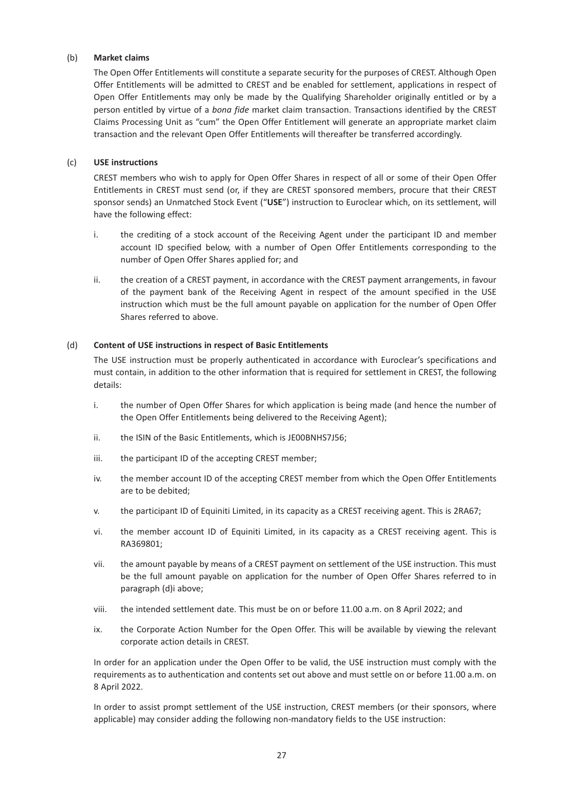#### (b) **Market claims**

The Open Offer Entitlements will constitute a separate security for the purposes of CREST. Although Open Offer Entitlements will be admitted to CREST and be enabled for settlement, applications in respect of Open Offer Entitlements may only be made by the Qualifying Shareholder originally entitled or by a person entitled by virtue of a *bona fide* market claim transaction. Transactions identified by the CREST Claims Processing Unit as "cum" the Open Offer Entitlement will generate an appropriate market claim transaction and the relevant Open Offer Entitlements will thereafter be transferred accordingly.

#### (c) **USE instructions**

CREST members who wish to apply for Open Offer Shares in respect of all or some of their Open Offer Entitlements in CREST must send (or, if they are CREST sponsored members, procure that their CREST sponsor sends) an Unmatched Stock Event ("**USE**") instruction to Euroclear which, on its settlement, will have the following effect:

- i. the crediting of a stock account of the Receiving Agent under the participant ID and member account ID specified below, with a number of Open Offer Entitlements corresponding to the number of Open Offer Shares applied for; and
- ii. the creation of a CREST payment, in accordance with the CREST payment arrangements, in favour of the payment bank of the Receiving Agent in respect of the amount specified in the USE instruction which must be the full amount payable on application for the number of Open Offer Shares referred to above.

#### (d) **Content of USE instructions in respect of Basic Entitlements**

The USE instruction must be properly authenticated in accordance with Euroclear's specifications and must contain, in addition to the other information that is required for settlement in CREST, the following details:

- i. the number of Open Offer Shares for which application is being made (and hence the number of the Open Offer Entitlements being delivered to the Receiving Agent);
- ii. the ISIN of the Basic Entitlements, which is JE00BNHS7J56;
- iii. the participant ID of the accepting CREST member;
- iv. the member account ID of the accepting CREST member from which the Open Offer Entitlements are to be debited;
- v. the participant ID of Equiniti Limited, in its capacity as a CREST receiving agent. This is 2RA67;
- vi. the member account ID of Equiniti Limited, in its capacity as a CREST receiving agent. This is RA369801;
- vii. the amount payable by means of a CREST payment on settlement of the USE instruction. This must be the full amount payable on application for the number of Open Offer Shares referred to in paragraph (d)i above;
- viii. the intended settlement date. This must be on or before 11.00 a.m. on 8 April 2022; and
- ix. the Corporate Action Number for the Open Offer. This will be available by viewing the relevant corporate action details in CREST.

In order for an application under the Open Offer to be valid, the USE instruction must comply with the requirements as to authentication and contents set out above and must settle on or before 11.00 a.m. on 8 April 2022.

In order to assist prompt settlement of the USE instruction, CREST members (or their sponsors, where applicable) may consider adding the following non-mandatory fields to the USE instruction: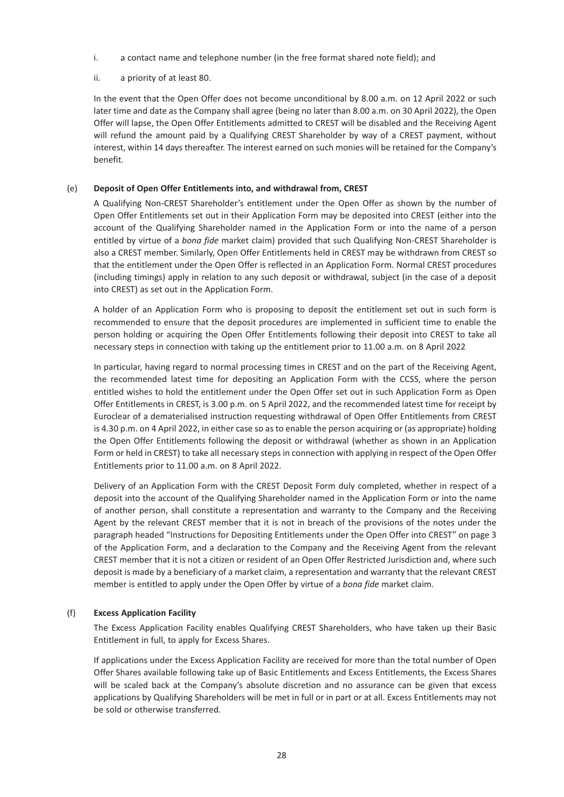- i. a contact name and telephone number (in the free format shared note field); and
- ii. a priority of at least 80.

In the event that the Open Offer does not become unconditional by 8.00 a.m. on 12 April 2022 or such later time and date as the Company shall agree (being no later than 8.00 a.m. on 30 April 2022), the Open Offer will lapse, the Open Offer Entitlements admitted to CREST will be disabled and the Receiving Agent will refund the amount paid by a Qualifying CREST Shareholder by way of a CREST payment, without interest, within 14 days thereafter. The interest earned on such monies will be retained for the Company's benefit.

## (e) **Deposit of Open Offer Entitlements into, and withdrawal from, CREST**

A Qualifying Non-CREST Shareholder's entitlement under the Open Offer as shown by the number of Open Offer Entitlements set out in their Application Form may be deposited into CREST (either into the account of the Qualifying Shareholder named in the Application Form or into the name of a person entitled by virtue of a *bona fide* market claim) provided that such Qualifying Non-CREST Shareholder is also a CREST member. Similarly, Open Offer Entitlements held in CREST may be withdrawn from CREST so that the entitlement under the Open Offer is reflected in an Application Form. Normal CREST procedures (including timings) apply in relation to any such deposit or withdrawal, subject (in the case of a deposit into CREST) as set out in the Application Form.

A holder of an Application Form who is proposing to deposit the entitlement set out in such form is recommended to ensure that the deposit procedures are implemented in sufficient time to enable the person holding or acquiring the Open Offer Entitlements following their deposit into CREST to take all necessary steps in connection with taking up the entitlement prior to 11.00 a.m. on 8 April 2022

In particular, having regard to normal processing times in CREST and on the part of the Receiving Agent, the recommended latest time for depositing an Application Form with the CCSS, where the person entitled wishes to hold the entitlement under the Open Offer set out in such Application Form as Open Offer Entitlements in CREST, is 3.00 p.m. on 5 April 2022, and the recommended latest time for receipt by Euroclear of a dematerialised instruction requesting withdrawal of Open Offer Entitlements from CREST is 4.30 p.m. on 4 April 2022, in either case so as to enable the person acquiring or (as appropriate) holding the Open Offer Entitlements following the deposit or withdrawal (whether as shown in an Application Form or held in CREST) to take all necessary steps in connection with applying in respect of the Open Offer Entitlements prior to 11.00 a.m. on 8 April 2022.

Delivery of an Application Form with the CREST Deposit Form duly completed, whether in respect of a deposit into the account of the Qualifying Shareholder named in the Application Form or into the name of another person, shall constitute a representation and warranty to the Company and the Receiving Agent by the relevant CREST member that it is not in breach of the provisions of the notes under the paragraph headed "Instructions for Depositing Entitlements under the Open Offer into CREST" on page 3 of the Application Form, and a declaration to the Company and the Receiving Agent from the relevant CREST member that it is not a citizen or resident of an Open Offer Restricted Jurisdiction and, where such deposit is made by a beneficiary of a market claim, a representation and warranty that the relevant CREST member is entitled to apply under the Open Offer by virtue of a *bona fide* market claim.

## (f) **Excess Application Facility**

The Excess Application Facility enables Qualifying CREST Shareholders, who have taken up their Basic Entitlement in full, to apply for Excess Shares.

If applications under the Excess Application Facility are received for more than the total number of Open Offer Shares available following take up of Basic Entitlements and Excess Entitlements, the Excess Shares will be scaled back at the Company's absolute discretion and no assurance can be given that excess applications by Qualifying Shareholders will be met in full or in part or at all. Excess Entitlements may not be sold or otherwise transferred.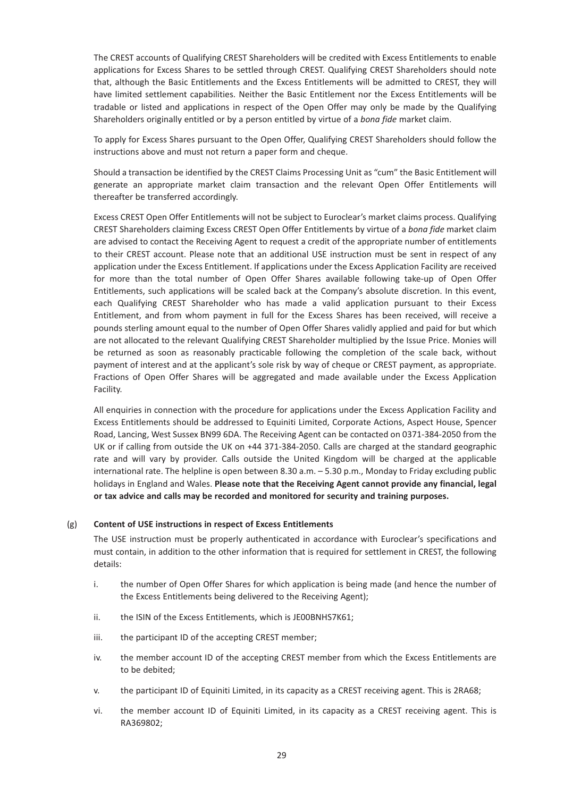The CREST accounts of Qualifying CREST Shareholders will be credited with Excess Entitlements to enable applications for Excess Shares to be settled through CREST. Qualifying CREST Shareholders should note that, although the Basic Entitlements and the Excess Entitlements will be admitted to CREST, they will have limited settlement capabilities. Neither the Basic Entitlement nor the Excess Entitlements will be tradable or listed and applications in respect of the Open Offer may only be made by the Qualifying Shareholders originally entitled or by a person entitled by virtue of a *bona fide* market claim.

To apply for Excess Shares pursuant to the Open Offer, Qualifying CREST Shareholders should follow the instructions above and must not return a paper form and cheque.

Should a transaction be identified by the CREST Claims Processing Unit as "cum" the Basic Entitlement will generate an appropriate market claim transaction and the relevant Open Offer Entitlements will thereafter be transferred accordingly.

Excess CREST Open Offer Entitlements will not be subject to Euroclear's market claims process. Qualifying CREST Shareholders claiming Excess CREST Open Offer Entitlements by virtue of a *bona fide* market claim are advised to contact the Receiving Agent to request a credit of the appropriate number of entitlements to their CREST account. Please note that an additional USE instruction must be sent in respect of any application under the Excess Entitlement. If applications under the Excess Application Facility are received for more than the total number of Open Offer Shares available following take-up of Open Offer Entitlements, such applications will be scaled back at the Company's absolute discretion. In this event, each Qualifying CREST Shareholder who has made a valid application pursuant to their Excess Entitlement, and from whom payment in full for the Excess Shares has been received, will receive a pounds sterling amount equal to the number of Open Offer Shares validly applied and paid for but which are not allocated to the relevant Qualifying CREST Shareholder multiplied by the Issue Price. Monies will be returned as soon as reasonably practicable following the completion of the scale back, without payment of interest and at the applicant's sole risk by way of cheque or CREST payment, as appropriate. Fractions of Open Offer Shares will be aggregated and made available under the Excess Application Facility.

All enquiries in connection with the procedure for applications under the Excess Application Facility and Excess Entitlements should be addressed to Equiniti Limited, Corporate Actions, Aspect House, Spencer Road, Lancing, West Sussex BN99 6DA. The Receiving Agent can be contacted on 0371-384-2050 from the UK or if calling from outside the UK on +44 371-384-2050. Calls are charged at the standard geographic rate and will vary by provider. Calls outside the United Kingdom will be charged at the applicable international rate. The helpline is open between 8.30 a.m. – 5.30 p.m., Monday to Friday excluding public holidays in England and Wales. **Please note that the Receiving Agent cannot provide any financial, legal or tax advice and calls may be recorded and monitored for security and training purposes.**

#### (g) **Content of USE instructions in respect of Excess Entitlements**

The USE instruction must be properly authenticated in accordance with Euroclear's specifications and must contain, in addition to the other information that is required for settlement in CREST, the following details:

- i. the number of Open Offer Shares for which application is being made (and hence the number of the Excess Entitlements being delivered to the Receiving Agent);
- ii. the ISIN of the Excess Entitlements, which is JE00BNHS7K61;
- iii. the participant ID of the accepting CREST member;
- iv. the member account ID of the accepting CREST member from which the Excess Entitlements are to be debited;
- v. the participant ID of Equiniti Limited, in its capacity as a CREST receiving agent. This is 2RA68;
- vi. the member account ID of Equiniti Limited, in its capacity as a CREST receiving agent. This is RA369802;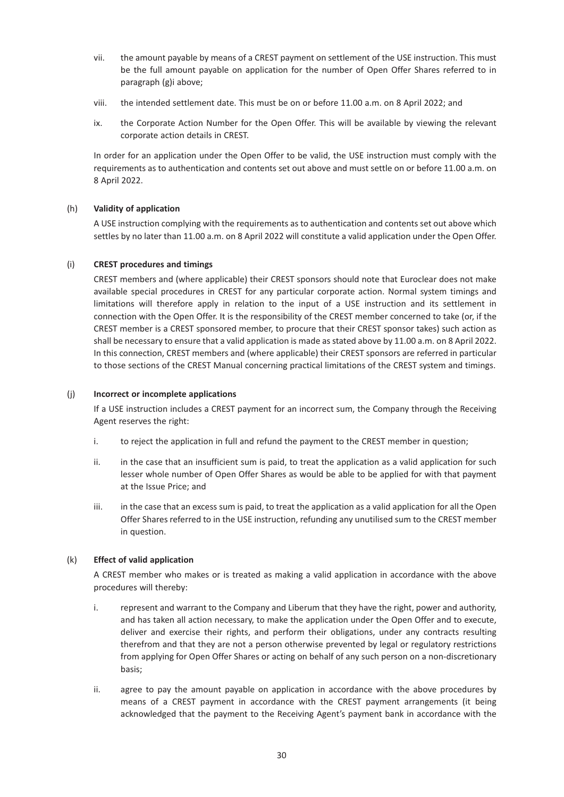- vii. the amount payable by means of a CREST payment on settlement of the USE instruction. This must be the full amount payable on application for the number of Open Offer Shares referred to in paragraph (g)i above;
- viii. the intended settlement date. This must be on or before 11.00 a.m. on 8 April 2022; and
- ix. the Corporate Action Number for the Open Offer. This will be available by viewing the relevant corporate action details in CREST.

In order for an application under the Open Offer to be valid, the USE instruction must comply with the requirements as to authentication and contents set out above and must settle on or before 11.00 a.m. on 8 April 2022.

## (h) **Validity of application**

A USE instruction complying with the requirements as to authentication and contents set out above which settles by no later than 11.00 a.m. on 8 April 2022 will constitute a valid application under the Open Offer.

## (i) **CREST procedures and timings**

CREST members and (where applicable) their CREST sponsors should note that Euroclear does not make available special procedures in CREST for any particular corporate action. Normal system timings and limitations will therefore apply in relation to the input of a USE instruction and its settlement in connection with the Open Offer. It is the responsibility of the CREST member concerned to take (or, if the CREST member is a CREST sponsored member, to procure that their CREST sponsor takes) such action as shall be necessary to ensure that a valid application is made as stated above by 11.00 a.m. on 8 April 2022. In this connection, CREST members and (where applicable) their CREST sponsors are referred in particular to those sections of the CREST Manual concerning practical limitations of the CREST system and timings.

#### (j) **Incorrect or incomplete applications**

If a USE instruction includes a CREST payment for an incorrect sum, the Company through the Receiving Agent reserves the right:

- i. to reject the application in full and refund the payment to the CREST member in question;
- ii. in the case that an insufficient sum is paid, to treat the application as a valid application for such lesser whole number of Open Offer Shares as would be able to be applied for with that payment at the Issue Price; and
- iii. in the case that an excess sum is paid, to treat the application as a valid application for all the Open Offer Shares referred to in the USE instruction, refunding any unutilised sum to the CREST member in question.

## (k) **Effect of valid application**

A CREST member who makes or is treated as making a valid application in accordance with the above procedures will thereby:

- i. represent and warrant to the Company and Liberum that they have the right, power and authority, and has taken all action necessary, to make the application under the Open Offer and to execute, deliver and exercise their rights, and perform their obligations, under any contracts resulting therefrom and that they are not a person otherwise prevented by legal or regulatory restrictions from applying for Open Offer Shares or acting on behalf of any such person on a non-discretionary basis;
- ii. agree to pay the amount payable on application in accordance with the above procedures by means of a CREST payment in accordance with the CREST payment arrangements (it being acknowledged that the payment to the Receiving Agent's payment bank in accordance with the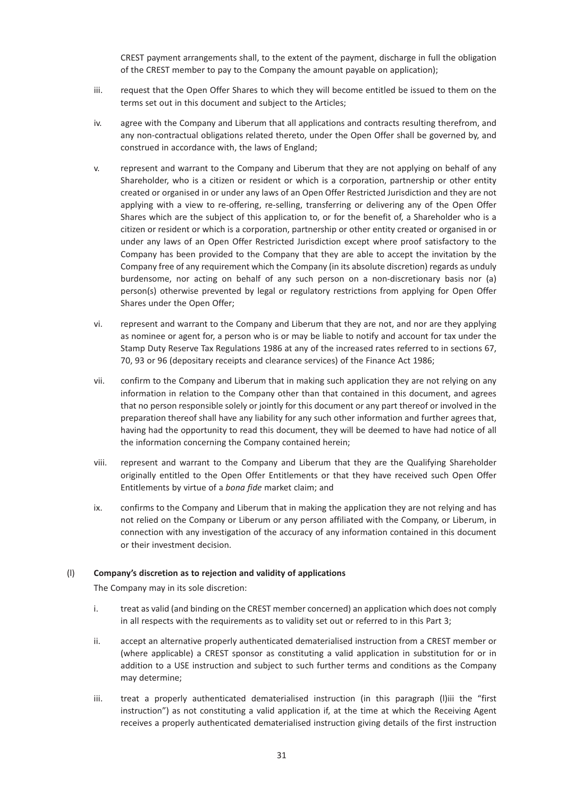CREST payment arrangements shall, to the extent of the payment, discharge in full the obligation of the CREST member to pay to the Company the amount payable on application);

- iii. request that the Open Offer Shares to which they will become entitled be issued to them on the terms set out in this document and subject to the Articles;
- iv. agree with the Company and Liberum that all applications and contracts resulting therefrom, and any non-contractual obligations related thereto, under the Open Offer shall be governed by, and construed in accordance with, the laws of England;
- v. represent and warrant to the Company and Liberum that they are not applying on behalf of any Shareholder, who is a citizen or resident or which is a corporation, partnership or other entity created or organised in or under any laws of an Open Offer Restricted Jurisdiction and they are not applying with a view to re-offering, re-selling, transferring or delivering any of the Open Offer Shares which are the subject of this application to, or for the benefit of, a Shareholder who is a citizen or resident or which is a corporation, partnership or other entity created or organised in or under any laws of an Open Offer Restricted Jurisdiction except where proof satisfactory to the Company has been provided to the Company that they are able to accept the invitation by the Company free of any requirement which the Company (in its absolute discretion) regards as unduly burdensome, nor acting on behalf of any such person on a non-discretionary basis nor (a) person(s) otherwise prevented by legal or regulatory restrictions from applying for Open Offer Shares under the Open Offer;
- vi. represent and warrant to the Company and Liberum that they are not, and nor are they applying as nominee or agent for, a person who is or may be liable to notify and account for tax under the Stamp Duty Reserve Tax Regulations 1986 at any of the increased rates referred to in sections 67, 70, 93 or 96 (depositary receipts and clearance services) of the Finance Act 1986;
- vii. confirm to the Company and Liberum that in making such application they are not relying on any information in relation to the Company other than that contained in this document, and agrees that no person responsible solely or jointly for this document or any part thereof or involved in the preparation thereof shall have any liability for any such other information and further agrees that, having had the opportunity to read this document, they will be deemed to have had notice of all the information concerning the Company contained herein;
- viii. represent and warrant to the Company and Liberum that they are the Qualifying Shareholder originally entitled to the Open Offer Entitlements or that they have received such Open Offer Entitlements by virtue of a *bona fide* market claim; and
- ix. confirms to the Company and Liberum that in making the application they are not relying and has not relied on the Company or Liberum or any person affiliated with the Company, or Liberum, in connection with any investigation of the accuracy of any information contained in this document or their investment decision.

#### (l) **Company's discretion as to rejection and validity of applications**

The Company may in its sole discretion:

- i. treat as valid (and binding on the CREST member concerned) an application which does not comply in all respects with the requirements as to validity set out or referred to in this Part 3;
- ii. accept an alternative properly authenticated dematerialised instruction from a CREST member or (where applicable) a CREST sponsor as constituting a valid application in substitution for or in addition to a USE instruction and subject to such further terms and conditions as the Company may determine;
- iii. treat a properly authenticated dematerialised instruction (in this paragraph (l)iii the "first instruction") as not constituting a valid application if, at the time at which the Receiving Agent receives a properly authenticated dematerialised instruction giving details of the first instruction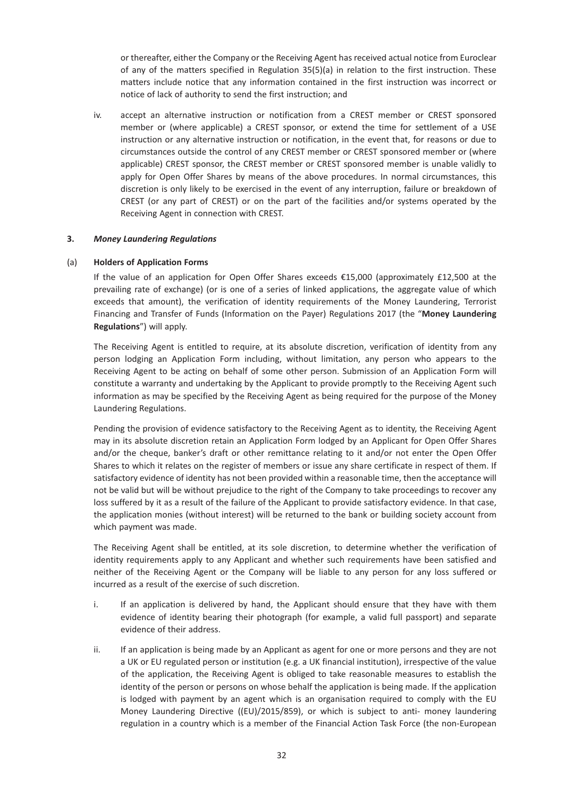or thereafter, either the Company or the Receiving Agent has received actual notice from Euroclear of any of the matters specified in Regulation 35(5)(a) in relation to the first instruction. These matters include notice that any information contained in the first instruction was incorrect or notice of lack of authority to send the first instruction; and

iv. accept an alternative instruction or notification from a CREST member or CREST sponsored member or (where applicable) a CREST sponsor, or extend the time for settlement of a USE instruction or any alternative instruction or notification, in the event that, for reasons or due to circumstances outside the control of any CREST member or CREST sponsored member or (where applicable) CREST sponsor, the CREST member or CREST sponsored member is unable validly to apply for Open Offer Shares by means of the above procedures. In normal circumstances, this discretion is only likely to be exercised in the event of any interruption, failure or breakdown of CREST (or any part of CREST) or on the part of the facilities and/or systems operated by the Receiving Agent in connection with CREST.

#### **3.** *Money Laundering Regulations*

#### (a) **Holders of Application Forms**

If the value of an application for Open Offer Shares exceeds €15,000 (approximately £12,500 at the prevailing rate of exchange) (or is one of a series of linked applications, the aggregate value of which exceeds that amount), the verification of identity requirements of the Money Laundering, Terrorist Financing and Transfer of Funds (Information on the Payer) Regulations 2017 (the "**Money Laundering Regulations**") will apply.

The Receiving Agent is entitled to require, at its absolute discretion, verification of identity from any person lodging an Application Form including, without limitation, any person who appears to the Receiving Agent to be acting on behalf of some other person. Submission of an Application Form will constitute a warranty and undertaking by the Applicant to provide promptly to the Receiving Agent such information as may be specified by the Receiving Agent as being required for the purpose of the Money Laundering Regulations.

Pending the provision of evidence satisfactory to the Receiving Agent as to identity, the Receiving Agent may in its absolute discretion retain an Application Form lodged by an Applicant for Open Offer Shares and/or the cheque, banker's draft or other remittance relating to it and/or not enter the Open Offer Shares to which it relates on the register of members or issue any share certificate in respect of them. If satisfactory evidence of identity has not been provided within a reasonable time, then the acceptance will not be valid but will be without prejudice to the right of the Company to take proceedings to recover any loss suffered by it as a result of the failure of the Applicant to provide satisfactory evidence. In that case, the application monies (without interest) will be returned to the bank or building society account from which payment was made.

The Receiving Agent shall be entitled, at its sole discretion, to determine whether the verification of identity requirements apply to any Applicant and whether such requirements have been satisfied and neither of the Receiving Agent or the Company will be liable to any person for any loss suffered or incurred as a result of the exercise of such discretion.

- i. If an application is delivered by hand, the Applicant should ensure that they have with them evidence of identity bearing their photograph (for example, a valid full passport) and separate evidence of their address.
- ii. If an application is being made by an Applicant as agent for one or more persons and they are not a UK or EU regulated person or institution (e.g. a UK financial institution), irrespective of the value of the application, the Receiving Agent is obliged to take reasonable measures to establish the identity of the person or persons on whose behalf the application is being made. If the application is lodged with payment by an agent which is an organisation required to comply with the EU Money Laundering Directive ((EU)/2015/859), or which is subject to anti- money laundering regulation in a country which is a member of the Financial Action Task Force (the non-European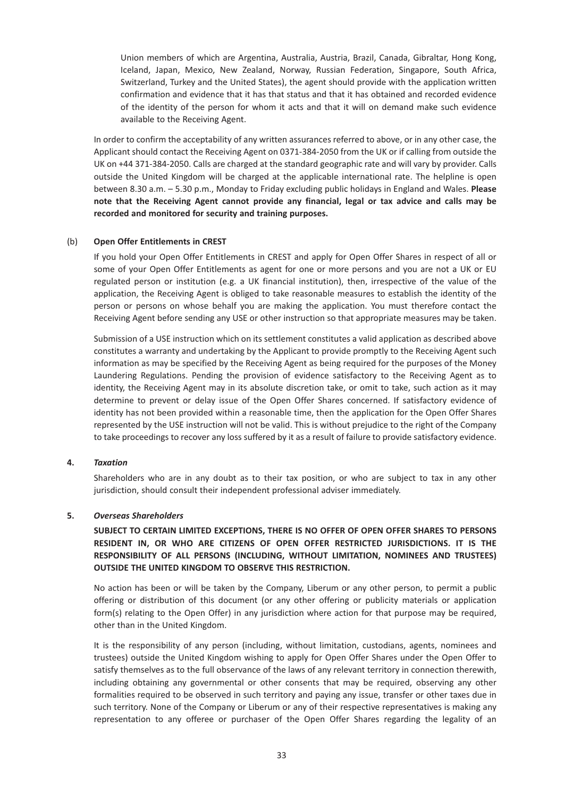Union members of which are Argentina, Australia, Austria, Brazil, Canada, Gibraltar, Hong Kong, Iceland, Japan, Mexico, New Zealand, Norway, Russian Federation, Singapore, South Africa, Switzerland, Turkey and the United States), the agent should provide with the application written confirmation and evidence that it has that status and that it has obtained and recorded evidence of the identity of the person for whom it acts and that it will on demand make such evidence available to the Receiving Agent.

In order to confirm the acceptability of any written assurances referred to above, or in any other case, the Applicant should contact the Receiving Agent on 0371-384-2050 from the UK or if calling from outside the UK on +44 371-384-2050. Calls are charged at the standard geographic rate and will vary by provider. Calls outside the United Kingdom will be charged at the applicable international rate. The helpline is open between 8.30 a.m. – 5.30 p.m., Monday to Friday excluding public holidays in England and Wales. **Please note that the Receiving Agent cannot provide any financial, legal or tax advice and calls may be recorded and monitored for security and training purposes.**

#### (b) **Open Offer Entitlements in CREST**

If you hold your Open Offer Entitlements in CREST and apply for Open Offer Shares in respect of all or some of your Open Offer Entitlements as agent for one or more persons and you are not a UK or EU regulated person or institution (e.g. a UK financial institution), then, irrespective of the value of the application, the Receiving Agent is obliged to take reasonable measures to establish the identity of the person or persons on whose behalf you are making the application. You must therefore contact the Receiving Agent before sending any USE or other instruction so that appropriate measures may be taken.

Submission of a USE instruction which on its settlement constitutes a valid application as described above constitutes a warranty and undertaking by the Applicant to provide promptly to the Receiving Agent such information as may be specified by the Receiving Agent as being required for the purposes of the Money Laundering Regulations. Pending the provision of evidence satisfactory to the Receiving Agent as to identity, the Receiving Agent may in its absolute discretion take, or omit to take, such action as it may determine to prevent or delay issue of the Open Offer Shares concerned. If satisfactory evidence of identity has not been provided within a reasonable time, then the application for the Open Offer Shares represented by the USE instruction will not be valid. This is without prejudice to the right of the Company to take proceedings to recover any loss suffered by it as a result of failure to provide satisfactory evidence.

## **4.** *Taxation*

Shareholders who are in any doubt as to their tax position, or who are subject to tax in any other jurisdiction, should consult their independent professional adviser immediately.

#### **5.** *Overseas Shareholders*

## **SUBJECT TO CERTAIN LIMITED EXCEPTIONS, THERE IS NO OFFER OF OPEN OFFER SHARES TO PERSONS RESIDENT IN, OR WHO ARE CITIZENS OF OPEN OFFER RESTRICTED JURISDICTIONS. IT IS THE RESPONSIBILITY OF ALL PERSONS (INCLUDING, WITHOUT LIMITATION, NOMINEES AND TRUSTEES) OUTSIDE THE UNITED KINGDOM TO OBSERVE THIS RESTRICTION.**

No action has been or will be taken by the Company, Liberum or any other person, to permit a public offering or distribution of this document (or any other offering or publicity materials or application form(s) relating to the Open Offer) in any jurisdiction where action for that purpose may be required, other than in the United Kingdom.

It is the responsibility of any person (including, without limitation, custodians, agents, nominees and trustees) outside the United Kingdom wishing to apply for Open Offer Shares under the Open Offer to satisfy themselves as to the full observance of the laws of any relevant territory in connection therewith, including obtaining any governmental or other consents that may be required, observing any other formalities required to be observed in such territory and paying any issue, transfer or other taxes due in such territory. None of the Company or Liberum or any of their respective representatives is making any representation to any offeree or purchaser of the Open Offer Shares regarding the legality of an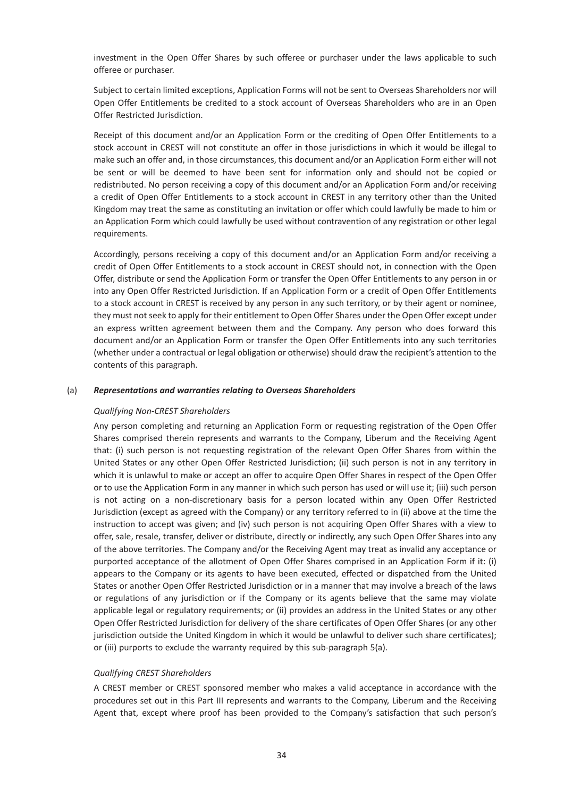investment in the Open Offer Shares by such offeree or purchaser under the laws applicable to such offeree or purchaser.

Subject to certain limited exceptions, Application Forms will not be sent to Overseas Shareholders nor will Open Offer Entitlements be credited to a stock account of Overseas Shareholders who are in an Open Offer Restricted Jurisdiction.

Receipt of this document and/or an Application Form or the crediting of Open Offer Entitlements to a stock account in CREST will not constitute an offer in those jurisdictions in which it would be illegal to make such an offer and, in those circumstances, this document and/or an Application Form either will not be sent or will be deemed to have been sent for information only and should not be copied or redistributed. No person receiving a copy of this document and/or an Application Form and/or receiving a credit of Open Offer Entitlements to a stock account in CREST in any territory other than the United Kingdom may treat the same as constituting an invitation or offer which could lawfully be made to him or an Application Form which could lawfully be used without contravention of any registration or other legal requirements.

Accordingly, persons receiving a copy of this document and/or an Application Form and/or receiving a credit of Open Offer Entitlements to a stock account in CREST should not, in connection with the Open Offer, distribute or send the Application Form or transfer the Open Offer Entitlements to any person in or into any Open Offer Restricted Jurisdiction. If an Application Form or a credit of Open Offer Entitlements to a stock account in CREST is received by any person in any such territory, or by their agent or nominee, they must not seek to apply for their entitlement to Open Offer Shares under the Open Offer except under an express written agreement between them and the Company. Any person who does forward this document and/or an Application Form or transfer the Open Offer Entitlements into any such territories (whether under a contractual or legal obligation or otherwise) should draw the recipient's attention to the contents of this paragraph.

#### (a) *Representations and warranties relating to Overseas Shareholders*

#### *Qualifying Non-CREST Shareholders*

Any person completing and returning an Application Form or requesting registration of the Open Offer Shares comprised therein represents and warrants to the Company, Liberum and the Receiving Agent that: (i) such person is not requesting registration of the relevant Open Offer Shares from within the United States or any other Open Offer Restricted Jurisdiction; (ii) such person is not in any territory in which it is unlawful to make or accept an offer to acquire Open Offer Shares in respect of the Open Offer or to use the Application Form in any manner in which such person has used or will use it; (iii) such person is not acting on a non-discretionary basis for a person located within any Open Offer Restricted Jurisdiction (except as agreed with the Company) or any territory referred to in (ii) above at the time the instruction to accept was given; and (iv) such person is not acquiring Open Offer Shares with a view to offer, sale, resale, transfer, deliver or distribute, directly or indirectly, any such Open Offer Shares into any of the above territories. The Company and/or the Receiving Agent may treat as invalid any acceptance or purported acceptance of the allotment of Open Offer Shares comprised in an Application Form if it: (i) appears to the Company or its agents to have been executed, effected or dispatched from the United States or another Open Offer Restricted Jurisdiction or in a manner that may involve a breach of the laws or regulations of any jurisdiction or if the Company or its agents believe that the same may violate applicable legal or regulatory requirements; or (ii) provides an address in the United States or any other Open Offer Restricted Jurisdiction for delivery of the share certificates of Open Offer Shares (or any other jurisdiction outside the United Kingdom in which it would be unlawful to deliver such share certificates); or (iii) purports to exclude the warranty required by this sub-paragraph 5(a).

#### *Qualifying CREST Shareholders*

A CREST member or CREST sponsored member who makes a valid acceptance in accordance with the procedures set out in this Part III represents and warrants to the Company, Liberum and the Receiving Agent that, except where proof has been provided to the Company's satisfaction that such person's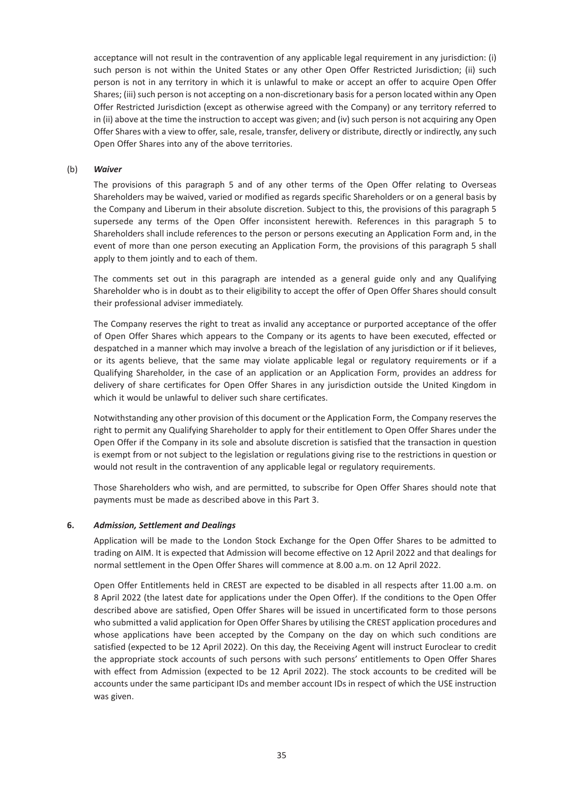acceptance will not result in the contravention of any applicable legal requirement in any jurisdiction: (i) such person is not within the United States or any other Open Offer Restricted Jurisdiction; (ii) such person is not in any territory in which it is unlawful to make or accept an offer to acquire Open Offer Shares; (iii) such person is not accepting on a non-discretionary basis for a person located within any Open Offer Restricted Jurisdiction (except as otherwise agreed with the Company) or any territory referred to in (ii) above at the time the instruction to accept was given; and (iv) such person is not acquiring any Open Offer Shares with a view to offer, sale, resale, transfer, delivery or distribute, directly or indirectly, any such Open Offer Shares into any of the above territories.

#### (b) *Waiver*

The provisions of this paragraph 5 and of any other terms of the Open Offer relating to Overseas Shareholders may be waived, varied or modified as regards specific Shareholders or on a general basis by the Company and Liberum in their absolute discretion. Subject to this, the provisions of this paragraph 5 supersede any terms of the Open Offer inconsistent herewith. References in this paragraph 5 to Shareholders shall include references to the person or persons executing an Application Form and, in the event of more than one person executing an Application Form, the provisions of this paragraph 5 shall apply to them jointly and to each of them.

The comments set out in this paragraph are intended as a general guide only and any Qualifying Shareholder who is in doubt as to their eligibility to accept the offer of Open Offer Shares should consult their professional adviser immediately.

The Company reserves the right to treat as invalid any acceptance or purported acceptance of the offer of Open Offer Shares which appears to the Company or its agents to have been executed, effected or despatched in a manner which may involve a breach of the legislation of any jurisdiction or if it believes, or its agents believe, that the same may violate applicable legal or regulatory requirements or if a Qualifying Shareholder, in the case of an application or an Application Form, provides an address for delivery of share certificates for Open Offer Shares in any jurisdiction outside the United Kingdom in which it would be unlawful to deliver such share certificates.

Notwithstanding any other provision of this document or the Application Form, the Company reserves the right to permit any Qualifying Shareholder to apply for their entitlement to Open Offer Shares under the Open Offer if the Company in its sole and absolute discretion is satisfied that the transaction in question is exempt from or not subject to the legislation or regulations giving rise to the restrictions in question or would not result in the contravention of any applicable legal or regulatory requirements.

Those Shareholders who wish, and are permitted, to subscribe for Open Offer Shares should note that payments must be made as described above in this Part 3.

#### **6.** *Admission, Settlement and Dealings*

Application will be made to the London Stock Exchange for the Open Offer Shares to be admitted to trading on AIM. It is expected that Admission will become effective on 12 April 2022 and that dealings for normal settlement in the Open Offer Shares will commence at 8.00 a.m. on 12 April 2022.

Open Offer Entitlements held in CREST are expected to be disabled in all respects after 11.00 a.m. on 8 April 2022 (the latest date for applications under the Open Offer). If the conditions to the Open Offer described above are satisfied, Open Offer Shares will be issued in uncertificated form to those persons who submitted a valid application for Open Offer Shares by utilising the CREST application procedures and whose applications have been accepted by the Company on the day on which such conditions are satisfied (expected to be 12 April 2022). On this day, the Receiving Agent will instruct Euroclear to credit the appropriate stock accounts of such persons with such persons' entitlements to Open Offer Shares with effect from Admission (expected to be 12 April 2022). The stock accounts to be credited will be accounts under the same participant IDs and member account IDs in respect of which the USE instruction was given.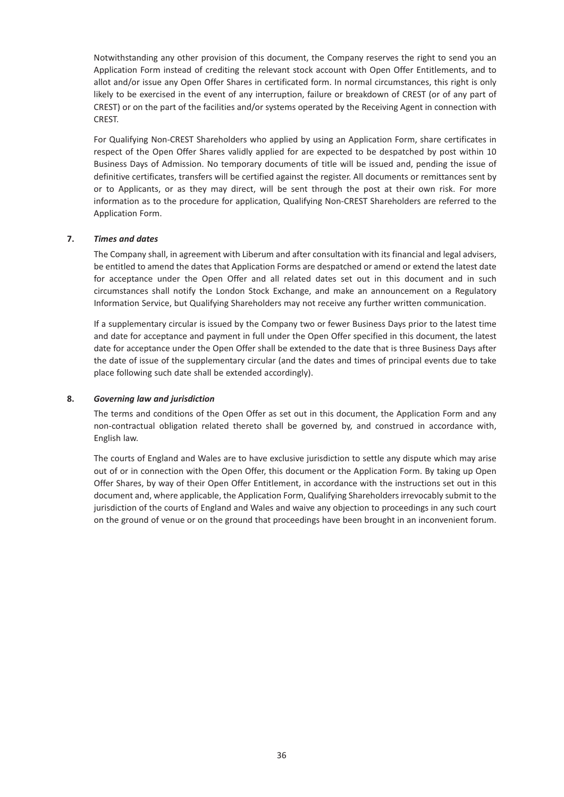Notwithstanding any other provision of this document, the Company reserves the right to send you an Application Form instead of crediting the relevant stock account with Open Offer Entitlements, and to allot and/or issue any Open Offer Shares in certificated form. In normal circumstances, this right is only likely to be exercised in the event of any interruption, failure or breakdown of CREST (or of any part of CREST) or on the part of the facilities and/or systems operated by the Receiving Agent in connection with CREST.

For Qualifying Non-CREST Shareholders who applied by using an Application Form, share certificates in respect of the Open Offer Shares validly applied for are expected to be despatched by post within 10 Business Days of Admission. No temporary documents of title will be issued and, pending the issue of definitive certificates, transfers will be certified against the register. All documents or remittances sent by or to Applicants, or as they may direct, will be sent through the post at their own risk. For more information as to the procedure for application, Qualifying Non-CREST Shareholders are referred to the Application Form.

#### **7.** *Times and dates*

The Company shall, in agreement with Liberum and after consultation with its financial and legal advisers, be entitled to amend the dates that Application Forms are despatched or amend or extend the latest date for acceptance under the Open Offer and all related dates set out in this document and in such circumstances shall notify the London Stock Exchange, and make an announcement on a Regulatory Information Service, but Qualifying Shareholders may not receive any further written communication.

If a supplementary circular is issued by the Company two or fewer Business Days prior to the latest time and date for acceptance and payment in full under the Open Offer specified in this document, the latest date for acceptance under the Open Offer shall be extended to the date that is three Business Days after the date of issue of the supplementary circular (and the dates and times of principal events due to take place following such date shall be extended accordingly).

#### **8.** *Governing law and jurisdiction*

The terms and conditions of the Open Offer as set out in this document, the Application Form and any non-contractual obligation related thereto shall be governed by, and construed in accordance with, English law.

The courts of England and Wales are to have exclusive jurisdiction to settle any dispute which may arise out of or in connection with the Open Offer, this document or the Application Form. By taking up Open Offer Shares, by way of their Open Offer Entitlement, in accordance with the instructions set out in this document and, where applicable, the Application Form, Qualifying Shareholders irrevocably submit to the jurisdiction of the courts of England and Wales and waive any objection to proceedings in any such court on the ground of venue or on the ground that proceedings have been brought in an inconvenient forum.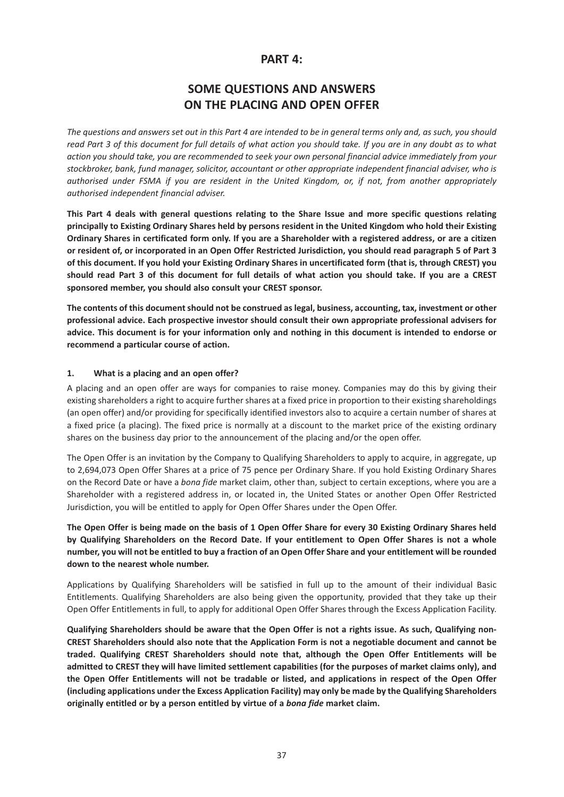## **PART 4:**

## **SOME QUESTIONS AND ANSWERS ON THE PLACING AND OPEN OFFER**

*The questions and answers set out in this Part 4 are intended to be in general terms only and, as such, you should read Part 3 of this document for full details of what action you should take. If you are in any doubt as to what action you should take, you are recommended to seek your own personal financial advice immediately from your stockbroker, bank, fund manager, solicitor, accountant or other appropriate independent financial adviser, who is authorised under FSMA if you are resident in the United Kingdom, or, if not, from another appropriately authorised independent financial adviser.*

**This Part 4 deals with general questions relating to the Share Issue and more specific questions relating principally to Existing Ordinary Shares held by persons resident in the United Kingdom who hold their Existing Ordinary Shares in certificated form only. If you are a Shareholder with a registered address, or are a citizen or resident of, or incorporated in an Open Offer Restricted Jurisdiction, you should read paragraph 5 of Part 3 of this document. If you hold your Existing Ordinary Shares in uncertificated form (that is, through CREST) you should read Part 3 of this document for full details of what action you should take. If you are a CREST sponsored member, you should also consult your CREST sponsor.**

**The contents of this document should not be construed as legal, business, accounting, tax, investment or other professional advice. Each prospective investor should consult their own appropriate professional advisers for advice. This document is for your information only and nothing in this document is intended to endorse or recommend a particular course of action.**

#### **1. What is a placing and an open offer?**

A placing and an open offer are ways for companies to raise money. Companies may do this by giving their existing shareholders a right to acquire further shares at a fixed price in proportion to their existing shareholdings (an open offer) and/or providing for specifically identified investors also to acquire a certain number of shares at a fixed price (a placing). The fixed price is normally at a discount to the market price of the existing ordinary shares on the business day prior to the announcement of the placing and/or the open offer.

The Open Offer is an invitation by the Company to Qualifying Shareholders to apply to acquire, in aggregate, up to 2,694,073 Open Offer Shares at a price of 75 pence per Ordinary Share. If you hold Existing Ordinary Shares on the Record Date or have a *bona fide* market claim, other than, subject to certain exceptions, where you are a Shareholder with a registered address in, or located in, the United States or another Open Offer Restricted Jurisdiction, you will be entitled to apply for Open Offer Shares under the Open Offer.

**The Open Offer is being made on the basis of 1 Open Offer Share for every 30 Existing Ordinary Shares held by Qualifying Shareholders on the Record Date. If your entitlement to Open Offer Shares is not a whole number, you will not be entitled to buy a fraction of an Open Offer Share and your entitlement will be rounded down to the nearest whole number.**

Applications by Qualifying Shareholders will be satisfied in full up to the amount of their individual Basic Entitlements. Qualifying Shareholders are also being given the opportunity, provided that they take up their Open Offer Entitlements in full, to apply for additional Open Offer Shares through the Excess Application Facility.

**Qualifying Shareholders should be aware that the Open Offer is not a rights issue. As such, Qualifying non-CREST Shareholders should also note that the Application Form is not a negotiable document and cannot be traded. Qualifying CREST Shareholders should note that, although the Open Offer Entitlements will be admitted to CREST they will have limited settlement capabilities (for the purposes of market claims only), and the Open Offer Entitlements will not be tradable or listed, and applications in respect of the Open Offer (including applications under the Excess Application Facility) may only be made by the Qualifying Shareholders originally entitled or by a person entitled by virtue of a** *bona fide* **market claim.**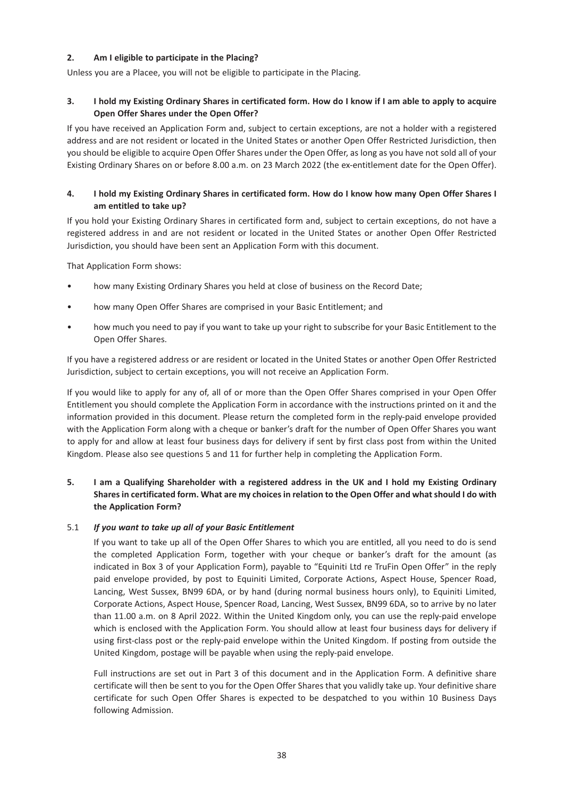## **2. Am I eligible to participate in the Placing?**

Unless you are a Placee, you will not be eligible to participate in the Placing.

## **3. I hold my Existing Ordinary Shares in certificated form. How do I know if I am able to apply to acquire Open Offer Shares under the Open Offer?**

If you have received an Application Form and, subject to certain exceptions, are not a holder with a registered address and are not resident or located in the United States or another Open Offer Restricted Jurisdiction, then you should be eligible to acquire Open Offer Shares under the Open Offer, as long as you have not sold all of your Existing Ordinary Shares on or before 8.00 a.m. on 23 March 2022 (the ex-entitlement date for the Open Offer).

## **4. I hold my Existing Ordinary Shares in certificated form. How do I know how many Open Offer Shares I am entitled to take up?**

If you hold your Existing Ordinary Shares in certificated form and, subject to certain exceptions, do not have a registered address in and are not resident or located in the United States or another Open Offer Restricted Jurisdiction, you should have been sent an Application Form with this document.

That Application Form shows:

- how many Existing Ordinary Shares you held at close of business on the Record Date;
- how many Open Offer Shares are comprised in your Basic Entitlement; and
- how much you need to pay if you want to take up your right to subscribe for your Basic Entitlement to the Open Offer Shares.

If you have a registered address or are resident or located in the United States or another Open Offer Restricted Jurisdiction, subject to certain exceptions, you will not receive an Application Form.

If you would like to apply for any of, all of or more than the Open Offer Shares comprised in your Open Offer Entitlement you should complete the Application Form in accordance with the instructions printed on it and the information provided in this document. Please return the completed form in the reply-paid envelope provided with the Application Form along with a cheque or banker's draft for the number of Open Offer Shares you want to apply for and allow at least four business days for delivery if sent by first class post from within the United Kingdom. Please also see questions 5 and 11 for further help in completing the Application Form.

## **5. I am a Qualifying Shareholder with a registered address in the UK and I hold my Existing Ordinary Shares in certificated form. What are my choices in relation to the Open Offer and what should I do with the Application Form?**

## 5.1 *If you want to take up all of your Basic Entitlement*

If you want to take up all of the Open Offer Shares to which you are entitled, all you need to do is send the completed Application Form, together with your cheque or banker's draft for the amount (as indicated in Box 3 of your Application Form), payable to "Equiniti Ltd re TruFin Open Offer" in the reply paid envelope provided, by post to Equiniti Limited, Corporate Actions, Aspect House, Spencer Road, Lancing, West Sussex, BN99 6DA, or by hand (during normal business hours only), to Equiniti Limited, Corporate Actions, Aspect House, Spencer Road, Lancing, West Sussex, BN99 6DA, so to arrive by no later than 11.00 a.m. on 8 April 2022. Within the United Kingdom only, you can use the reply-paid envelope which is enclosed with the Application Form. You should allow at least four business days for delivery if using first-class post or the reply-paid envelope within the United Kingdom. If posting from outside the United Kingdom, postage will be payable when using the reply-paid envelope.

Full instructions are set out in Part 3 of this document and in the Application Form. A definitive share certificate will then be sent to you for the Open Offer Shares that you validly take up. Your definitive share certificate for such Open Offer Shares is expected to be despatched to you within 10 Business Days following Admission.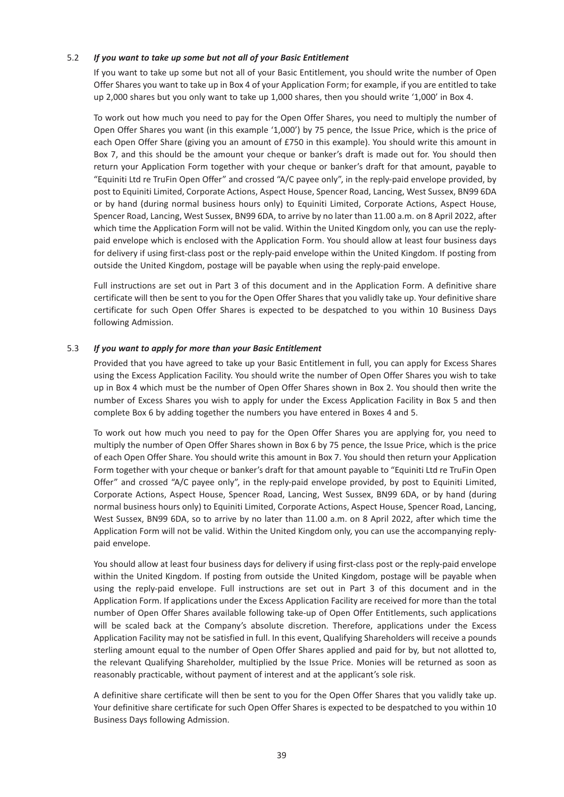#### 5.2 *If you want to take up some but not all of your Basic Entitlement*

If you want to take up some but not all of your Basic Entitlement, you should write the number of Open Offer Shares you want to take up in Box 4 of your Application Form; for example, if you are entitled to take up 2,000 shares but you only want to take up 1,000 shares, then you should write '1,000' in Box 4.

To work out how much you need to pay for the Open Offer Shares, you need to multiply the number of Open Offer Shares you want (in this example '1,000') by 75 pence, the Issue Price, which is the price of each Open Offer Share (giving you an amount of £750 in this example). You should write this amount in Box 7, and this should be the amount your cheque or banker's draft is made out for. You should then return your Application Form together with your cheque or banker's draft for that amount, payable to "Equiniti Ltd re TruFin Open Offer" and crossed "A/C payee only", in the reply-paid envelope provided, by post to Equiniti Limited, Corporate Actions, Aspect House, Spencer Road, Lancing, West Sussex, BN99 6DA or by hand (during normal business hours only) to Equiniti Limited, Corporate Actions, Aspect House, Spencer Road, Lancing, West Sussex, BN99 6DA, to arrive by no later than 11.00 a.m. on 8 April 2022, after which time the Application Form will not be valid. Within the United Kingdom only, you can use the replypaid envelope which is enclosed with the Application Form. You should allow at least four business days for delivery if using first-class post or the reply-paid envelope within the United Kingdom. If posting from outside the United Kingdom, postage will be payable when using the reply-paid envelope.

Full instructions are set out in Part 3 of this document and in the Application Form. A definitive share certificate will then be sent to you for the Open Offer Shares that you validly take up. Your definitive share certificate for such Open Offer Shares is expected to be despatched to you within 10 Business Days following Admission.

#### 5.3 *If you want to apply for more than your Basic Entitlement*

Provided that you have agreed to take up your Basic Entitlement in full, you can apply for Excess Shares using the Excess Application Facility. You should write the number of Open Offer Shares you wish to take up in Box 4 which must be the number of Open Offer Shares shown in Box 2. You should then write the number of Excess Shares you wish to apply for under the Excess Application Facility in Box 5 and then complete Box 6 by adding together the numbers you have entered in Boxes 4 and 5.

To work out how much you need to pay for the Open Offer Shares you are applying for, you need to multiply the number of Open Offer Shares shown in Box 6 by 75 pence, the Issue Price, which is the price of each Open Offer Share. You should write this amount in Box 7. You should then return your Application Form together with your cheque or banker's draft for that amount payable to "Equiniti Ltd re TruFin Open Offer" and crossed "A/C payee only", in the reply-paid envelope provided, by post to Equiniti Limited, Corporate Actions, Aspect House, Spencer Road, Lancing, West Sussex, BN99 6DA, or by hand (during normal business hours only) to Equiniti Limited, Corporate Actions, Aspect House, Spencer Road, Lancing, West Sussex, BN99 6DA, so to arrive by no later than 11.00 a.m. on 8 April 2022, after which time the Application Form will not be valid. Within the United Kingdom only, you can use the accompanying replypaid envelope.

You should allow at least four business days for delivery if using first-class post or the reply-paid envelope within the United Kingdom. If posting from outside the United Kingdom, postage will be payable when using the reply-paid envelope. Full instructions are set out in Part 3 of this document and in the Application Form. If applications under the Excess Application Facility are received for more than the total number of Open Offer Shares available following take-up of Open Offer Entitlements, such applications will be scaled back at the Company's absolute discretion. Therefore, applications under the Excess Application Facility may not be satisfied in full. In this event, Qualifying Shareholders will receive a pounds sterling amount equal to the number of Open Offer Shares applied and paid for by, but not allotted to, the relevant Qualifying Shareholder, multiplied by the Issue Price. Monies will be returned as soon as reasonably practicable, without payment of interest and at the applicant's sole risk.

A definitive share certificate will then be sent to you for the Open Offer Shares that you validly take up. Your definitive share certificate for such Open Offer Shares is expected to be despatched to you within 10 Business Days following Admission.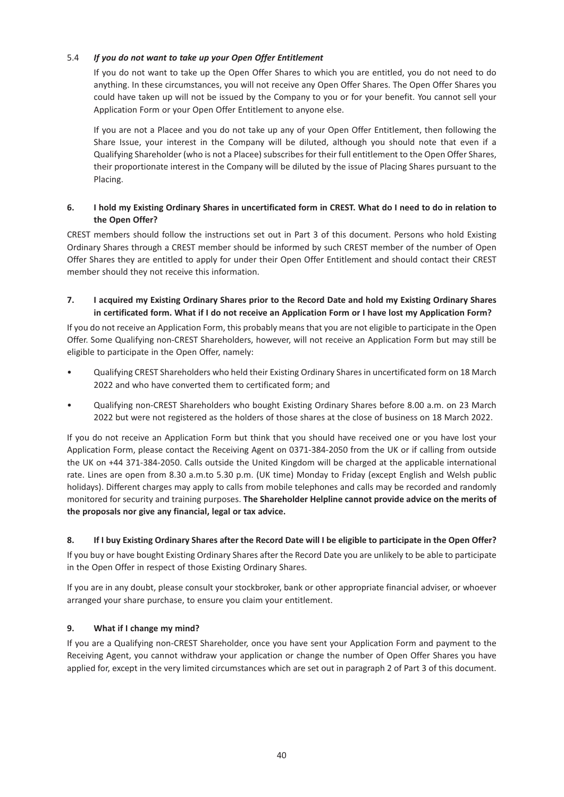## 5.4 *If you do not want to take up your Open Offer Entitlement*

If you do not want to take up the Open Offer Shares to which you are entitled, you do not need to do anything. In these circumstances, you will not receive any Open Offer Shares. The Open Offer Shares you could have taken up will not be issued by the Company to you or for your benefit. You cannot sell your Application Form or your Open Offer Entitlement to anyone else.

If you are not a Placee and you do not take up any of your Open Offer Entitlement, then following the Share Issue, your interest in the Company will be diluted, although you should note that even if a Qualifying Shareholder (who is not a Placee) subscribes for their full entitlement to the Open Offer Shares, their proportionate interest in the Company will be diluted by the issue of Placing Shares pursuant to the Placing.

## **6. I hold my Existing Ordinary Shares in uncertificated form in CREST. What do I need to do in relation to the Open Offer?**

CREST members should follow the instructions set out in Part 3 of this document. Persons who hold Existing Ordinary Shares through a CREST member should be informed by such CREST member of the number of Open Offer Shares they are entitled to apply for under their Open Offer Entitlement and should contact their CREST member should they not receive this information.

## **7. I acquired my Existing Ordinary Shares prior to the Record Date and hold my Existing Ordinary Shares in certificated form. What if I do not receive an Application Form or I have lost my Application Form?**

If you do not receive an Application Form, this probably means that you are not eligible to participate in the Open Offer. Some Qualifying non-CREST Shareholders, however, will not receive an Application Form but may still be eligible to participate in the Open Offer, namely:

- Qualifying CREST Shareholders who held their Existing Ordinary Shares in uncertificated form on 18 March 2022 and who have converted them to certificated form; and
- Qualifying non-CREST Shareholders who bought Existing Ordinary Shares before 8.00 a.m. on 23 March 2022 but were not registered as the holders of those shares at the close of business on 18 March 2022.

If you do not receive an Application Form but think that you should have received one or you have lost your Application Form, please contact the Receiving Agent on 0371-384-2050 from the UK or if calling from outside the UK on +44 371-384-2050. Calls outside the United Kingdom will be charged at the applicable international rate. Lines are open from 8.30 a.m.to 5.30 p.m. (UK time) Monday to Friday (except English and Welsh public holidays). Different charges may apply to calls from mobile telephones and calls may be recorded and randomly monitored for security and training purposes. **The Shareholder Helpline cannot provide advice on the merits of the proposals nor give any financial, legal or tax advice.**

#### **8. If I buy Existing Ordinary Shares after the Record Date will I be eligible to participate in the Open Offer?**

If you buy or have bought Existing Ordinary Shares after the Record Date you are unlikely to be able to participate in the Open Offer in respect of those Existing Ordinary Shares.

If you are in any doubt, please consult your stockbroker, bank or other appropriate financial adviser, or whoever arranged your share purchase, to ensure you claim your entitlement.

## **9. What if I change my mind?**

If you are a Qualifying non-CREST Shareholder, once you have sent your Application Form and payment to the Receiving Agent, you cannot withdraw your application or change the number of Open Offer Shares you have applied for, except in the very limited circumstances which are set out in paragraph 2 of Part 3 of this document.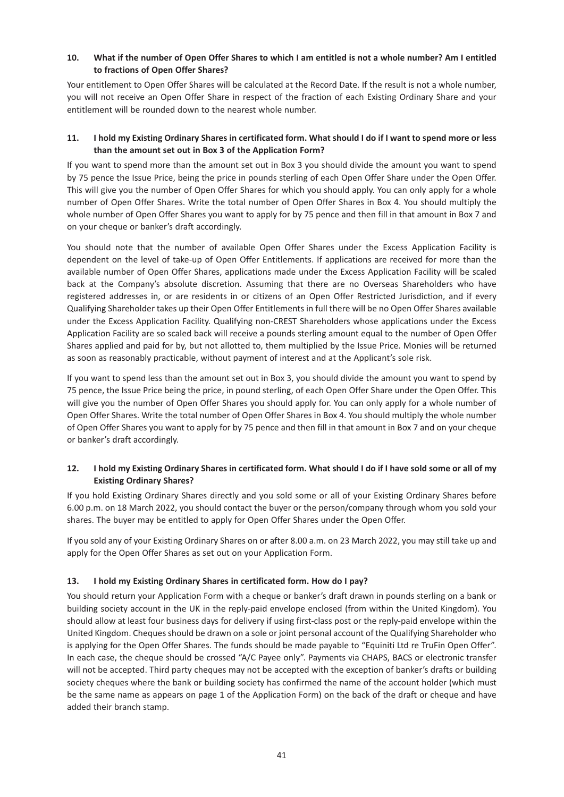## **10. What if the number of Open Offer Shares to which I am entitled is not a whole number? Am I entitled to fractions of Open Offer Shares?**

Your entitlement to Open Offer Shares will be calculated at the Record Date. If the result is not a whole number, you will not receive an Open Offer Share in respect of the fraction of each Existing Ordinary Share and your entitlement will be rounded down to the nearest whole number.

## **11. I hold my Existing Ordinary Shares in certificated form. What should I do if I want to spend more or less than the amount set out in Box 3 of the Application Form?**

If you want to spend more than the amount set out in Box 3 you should divide the amount you want to spend by 75 pence the Issue Price, being the price in pounds sterling of each Open Offer Share under the Open Offer. This will give you the number of Open Offer Shares for which you should apply. You can only apply for a whole number of Open Offer Shares. Write the total number of Open Offer Shares in Box 4. You should multiply the whole number of Open Offer Shares you want to apply for by 75 pence and then fill in that amount in Box 7 and on your cheque or banker's draft accordingly.

You should note that the number of available Open Offer Shares under the Excess Application Facility is dependent on the level of take-up of Open Offer Entitlements. If applications are received for more than the available number of Open Offer Shares, applications made under the Excess Application Facility will be scaled back at the Company's absolute discretion. Assuming that there are no Overseas Shareholders who have registered addresses in, or are residents in or citizens of an Open Offer Restricted Jurisdiction, and if every Qualifying Shareholder takes up their Open Offer Entitlements in full there will be no Open Offer Shares available under the Excess Application Facility. Qualifying non-CREST Shareholders whose applications under the Excess Application Facility are so scaled back will receive a pounds sterling amount equal to the number of Open Offer Shares applied and paid for by, but not allotted to, them multiplied by the Issue Price. Monies will be returned as soon as reasonably practicable, without payment of interest and at the Applicant's sole risk.

If you want to spend less than the amount set out in Box 3, you should divide the amount you want to spend by 75 pence, the Issue Price being the price, in pound sterling, of each Open Offer Share under the Open Offer. This will give you the number of Open Offer Shares you should apply for. You can only apply for a whole number of Open Offer Shares. Write the total number of Open Offer Shares in Box 4. You should multiply the whole number of Open Offer Shares you want to apply for by 75 pence and then fill in that amount in Box 7 and on your cheque or banker's draft accordingly.

## **12. I hold my Existing Ordinary Shares in certificated form. What should I do if I have sold some or all of my Existing Ordinary Shares?**

If you hold Existing Ordinary Shares directly and you sold some or all of your Existing Ordinary Shares before 6.00 p.m. on 18 March 2022, you should contact the buyer or the person/company through whom you sold your shares. The buyer may be entitled to apply for Open Offer Shares under the Open Offer.

If you sold any of your Existing Ordinary Shares on or after 8.00 a.m. on 23 March 2022, you may still take up and apply for the Open Offer Shares as set out on your Application Form.

## **13. I hold my Existing Ordinary Shares in certificated form. How do I pay?**

You should return your Application Form with a cheque or banker's draft drawn in pounds sterling on a bank or building society account in the UK in the reply-paid envelope enclosed (from within the United Kingdom). You should allow at least four business days for delivery if using first-class post or the reply-paid envelope within the United Kingdom. Cheques should be drawn on a sole or joint personal account of the Qualifying Shareholder who is applying for the Open Offer Shares. The funds should be made payable to "Equiniti Ltd re TruFin Open Offer". In each case, the cheque should be crossed "A/C Payee only". Payments via CHAPS, BACS or electronic transfer will not be accepted. Third party cheques may not be accepted with the exception of banker's drafts or building society cheques where the bank or building society has confirmed the name of the account holder (which must be the same name as appears on page 1 of the Application Form) on the back of the draft or cheque and have added their branch stamp.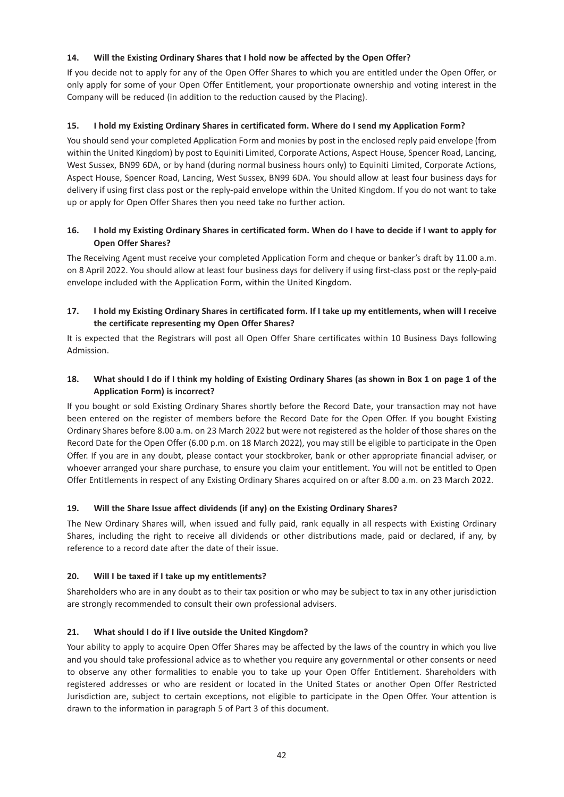## **14. Will the Existing Ordinary Shares that I hold now be affected by the Open Offer?**

If you decide not to apply for any of the Open Offer Shares to which you are entitled under the Open Offer, or only apply for some of your Open Offer Entitlement, your proportionate ownership and voting interest in the Company will be reduced (in addition to the reduction caused by the Placing).

## **15. I hold my Existing Ordinary Shares in certificated form. Where do I send my Application Form?**

You should send your completed Application Form and monies by post in the enclosed reply paid envelope (from within the United Kingdom) by post to Equiniti Limited, Corporate Actions, Aspect House, Spencer Road, Lancing, West Sussex, BN99 6DA, or by hand (during normal business hours only) to Equiniti Limited, Corporate Actions, Aspect House, Spencer Road, Lancing, West Sussex, BN99 6DA. You should allow at least four business days for delivery if using first class post or the reply-paid envelope within the United Kingdom. If you do not want to take up or apply for Open Offer Shares then you need take no further action.

## **16. I hold my Existing Ordinary Shares in certificated form. When do I have to decide if I want to apply for Open Offer Shares?**

The Receiving Agent must receive your completed Application Form and cheque or banker's draft by 11.00 a.m. on 8 April 2022. You should allow at least four business days for delivery if using first-class post or the reply-paid envelope included with the Application Form, within the United Kingdom.

## **17. I hold my Existing Ordinary Shares in certificated form. If I take up my entitlements, when will I receive the certificate representing my Open Offer Shares?**

It is expected that the Registrars will post all Open Offer Share certificates within 10 Business Days following Admission.

## **18. What should I do if I think my holding of Existing Ordinary Shares (as shown in Box 1 on page 1 of the Application Form) is incorrect?**

If you bought or sold Existing Ordinary Shares shortly before the Record Date, your transaction may not have been entered on the register of members before the Record Date for the Open Offer. If you bought Existing Ordinary Shares before 8.00 a.m. on 23 March 2022 but were not registered as the holder of those shares on the Record Date for the Open Offer (6.00 p.m. on 18 March 2022), you may still be eligible to participate in the Open Offer. If you are in any doubt, please contact your stockbroker, bank or other appropriate financial adviser, or whoever arranged your share purchase, to ensure you claim your entitlement. You will not be entitled to Open Offer Entitlements in respect of any Existing Ordinary Shares acquired on or after 8.00 a.m. on 23 March 2022.

## **19. Will the Share Issue affect dividends (if any) on the Existing Ordinary Shares?**

The New Ordinary Shares will, when issued and fully paid, rank equally in all respects with Existing Ordinary Shares, including the right to receive all dividends or other distributions made, paid or declared, if any, by reference to a record date after the date of their issue.

## **20. Will I be taxed if I take up my entitlements?**

Shareholders who are in any doubt as to their tax position or who may be subject to tax in any other jurisdiction are strongly recommended to consult their own professional advisers.

## **21. What should I do if I live outside the United Kingdom?**

Your ability to apply to acquire Open Offer Shares may be affected by the laws of the country in which you live and you should take professional advice as to whether you require any governmental or other consents or need to observe any other formalities to enable you to take up your Open Offer Entitlement. Shareholders with registered addresses or who are resident or located in the United States or another Open Offer Restricted Jurisdiction are, subject to certain exceptions, not eligible to participate in the Open Offer. Your attention is drawn to the information in paragraph 5 of Part 3 of this document.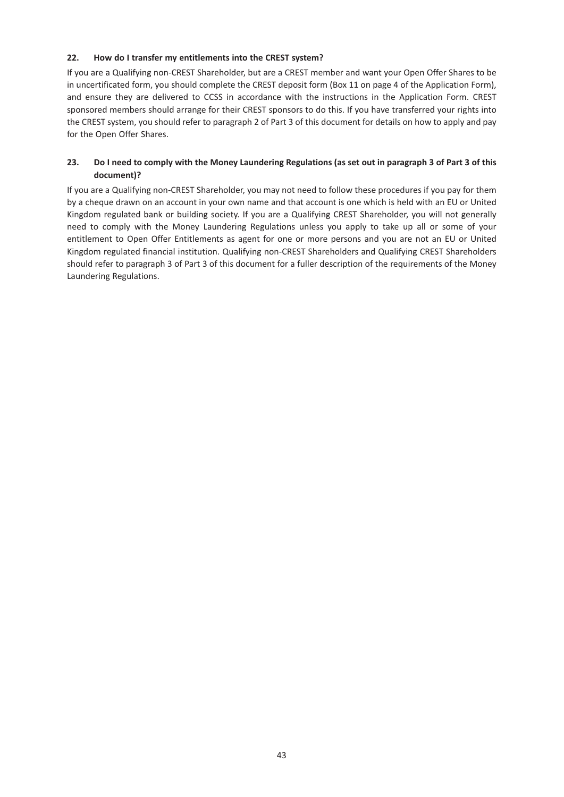## **22. How do I transfer my entitlements into the CREST system?**

If you are a Qualifying non-CREST Shareholder, but are a CREST member and want your Open Offer Shares to be in uncertificated form, you should complete the CREST deposit form (Box 11 on page 4 of the Application Form), and ensure they are delivered to CCSS in accordance with the instructions in the Application Form. CREST sponsored members should arrange for their CREST sponsors to do this. If you have transferred your rights into the CREST system, you should refer to paragraph 2 of Part 3 of this document for details on how to apply and pay for the Open Offer Shares.

## **23. Do I need to comply with the Money Laundering Regulations (as set out in paragraph 3 of Part 3 of this document)?**

If you are a Qualifying non-CREST Shareholder, you may not need to follow these procedures if you pay for them by a cheque drawn on an account in your own name and that account is one which is held with an EU or United Kingdom regulated bank or building society. If you are a Qualifying CREST Shareholder, you will not generally need to comply with the Money Laundering Regulations unless you apply to take up all or some of your entitlement to Open Offer Entitlements as agent for one or more persons and you are not an EU or United Kingdom regulated financial institution. Qualifying non-CREST Shareholders and Qualifying CREST Shareholders should refer to paragraph 3 of Part 3 of this document for a fuller description of the requirements of the Money Laundering Regulations.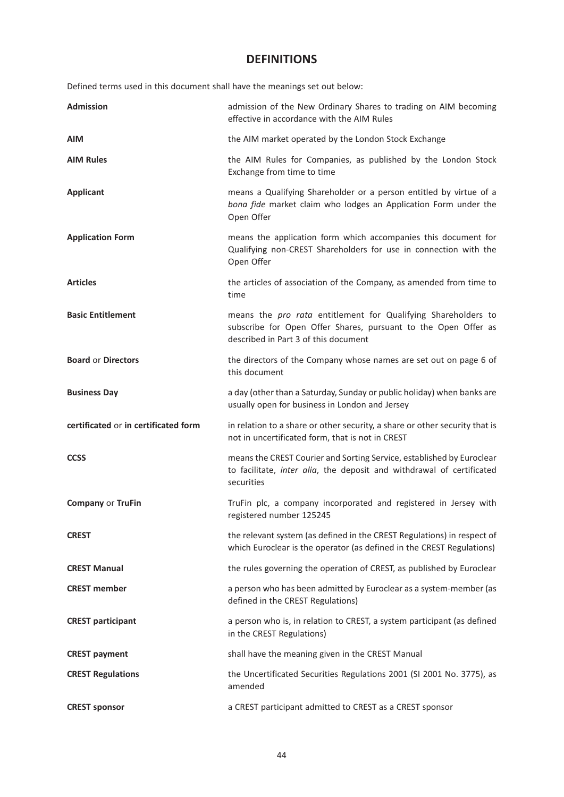## **DEFINITIONS**

Defined terms used in this document shall have the meanings set out below:

| <b>Admission</b>                     | admission of the New Ordinary Shares to trading on AIM becoming<br>effective in accordance with the AIM Rules                                                           |
|--------------------------------------|-------------------------------------------------------------------------------------------------------------------------------------------------------------------------|
| <b>AIM</b>                           | the AIM market operated by the London Stock Exchange                                                                                                                    |
| <b>AIM Rules</b>                     | the AIM Rules for Companies, as published by the London Stock<br>Exchange from time to time                                                                             |
| <b>Applicant</b>                     | means a Qualifying Shareholder or a person entitled by virtue of a<br>bona fide market claim who lodges an Application Form under the<br>Open Offer                     |
| <b>Application Form</b>              | means the application form which accompanies this document for<br>Qualifying non-CREST Shareholders for use in connection with the<br>Open Offer                        |
| <b>Articles</b>                      | the articles of association of the Company, as amended from time to<br>time                                                                                             |
| <b>Basic Entitlement</b>             | means the pro rata entitlement for Qualifying Shareholders to<br>subscribe for Open Offer Shares, pursuant to the Open Offer as<br>described in Part 3 of this document |
| <b>Board or Directors</b>            | the directors of the Company whose names are set out on page 6 of<br>this document                                                                                      |
| <b>Business Day</b>                  | a day (other than a Saturday, Sunday or public holiday) when banks are<br>usually open for business in London and Jersey                                                |
| certificated or in certificated form | in relation to a share or other security, a share or other security that is<br>not in uncertificated form, that is not in CREST                                         |
| <b>CCSS</b>                          | means the CREST Courier and Sorting Service, established by Euroclear<br>to facilitate, inter alia, the deposit and withdrawal of certificated<br>securities            |
| <b>Company or TruFin</b>             | TruFin plc, a company incorporated and registered in Jersey with<br>registered number 125245                                                                            |
| <b>CREST</b>                         | the relevant system (as defined in the CREST Regulations) in respect of<br>which Euroclear is the operator (as defined in the CREST Regulations)                        |
| <b>CREST Manual</b>                  | the rules governing the operation of CREST, as published by Euroclear                                                                                                   |
| <b>CREST</b> member                  | a person who has been admitted by Euroclear as a system-member (as<br>defined in the CREST Regulations)                                                                 |
| <b>CREST participant</b>             | a person who is, in relation to CREST, a system participant (as defined<br>in the CREST Regulations)                                                                    |
| <b>CREST payment</b>                 | shall have the meaning given in the CREST Manual                                                                                                                        |
| <b>CREST Regulations</b>             | the Uncertificated Securities Regulations 2001 (SI 2001 No. 3775), as<br>amended                                                                                        |
| <b>CREST sponsor</b>                 | a CREST participant admitted to CREST as a CREST sponsor                                                                                                                |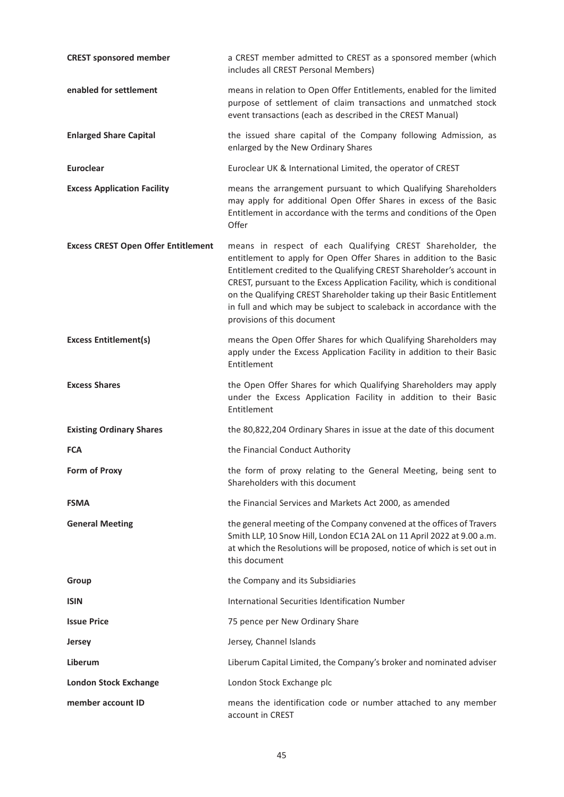| <b>CREST sponsored member</b>              | a CREST member admitted to CREST as a sponsored member (which<br>includes all CREST Personal Members)                                                                                                                                                                                                                                                                                                                                                                  |
|--------------------------------------------|------------------------------------------------------------------------------------------------------------------------------------------------------------------------------------------------------------------------------------------------------------------------------------------------------------------------------------------------------------------------------------------------------------------------------------------------------------------------|
| enabled for settlement                     | means in relation to Open Offer Entitlements, enabled for the limited<br>purpose of settlement of claim transactions and unmatched stock<br>event transactions (each as described in the CREST Manual)                                                                                                                                                                                                                                                                 |
| <b>Enlarged Share Capital</b>              | the issued share capital of the Company following Admission, as<br>enlarged by the New Ordinary Shares                                                                                                                                                                                                                                                                                                                                                                 |
| <b>Euroclear</b>                           | Euroclear UK & International Limited, the operator of CREST                                                                                                                                                                                                                                                                                                                                                                                                            |
| <b>Excess Application Facility</b>         | means the arrangement pursuant to which Qualifying Shareholders<br>may apply for additional Open Offer Shares in excess of the Basic<br>Entitlement in accordance with the terms and conditions of the Open<br>Offer                                                                                                                                                                                                                                                   |
| <b>Excess CREST Open Offer Entitlement</b> | means in respect of each Qualifying CREST Shareholder, the<br>entitlement to apply for Open Offer Shares in addition to the Basic<br>Entitlement credited to the Qualifying CREST Shareholder's account in<br>CREST, pursuant to the Excess Application Facility, which is conditional<br>on the Qualifying CREST Shareholder taking up their Basic Entitlement<br>in full and which may be subject to scaleback in accordance with the<br>provisions of this document |
| <b>Excess Entitlement(s)</b>               | means the Open Offer Shares for which Qualifying Shareholders may<br>apply under the Excess Application Facility in addition to their Basic<br>Entitlement                                                                                                                                                                                                                                                                                                             |
| <b>Excess Shares</b>                       | the Open Offer Shares for which Qualifying Shareholders may apply<br>under the Excess Application Facility in addition to their Basic<br>Entitlement                                                                                                                                                                                                                                                                                                                   |
| <b>Existing Ordinary Shares</b>            | the 80,822,204 Ordinary Shares in issue at the date of this document                                                                                                                                                                                                                                                                                                                                                                                                   |
| <b>FCA</b>                                 | the Financial Conduct Authority                                                                                                                                                                                                                                                                                                                                                                                                                                        |
| <b>Form of Proxy</b>                       | the form of proxy relating to the General Meeting, being sent to<br>Shareholders with this document                                                                                                                                                                                                                                                                                                                                                                    |
| <b>FSMA</b>                                | the Financial Services and Markets Act 2000, as amended                                                                                                                                                                                                                                                                                                                                                                                                                |
| <b>General Meeting</b>                     | the general meeting of the Company convened at the offices of Travers<br>Smith LLP, 10 Snow Hill, London EC1A 2AL on 11 April 2022 at 9.00 a.m.<br>at which the Resolutions will be proposed, notice of which is set out in<br>this document                                                                                                                                                                                                                           |
| Group                                      | the Company and its Subsidiaries                                                                                                                                                                                                                                                                                                                                                                                                                                       |
| <b>ISIN</b>                                | International Securities Identification Number                                                                                                                                                                                                                                                                                                                                                                                                                         |
| <b>Issue Price</b>                         | 75 pence per New Ordinary Share                                                                                                                                                                                                                                                                                                                                                                                                                                        |
| <b>Jersey</b>                              | Jersey, Channel Islands                                                                                                                                                                                                                                                                                                                                                                                                                                                |
| Liberum                                    | Liberum Capital Limited, the Company's broker and nominated adviser                                                                                                                                                                                                                                                                                                                                                                                                    |
| <b>London Stock Exchange</b>               | London Stock Exchange plc                                                                                                                                                                                                                                                                                                                                                                                                                                              |
| member account ID                          | means the identification code or number attached to any member<br>account in CREST                                                                                                                                                                                                                                                                                                                                                                                     |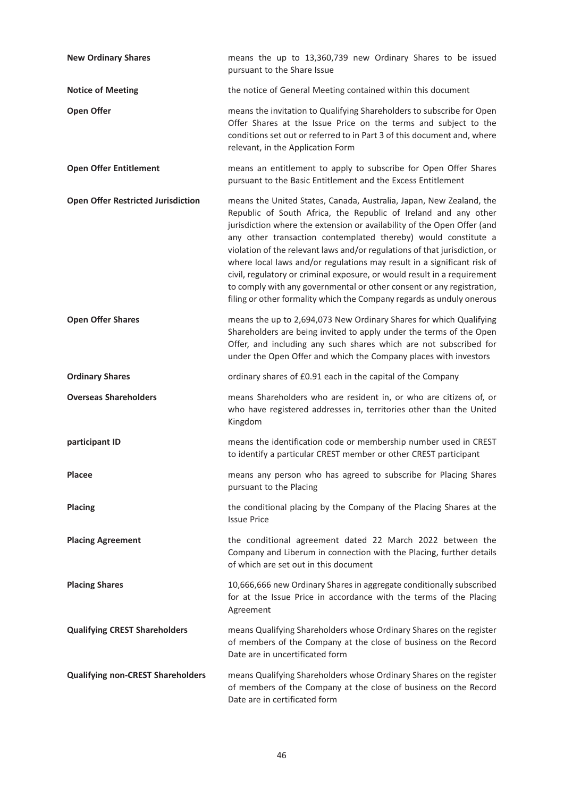| <b>New Ordinary Shares</b>                | means the up to 13,360,739 new Ordinary Shares to be issued<br>pursuant to the Share Issue                                                                                                                                                                                                                                                                                                                                                                                                                                                                                                                                                                                 |
|-------------------------------------------|----------------------------------------------------------------------------------------------------------------------------------------------------------------------------------------------------------------------------------------------------------------------------------------------------------------------------------------------------------------------------------------------------------------------------------------------------------------------------------------------------------------------------------------------------------------------------------------------------------------------------------------------------------------------------|
| <b>Notice of Meeting</b>                  | the notice of General Meeting contained within this document                                                                                                                                                                                                                                                                                                                                                                                                                                                                                                                                                                                                               |
| <b>Open Offer</b>                         | means the invitation to Qualifying Shareholders to subscribe for Open<br>Offer Shares at the Issue Price on the terms and subject to the<br>conditions set out or referred to in Part 3 of this document and, where<br>relevant, in the Application Form                                                                                                                                                                                                                                                                                                                                                                                                                   |
| <b>Open Offer Entitlement</b>             | means an entitlement to apply to subscribe for Open Offer Shares<br>pursuant to the Basic Entitlement and the Excess Entitlement                                                                                                                                                                                                                                                                                                                                                                                                                                                                                                                                           |
| <b>Open Offer Restricted Jurisdiction</b> | means the United States, Canada, Australia, Japan, New Zealand, the<br>Republic of South Africa, the Republic of Ireland and any other<br>jurisdiction where the extension or availability of the Open Offer (and<br>any other transaction contemplated thereby) would constitute a<br>violation of the relevant laws and/or regulations of that jurisdiction, or<br>where local laws and/or regulations may result in a significant risk of<br>civil, regulatory or criminal exposure, or would result in a requirement<br>to comply with any governmental or other consent or any registration,<br>filing or other formality which the Company regards as unduly onerous |
| <b>Open Offer Shares</b>                  | means the up to 2,694,073 New Ordinary Shares for which Qualifying<br>Shareholders are being invited to apply under the terms of the Open<br>Offer, and including any such shares which are not subscribed for<br>under the Open Offer and which the Company places with investors                                                                                                                                                                                                                                                                                                                                                                                         |
| <b>Ordinary Shares</b>                    | ordinary shares of £0.91 each in the capital of the Company                                                                                                                                                                                                                                                                                                                                                                                                                                                                                                                                                                                                                |
| <b>Overseas Shareholders</b>              | means Shareholders who are resident in, or who are citizens of, or<br>who have registered addresses in, territories other than the United<br>Kingdom                                                                                                                                                                                                                                                                                                                                                                                                                                                                                                                       |
| participant ID                            | means the identification code or membership number used in CREST<br>to identify a particular CREST member or other CREST participant                                                                                                                                                                                                                                                                                                                                                                                                                                                                                                                                       |
| <b>Placee</b>                             | means any person who has agreed to subscribe for Placing Shares<br>pursuant to the Placing                                                                                                                                                                                                                                                                                                                                                                                                                                                                                                                                                                                 |
| <b>Placing</b>                            | the conditional placing by the Company of the Placing Shares at the<br><b>Issue Price</b>                                                                                                                                                                                                                                                                                                                                                                                                                                                                                                                                                                                  |
| <b>Placing Agreement</b>                  | the conditional agreement dated 22 March 2022 between the<br>Company and Liberum in connection with the Placing, further details<br>of which are set out in this document                                                                                                                                                                                                                                                                                                                                                                                                                                                                                                  |
| <b>Placing Shares</b>                     | 10,666,666 new Ordinary Shares in aggregate conditionally subscribed<br>for at the Issue Price in accordance with the terms of the Placing<br>Agreement                                                                                                                                                                                                                                                                                                                                                                                                                                                                                                                    |
| <b>Qualifying CREST Shareholders</b>      | means Qualifying Shareholders whose Ordinary Shares on the register<br>of members of the Company at the close of business on the Record<br>Date are in uncertificated form                                                                                                                                                                                                                                                                                                                                                                                                                                                                                                 |
| <b>Qualifying non-CREST Shareholders</b>  | means Qualifying Shareholders whose Ordinary Shares on the register<br>of members of the Company at the close of business on the Record<br>Date are in certificated form                                                                                                                                                                                                                                                                                                                                                                                                                                                                                                   |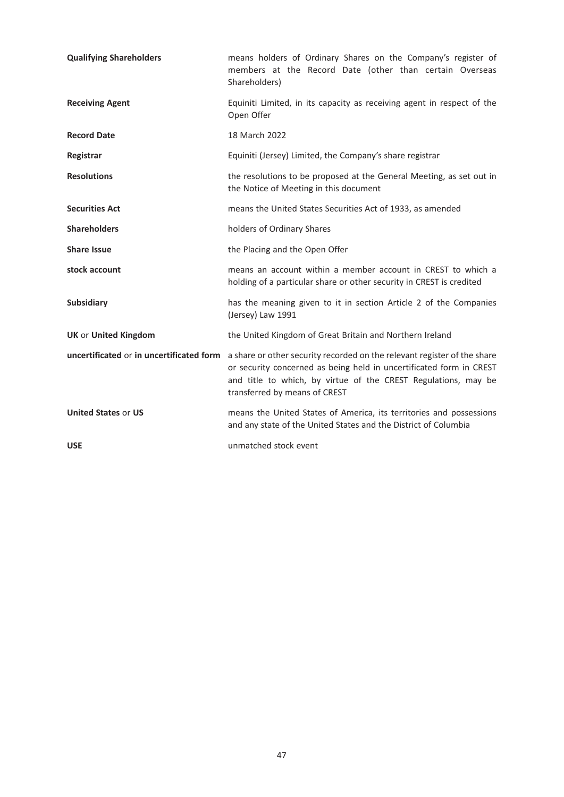| <b>Qualifying Shareholders</b>           | means holders of Ordinary Shares on the Company's register of<br>members at the Record Date (other than certain Overseas<br>Shareholders)                                                                                                          |
|------------------------------------------|----------------------------------------------------------------------------------------------------------------------------------------------------------------------------------------------------------------------------------------------------|
| <b>Receiving Agent</b>                   | Equiniti Limited, in its capacity as receiving agent in respect of the<br>Open Offer                                                                                                                                                               |
| <b>Record Date</b>                       | 18 March 2022                                                                                                                                                                                                                                      |
| Registrar                                | Equiniti (Jersey) Limited, the Company's share registrar                                                                                                                                                                                           |
| <b>Resolutions</b>                       | the resolutions to be proposed at the General Meeting, as set out in<br>the Notice of Meeting in this document                                                                                                                                     |
| <b>Securities Act</b>                    | means the United States Securities Act of 1933, as amended                                                                                                                                                                                         |
| <b>Shareholders</b>                      | holders of Ordinary Shares                                                                                                                                                                                                                         |
| <b>Share Issue</b>                       | the Placing and the Open Offer                                                                                                                                                                                                                     |
| stock account                            | means an account within a member account in CREST to which a<br>holding of a particular share or other security in CREST is credited                                                                                                               |
| <b>Subsidiary</b>                        | has the meaning given to it in section Article 2 of the Companies<br>(Jersey) Law 1991                                                                                                                                                             |
| <b>UK or United Kingdom</b>              | the United Kingdom of Great Britain and Northern Ireland                                                                                                                                                                                           |
| uncertificated or in uncertificated form | a share or other security recorded on the relevant register of the share<br>or security concerned as being held in uncertificated form in CREST<br>and title to which, by virtue of the CREST Regulations, may be<br>transferred by means of CREST |
| <b>United States or US</b>               | means the United States of America, its territories and possessions<br>and any state of the United States and the District of Columbia                                                                                                             |
| <b>USE</b>                               | unmatched stock event                                                                                                                                                                                                                              |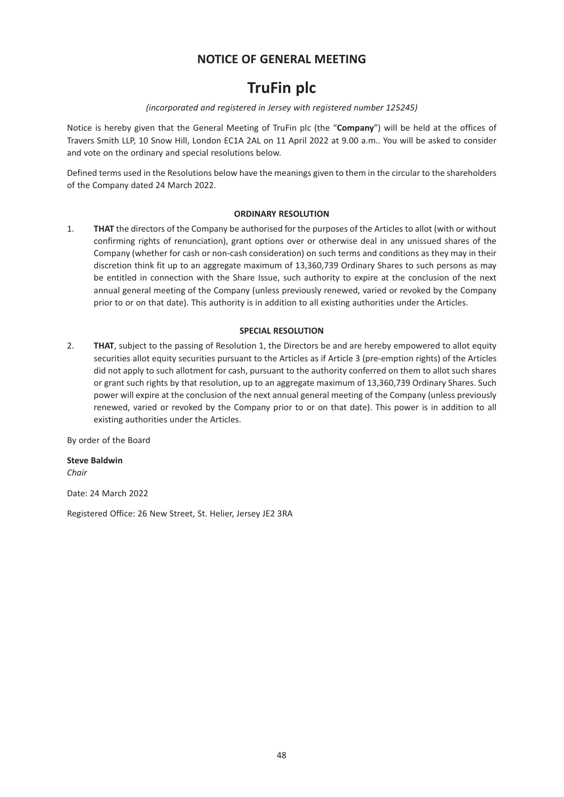## **NOTICE OF GENERAL MEETING**

# **TruFin plc**

## *(incorporated and registered in Jersey with registered number 125245)*

Notice is hereby given that the General Meeting of TruFin plc (the "**Company**") will be held at the offices of Travers Smith LLP, 10 Snow Hill, London EC1A 2AL on 11 April 2022 at 9.00 a.m.. You will be asked to consider and vote on the ordinary and special resolutions below.

Defined terms used in the Resolutions below have the meanings given to them in the circular to the shareholders of the Company dated 24 March 2022.

## **ORDINARY RESOLUTION**

1. **THAT** the directors of the Company be authorised for the purposes of the Articles to allot (with or without confirming rights of renunciation), grant options over or otherwise deal in any unissued shares of the Company (whether for cash or non-cash consideration) on such terms and conditions as they may in their discretion think fit up to an aggregate maximum of 13,360,739 Ordinary Shares to such persons as may be entitled in connection with the Share Issue, such authority to expire at the conclusion of the next annual general meeting of the Company (unless previously renewed, varied or revoked by the Company prior to or on that date). This authority is in addition to all existing authorities under the Articles.

## **SPECIAL RESOLUTION**

2. **THAT**, subject to the passing of Resolution 1, the Directors be and are hereby empowered to allot equity securities allot equity securities pursuant to the Articles as if Article 3 (pre-emption rights) of the Articles did not apply to such allotment for cash, pursuant to the authority conferred on them to allot such shares or grant such rights by that resolution, up to an aggregate maximum of 13,360,739 Ordinary Shares. Such power will expire at the conclusion of the next annual general meeting of the Company (unless previously renewed, varied or revoked by the Company prior to or on that date). This power is in addition to all existing authorities under the Articles.

By order of the Board

**Steve Baldwin** *Chair*

Date: 24 March 2022

Registered Office: 26 New Street, St. Helier, Jersey JE2 3RA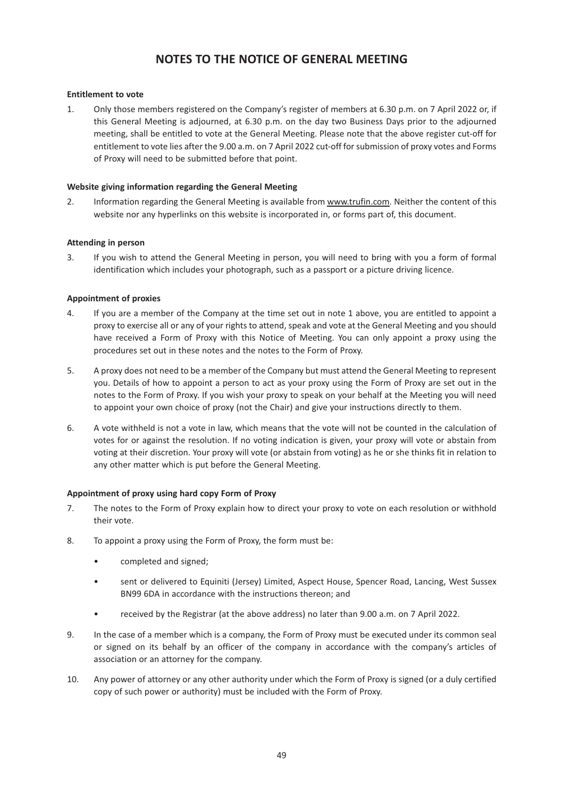## **NOTES TO THE NOTICE OF GENERAL MEETING**

## **Entitlement to vote**

1. Only those members registered on the Company's register of members at 6.30 p.m. on 7 April 2022 or, if this General Meeting is adjourned, at 6.30 p.m. on the day two Business Days prior to the adjourned meeting, shall be entitled to vote at the General Meeting. Please note that the above register cut-off for entitlement to vote lies after the 9.00 a.m. on 7 April 2022 cut-off for submission of proxy votes and Forms of Proxy will need to be submitted before that point.

#### **Website giving information regarding the General Meeting**

2. Information regarding the General Meeting is available from www.trufin.com. Neither the content of this website nor any hyperlinks on this website is incorporated in, or forms part of, this document.

#### **Attending in person**

3. If you wish to attend the General Meeting in person, you will need to bring with you a form of formal identification which includes your photograph, such as a passport or a picture driving licence.

## **Appointment of proxies**

- 4. If you are a member of the Company at the time set out in note 1 above, you are entitled to appoint a proxy to exercise all or any of your rights to attend, speak and vote at the General Meeting and you should have received a Form of Proxy with this Notice of Meeting. You can only appoint a proxy using the procedures set out in these notes and the notes to the Form of Proxy.
- 5. A proxy does not need to be a member of the Company but must attend the General Meeting to represent you. Details of how to appoint a person to act as your proxy using the Form of Proxy are set out in the notes to the Form of Proxy. If you wish your proxy to speak on your behalf at the Meeting you will need to appoint your own choice of proxy (not the Chair) and give your instructions directly to them.
- 6. A vote withheld is not a vote in law, which means that the vote will not be counted in the calculation of votes for or against the resolution. If no voting indication is given, your proxy will vote or abstain from voting at their discretion. Your proxy will vote (or abstain from voting) as he or she thinks fit in relation to any other matter which is put before the General Meeting.

#### **Appointment of proxy using hard copy Form of Proxy**

- 7. The notes to the Form of Proxy explain how to direct your proxy to vote on each resolution or withhold their vote.
- 8. To appoint a proxy using the Form of Proxy, the form must be:
	- completed and signed;
	- sent or delivered to Equiniti (Jersey) Limited, Aspect House, Spencer Road, Lancing, West Sussex BN99 6DA in accordance with the instructions thereon; and
	- received by the Registrar (at the above address) no later than 9.00 a.m. on 7 April 2022.
- 9. In the case of a member which is a company, the Form of Proxy must be executed under its common seal or signed on its behalf by an officer of the company in accordance with the company's articles of association or an attorney for the company.
- 10. Any power of attorney or any other authority under which the Form of Proxy is signed (or a duly certified copy of such power or authority) must be included with the Form of Proxy.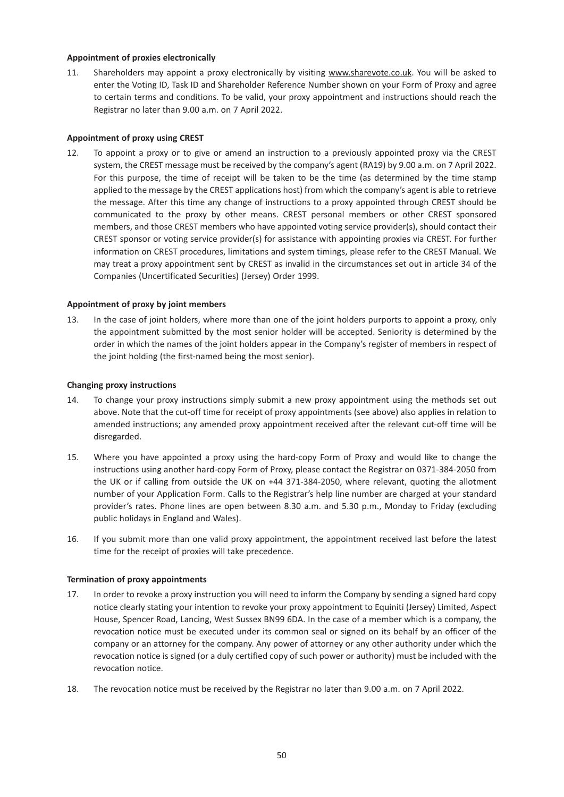#### **Appointment of proxies electronically**

11. Shareholders may appoint a proxy electronically by visiting www.sharevote.co.uk. You will be asked to enter the Voting ID, Task ID and Shareholder Reference Number shown on your Form of Proxy and agree to certain terms and conditions. To be valid, your proxy appointment and instructions should reach the Registrar no later than 9.00 a.m. on 7 April 2022.

## **Appointment of proxy using CREST**

12. To appoint a proxy or to give or amend an instruction to a previously appointed proxy via the CREST system, the CREST message must be received by the company's agent (RA19) by 9.00 a.m. on 7 April 2022. For this purpose, the time of receipt will be taken to be the time (as determined by the time stamp applied to the message by the CREST applications host) from which the company's agent is able to retrieve the message. After this time any change of instructions to a proxy appointed through CREST should be communicated to the proxy by other means. CREST personal members or other CREST sponsored members, and those CREST members who have appointed voting service provider(s), should contact their CREST sponsor or voting service provider(s) for assistance with appointing proxies via CREST. For further information on CREST procedures, limitations and system timings, please refer to the CREST Manual. We may treat a proxy appointment sent by CREST as invalid in the circumstances set out in article 34 of the Companies (Uncertificated Securities) (Jersey) Order 1999.

## **Appointment of proxy by joint members**

13. In the case of joint holders, where more than one of the joint holders purports to appoint a proxy, only the appointment submitted by the most senior holder will be accepted. Seniority is determined by the order in which the names of the joint holders appear in the Company's register of members in respect of the joint holding (the first-named being the most senior).

#### **Changing proxy instructions**

- 14. To change your proxy instructions simply submit a new proxy appointment using the methods set out above. Note that the cut-off time for receipt of proxy appointments (see above) also applies in relation to amended instructions; any amended proxy appointment received after the relevant cut-off time will be disregarded.
- 15. Where you have appointed a proxy using the hard-copy Form of Proxy and would like to change the instructions using another hard-copy Form of Proxy, please contact the Registrar on 0371-384-2050 from the UK or if calling from outside the UK on +44 371-384-2050, where relevant, quoting the allotment number of your Application Form. Calls to the Registrar's help line number are charged at your standard provider's rates. Phone lines are open between 8.30 a.m. and 5.30 p.m., Monday to Friday (excluding public holidays in England and Wales).
- 16. If you submit more than one valid proxy appointment, the appointment received last before the latest time for the receipt of proxies will take precedence.

## **Termination of proxy appointments**

- 17. In order to revoke a proxy instruction you will need to inform the Company by sending a signed hard copy notice clearly stating your intention to revoke your proxy appointment to Equiniti (Jersey) Limited, Aspect House, Spencer Road, Lancing, West Sussex BN99 6DA. In the case of a member which is a company, the revocation notice must be executed under its common seal or signed on its behalf by an officer of the company or an attorney for the company. Any power of attorney or any other authority under which the revocation notice is signed (or a duly certified copy of such power or authority) must be included with the revocation notice.
- 18. The revocation notice must be received by the Registrar no later than 9.00 a.m. on 7 April 2022.